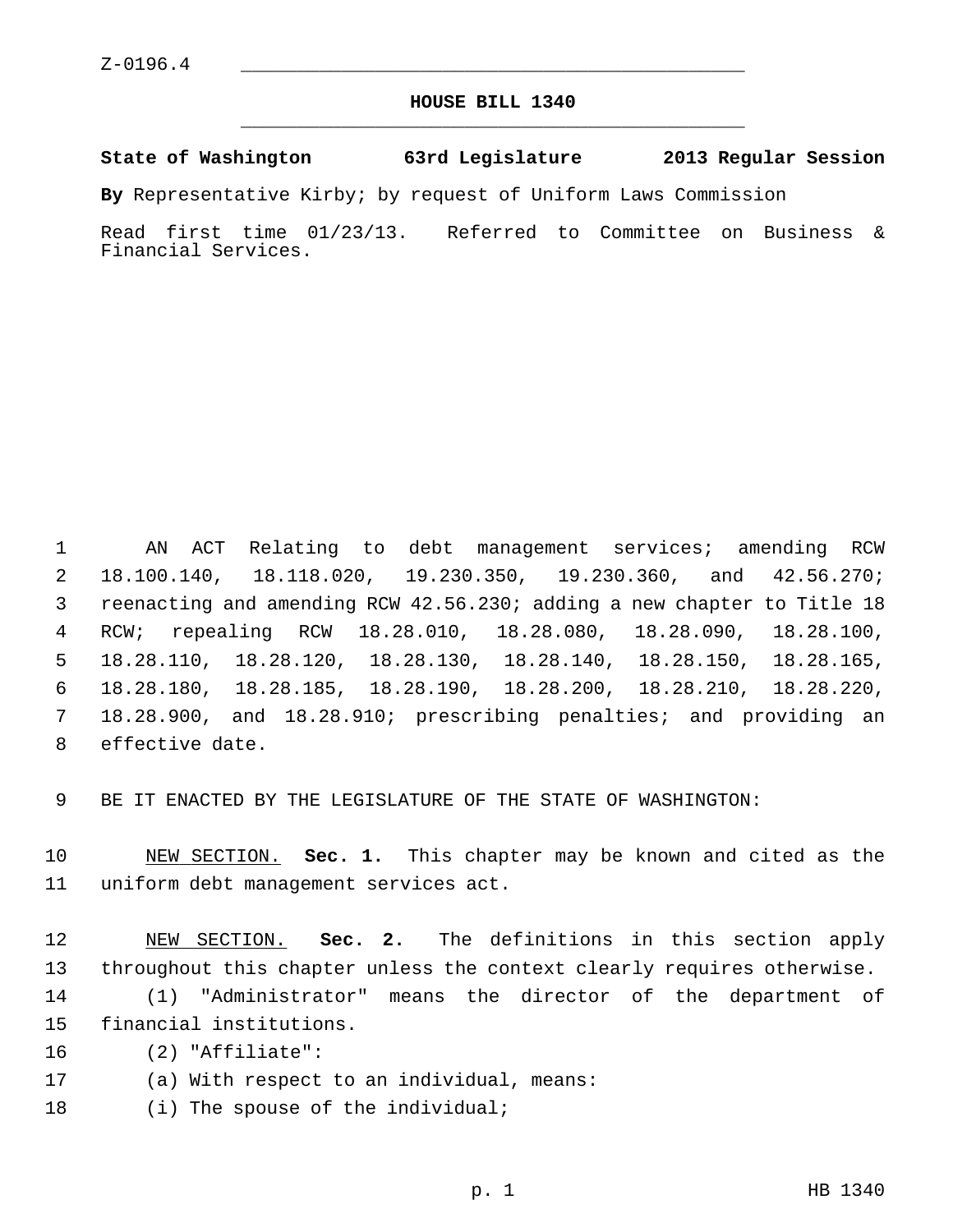# **HOUSE BILL 1340** \_\_\_\_\_\_\_\_\_\_\_\_\_\_\_\_\_\_\_\_\_\_\_\_\_\_\_\_\_\_\_\_\_\_\_\_\_\_\_\_\_\_\_\_\_

#### **State of Washington 63rd Legislature 2013 Regular Session**

**By** Representative Kirby; by request of Uniform Laws Commission

Read first time 01/23/13. Referred to Committee on Business & Financial Services.

 1 AN ACT Relating to debt management services; amending RCW 2 18.100.140, 18.118.020, 19.230.350, 19.230.360, and 42.56.270; 3 reenacting and amending RCW 42.56.230; adding a new chapter to Title 18 4 RCW; repealing RCW 18.28.010, 18.28.080, 18.28.090, 18.28.100, 5 18.28.110, 18.28.120, 18.28.130, 18.28.140, 18.28.150, 18.28.165, 6 18.28.180, 18.28.185, 18.28.190, 18.28.200, 18.28.210, 18.28.220, 7 18.28.900, and 18.28.910; prescribing penalties; and providing an 8 effective date.

9 BE IT ENACTED BY THE LEGISLATURE OF THE STATE OF WASHINGTON:

10 NEW SECTION. **Sec. 1.** This chapter may be known and cited as the 11 uniform debt management services act.

12 NEW SECTION. **Sec. 2.** The definitions in this section apply 13 throughout this chapter unless the context clearly requires otherwise.

14 (1) "Administrator" means the director of the department of 15 financial institutions.

16 (2) "Affiliate":

17 (a) With respect to an individual, means:

18 (i) The spouse of the individual;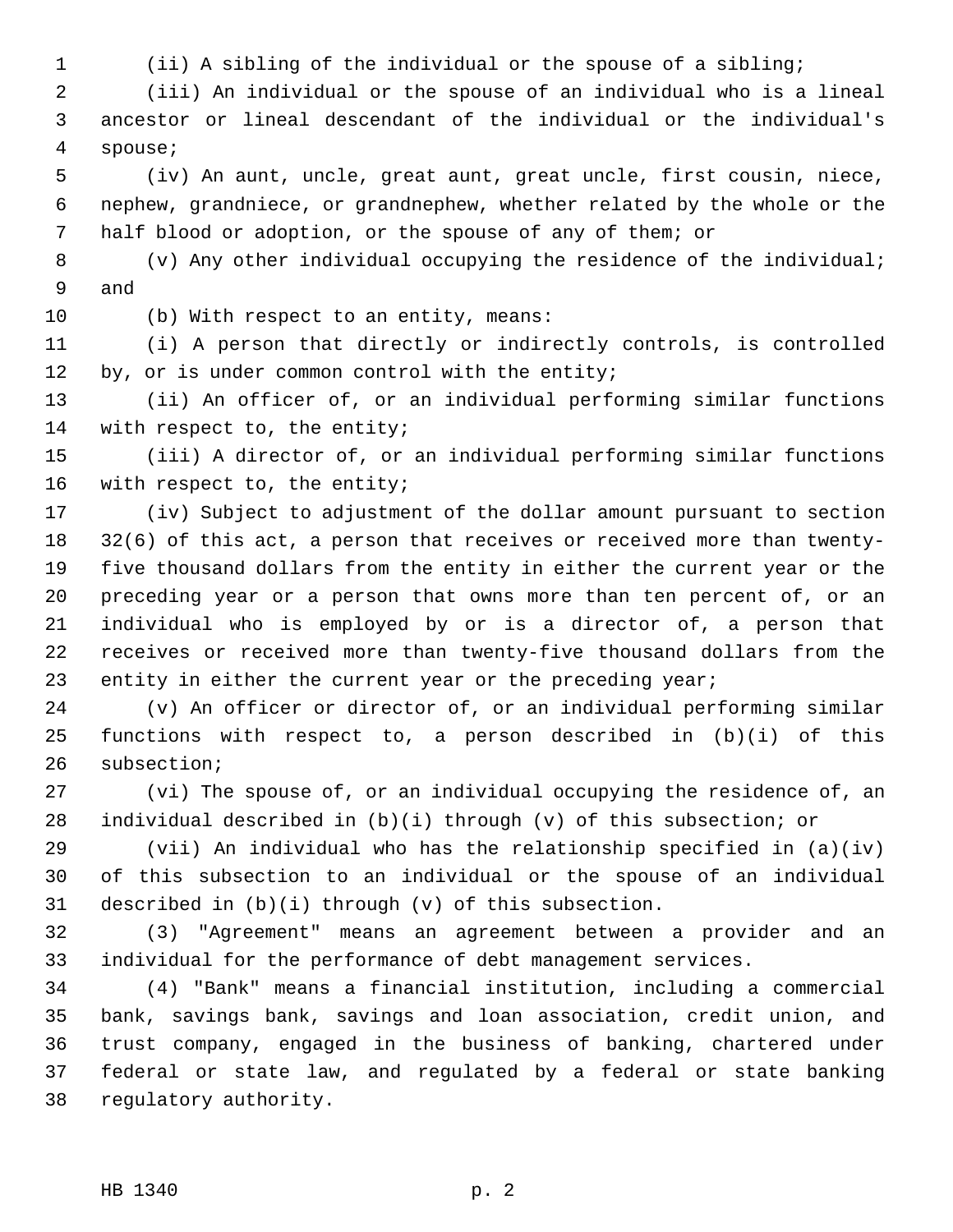1 (ii) A sibling of the individual or the spouse of a sibling;

 2 (iii) An individual or the spouse of an individual who is a lineal 3 ancestor or lineal descendant of the individual or the individual's 4 spouse;

 5 (iv) An aunt, uncle, great aunt, great uncle, first cousin, niece, 6 nephew, grandniece, or grandnephew, whether related by the whole or the 7 half blood or adoption, or the spouse of any of them; or

 8 (v) Any other individual occupying the residence of the individual; 9 and

10 (b) With respect to an entity, means:

11 (i) A person that directly or indirectly controls, is controlled 12 by, or is under common control with the entity;

13 (ii) An officer of, or an individual performing similar functions 14 with respect to, the entity;

15 (iii) A director of, or an individual performing similar functions 16 with respect to, the entity;

17 (iv) Subject to adjustment of the dollar amount pursuant to section 18 32(6) of this act, a person that receives or received more than twenty-19 five thousand dollars from the entity in either the current year or the 20 preceding year or a person that owns more than ten percent of, or an 21 individual who is employed by or is a director of, a person that 22 receives or received more than twenty-five thousand dollars from the 23 entity in either the current year or the preceding year;

24 (v) An officer or director of, or an individual performing similar 25 functions with respect to, a person described in (b)(i) of this 26 subsection;

27 (vi) The spouse of, or an individual occupying the residence of, an 28 individual described in (b)(i) through (v) of this subsection; or

29 (vii) An individual who has the relationship specified in (a)(iv) 30 of this subsection to an individual or the spouse of an individual 31 described in (b)(i) through (v) of this subsection.

32 (3) "Agreement" means an agreement between a provider and an 33 individual for the performance of debt management services.

34 (4) "Bank" means a financial institution, including a commercial 35 bank, savings bank, savings and loan association, credit union, and 36 trust company, engaged in the business of banking, chartered under 37 federal or state law, and regulated by a federal or state banking 38 regulatory authority.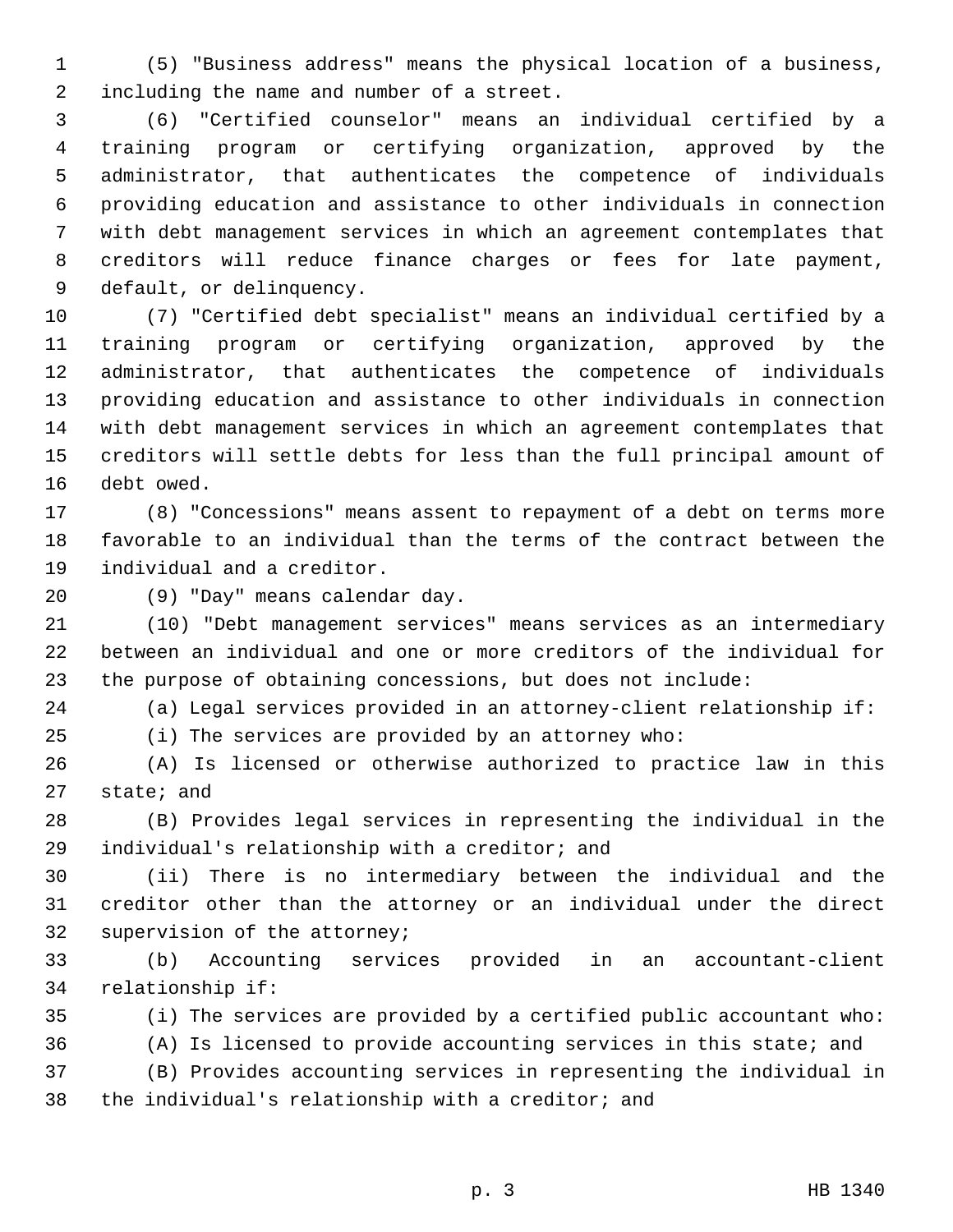1 (5) "Business address" means the physical location of a business, 2 including the name and number of a street.

 3 (6) "Certified counselor" means an individual certified by a 4 training program or certifying organization, approved by the 5 administrator, that authenticates the competence of individuals 6 providing education and assistance to other individuals in connection 7 with debt management services in which an agreement contemplates that 8 creditors will reduce finance charges or fees for late payment, 9 default, or delinquency.

10 (7) "Certified debt specialist" means an individual certified by a 11 training program or certifying organization, approved by the 12 administrator, that authenticates the competence of individuals 13 providing education and assistance to other individuals in connection 14 with debt management services in which an agreement contemplates that 15 creditors will settle debts for less than the full principal amount of 16 debt owed.

17 (8) "Concessions" means assent to repayment of a debt on terms more 18 favorable to an individual than the terms of the contract between the 19 individual and a creditor.

20 (9) "Day" means calendar day.

21 (10) "Debt management services" means services as an intermediary 22 between an individual and one or more creditors of the individual for 23 the purpose of obtaining concessions, but does not include:

24 (a) Legal services provided in an attorney-client relationship if:

25 (i) The services are provided by an attorney who:

26 (A) Is licensed or otherwise authorized to practice law in this 27 state; and

28 (B) Provides legal services in representing the individual in the 29 individual's relationship with a creditor; and

30 (ii) There is no intermediary between the individual and the 31 creditor other than the attorney or an individual under the direct 32 supervision of the attorney;

33 (b) Accounting services provided in an accountant-client 34 relationship if:

35 (i) The services are provided by a certified public accountant who:

36 (A) Is licensed to provide accounting services in this state; and 37 (B) Provides accounting services in representing the individual in 38 the individual's relationship with a creditor; and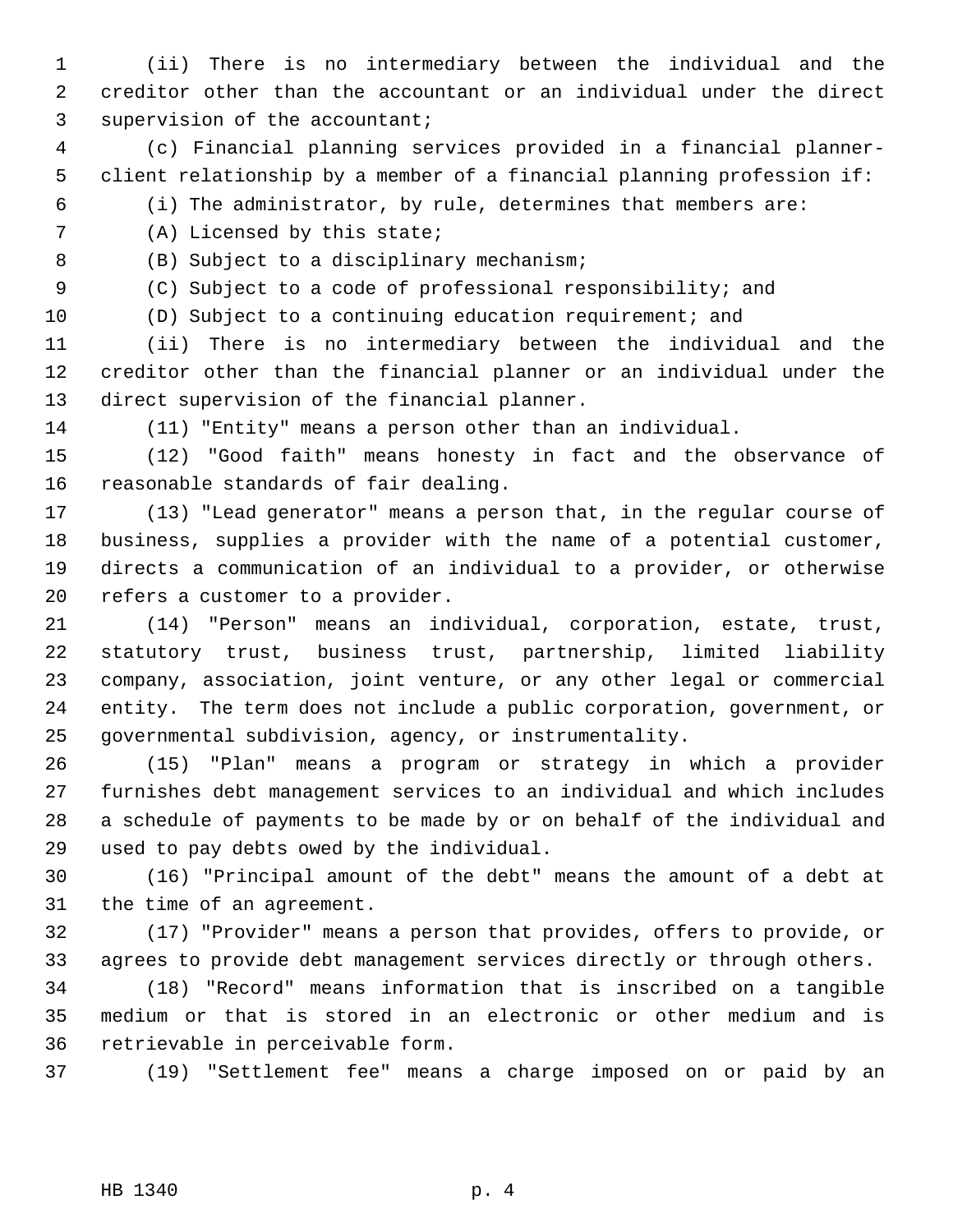- 1 (ii) There is no intermediary between the individual and the 2 creditor other than the accountant or an individual under the direct 3 supervision of the accountant;
- 4 (c) Financial planning services provided in a financial planner- 5 client relationship by a member of a financial planning profession if:
- 6 (i) The administrator, by rule, determines that members are:

7 (A) Licensed by this state;

8 (B) Subject to a disciplinary mechanism;

9 (C) Subject to a code of professional responsibility; and

10 (D) Subject to a continuing education requirement; and

11 (ii) There is no intermediary between the individual and the 12 creditor other than the financial planner or an individual under the 13 direct supervision of the financial planner.

14 (11) "Entity" means a person other than an individual.

15 (12) "Good faith" means honesty in fact and the observance of 16 reasonable standards of fair dealing.

17 (13) "Lead generator" means a person that, in the regular course of 18 business, supplies a provider with the name of a potential customer, 19 directs a communication of an individual to a provider, or otherwise 20 refers a customer to a provider.

21 (14) "Person" means an individual, corporation, estate, trust, 22 statutory trust, business trust, partnership, limited liability 23 company, association, joint venture, or any other legal or commercial 24 entity. The term does not include a public corporation, government, or 25 governmental subdivision, agency, or instrumentality.

26 (15) "Plan" means a program or strategy in which a provider 27 furnishes debt management services to an individual and which includes 28 a schedule of payments to be made by or on behalf of the individual and 29 used to pay debts owed by the individual.

30 (16) "Principal amount of the debt" means the amount of a debt at 31 the time of an agreement.

32 (17) "Provider" means a person that provides, offers to provide, or 33 agrees to provide debt management services directly or through others.

34 (18) "Record" means information that is inscribed on a tangible 35 medium or that is stored in an electronic or other medium and is 36 retrievable in perceivable form.

37 (19) "Settlement fee" means a charge imposed on or paid by an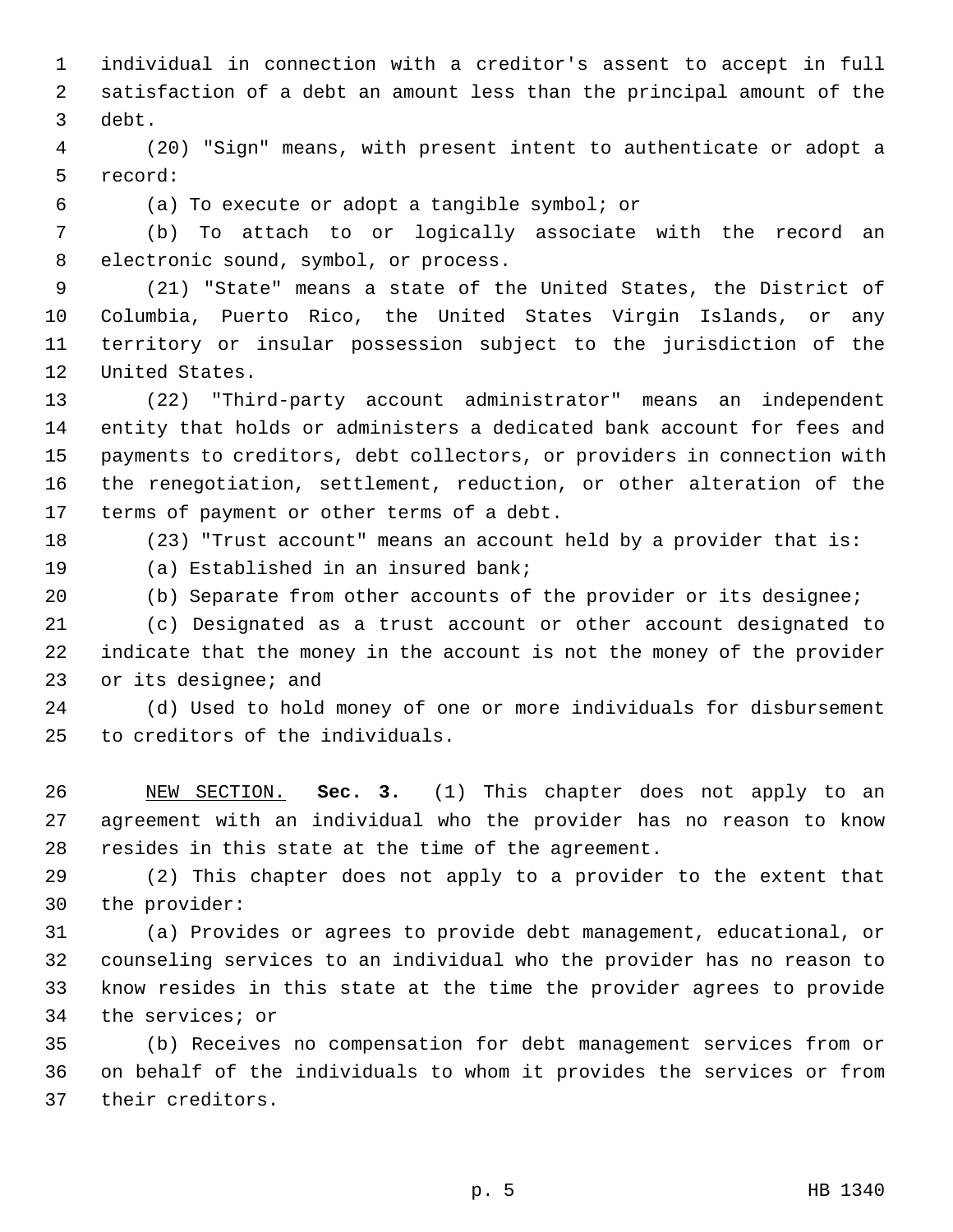1 individual in connection with a creditor's assent to accept in full 2 satisfaction of a debt an amount less than the principal amount of the 3 debt.

 4 (20) "Sign" means, with present intent to authenticate or adopt a 5 record:

6 (a) To execute or adopt a tangible symbol; or

 7 (b) To attach to or logically associate with the record an 8 electronic sound, symbol, or process.

 9 (21) "State" means a state of the United States, the District of 10 Columbia, Puerto Rico, the United States Virgin Islands, or any 11 territory or insular possession subject to the jurisdiction of the 12 United States.

13 (22) "Third-party account administrator" means an independent 14 entity that holds or administers a dedicated bank account for fees and 15 payments to creditors, debt collectors, or providers in connection with 16 the renegotiation, settlement, reduction, or other alteration of the 17 terms of payment or other terms of a debt.

18 (23) "Trust account" means an account held by a provider that is:

19 (a) Established in an insured bank;

20 (b) Separate from other accounts of the provider or its designee;

21 (c) Designated as a trust account or other account designated to 22 indicate that the money in the account is not the money of the provider 23 or its designee; and

24 (d) Used to hold money of one or more individuals for disbursement 25 to creditors of the individuals.

26 NEW SECTION. **Sec. 3.** (1) This chapter does not apply to an 27 agreement with an individual who the provider has no reason to know 28 resides in this state at the time of the agreement.

29 (2) This chapter does not apply to a provider to the extent that 30 the provider:

31 (a) Provides or agrees to provide debt management, educational, or 32 counseling services to an individual who the provider has no reason to 33 know resides in this state at the time the provider agrees to provide 34 the services; or

35 (b) Receives no compensation for debt management services from or 36 on behalf of the individuals to whom it provides the services or from 37 their creditors.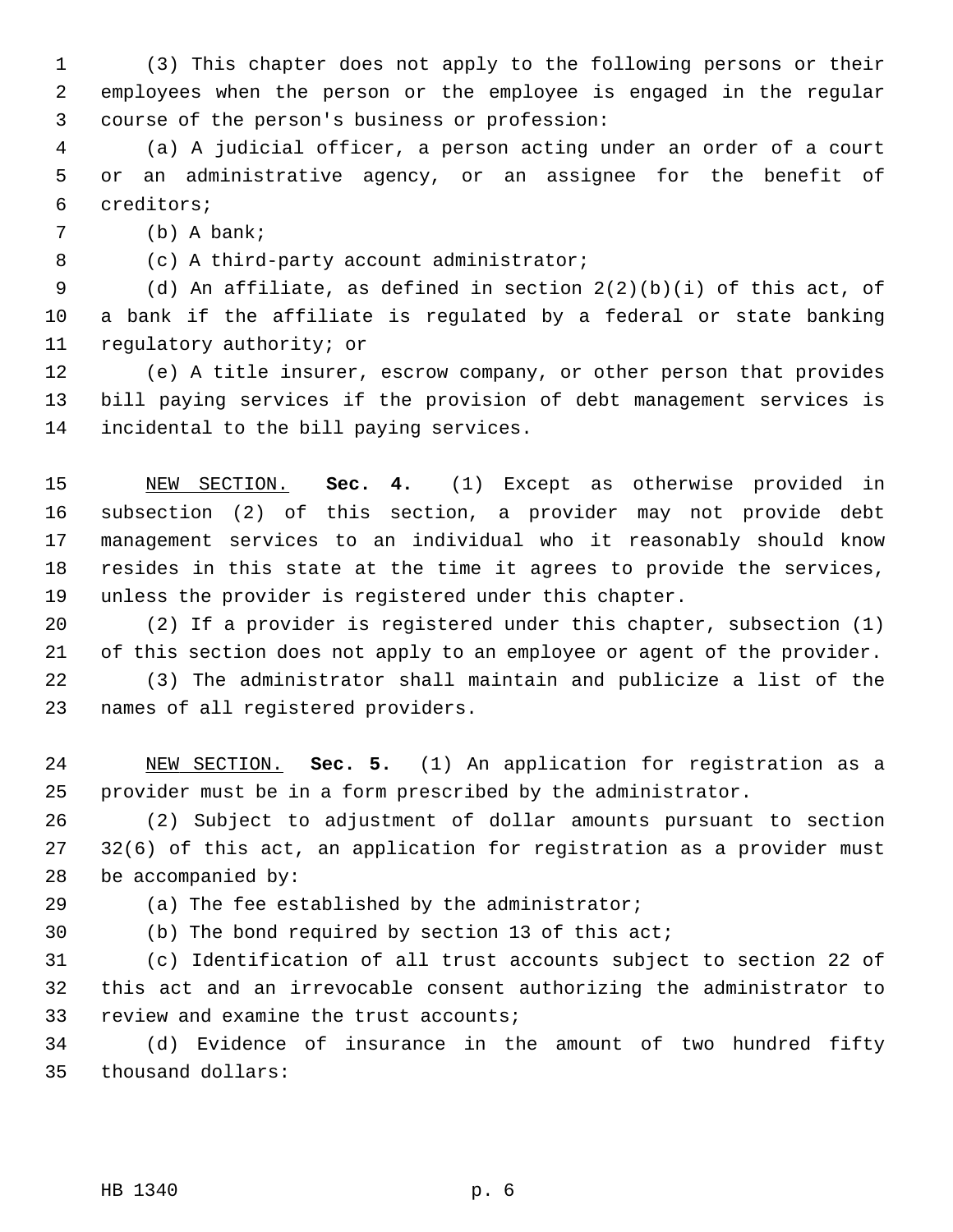1 (3) This chapter does not apply to the following persons or their 2 employees when the person or the employee is engaged in the regular 3 course of the person's business or profession:

 4 (a) A judicial officer, a person acting under an order of a court 5 or an administrative agency, or an assignee for the benefit of 6 creditors;

7 (b) A bank;

8 (c) A third-party account administrator;

9 (d) An affiliate, as defined in section  $2(2)(b)(i)$  of this act, of 10 a bank if the affiliate is regulated by a federal or state banking 11 regulatory authority; or

12 (e) A title insurer, escrow company, or other person that provides 13 bill paying services if the provision of debt management services is 14 incidental to the bill paying services.

15 NEW SECTION. **Sec. 4.** (1) Except as otherwise provided in 16 subsection (2) of this section, a provider may not provide debt 17 management services to an individual who it reasonably should know 18 resides in this state at the time it agrees to provide the services, 19 unless the provider is registered under this chapter.

20 (2) If a provider is registered under this chapter, subsection (1) 21 of this section does not apply to an employee or agent of the provider.

22 (3) The administrator shall maintain and publicize a list of the 23 names of all registered providers.

24 NEW SECTION. **Sec. 5.** (1) An application for registration as a 25 provider must be in a form prescribed by the administrator.

26 (2) Subject to adjustment of dollar amounts pursuant to section 27 32(6) of this act, an application for registration as a provider must 28 be accompanied by:

29 (a) The fee established by the administrator;

30 (b) The bond required by section 13 of this act;

31 (c) Identification of all trust accounts subject to section 22 of 32 this act and an irrevocable consent authorizing the administrator to 33 review and examine the trust accounts;

34 (d) Evidence of insurance in the amount of two hundred fifty 35 thousand dollars: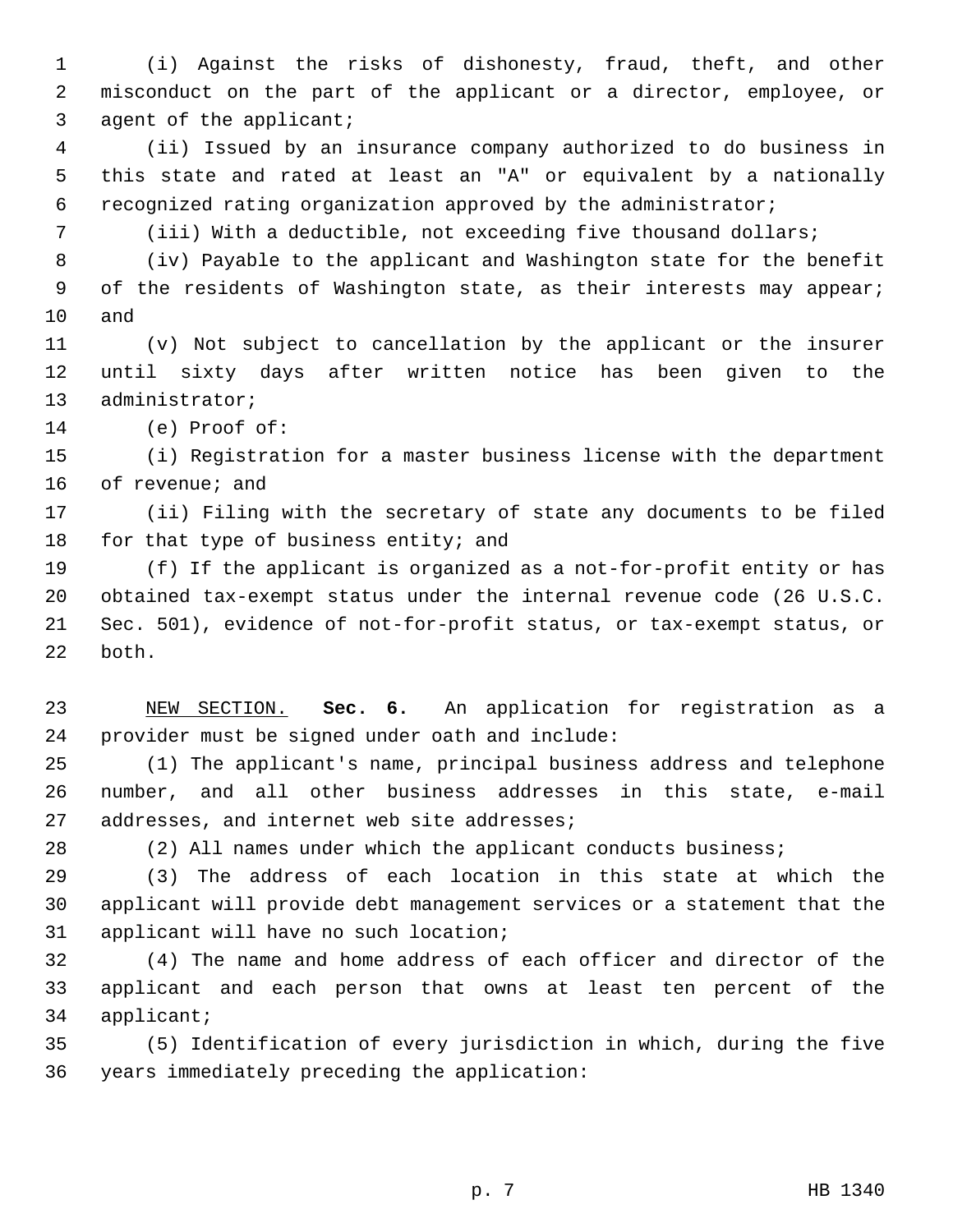1 (i) Against the risks of dishonesty, fraud, theft, and other 2 misconduct on the part of the applicant or a director, employee, or 3 agent of the applicant;

 4 (ii) Issued by an insurance company authorized to do business in 5 this state and rated at least an "A" or equivalent by a nationally 6 recognized rating organization approved by the administrator;

7 (iii) With a deductible, not exceeding five thousand dollars;

 8 (iv) Payable to the applicant and Washington state for the benefit 9 of the residents of Washington state, as their interests may appear; 10 and

11 (v) Not subject to cancellation by the applicant or the insurer 12 until sixty days after written notice has been given to the 13 administrator;

14 (e) Proof of:

15 (i) Registration for a master business license with the department 16 of revenue; and

17 (ii) Filing with the secretary of state any documents to be filed 18 for that type of business entity; and

19 (f) If the applicant is organized as a not-for-profit entity or has 20 obtained tax-exempt status under the internal revenue code (26 U.S.C. 21 Sec. 501), evidence of not-for-profit status, or tax-exempt status, or 22 both.

23 NEW SECTION. **Sec. 6.** An application for registration as a 24 provider must be signed under oath and include:

25 (1) The applicant's name, principal business address and telephone 26 number, and all other business addresses in this state, e-mail 27 addresses, and internet web site addresses;

28 (2) All names under which the applicant conducts business;

29 (3) The address of each location in this state at which the 30 applicant will provide debt management services or a statement that the 31 applicant will have no such location;

32 (4) The name and home address of each officer and director of the 33 applicant and each person that owns at least ten percent of the 34 applicant;

35 (5) Identification of every jurisdiction in which, during the five 36 years immediately preceding the application: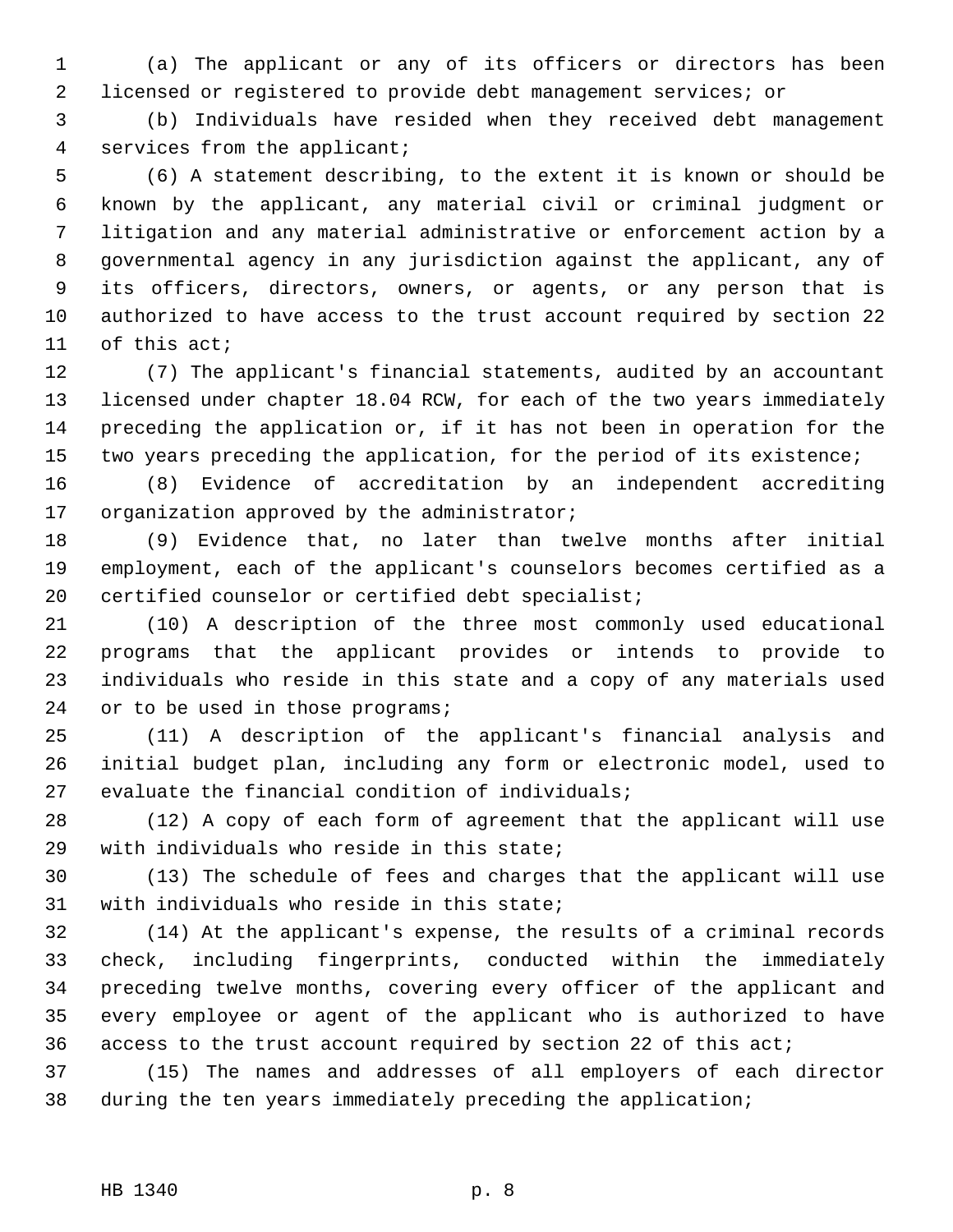1 (a) The applicant or any of its officers or directors has been 2 licensed or registered to provide debt management services; or

 3 (b) Individuals have resided when they received debt management 4 services from the applicant;

 5 (6) A statement describing, to the extent it is known or should be 6 known by the applicant, any material civil or criminal judgment or 7 litigation and any material administrative or enforcement action by a 8 governmental agency in any jurisdiction against the applicant, any of 9 its officers, directors, owners, or agents, or any person that is 10 authorized to have access to the trust account required by section 22 11 of this act;

12 (7) The applicant's financial statements, audited by an accountant 13 licensed under chapter 18.04 RCW, for each of the two years immediately 14 preceding the application or, if it has not been in operation for the 15 two years preceding the application, for the period of its existence;

16 (8) Evidence of accreditation by an independent accrediting 17 organization approved by the administrator;

18 (9) Evidence that, no later than twelve months after initial 19 employment, each of the applicant's counselors becomes certified as a 20 certified counselor or certified debt specialist;

21 (10) A description of the three most commonly used educational 22 programs that the applicant provides or intends to provide to 23 individuals who reside in this state and a copy of any materials used 24 or to be used in those programs;

25 (11) A description of the applicant's financial analysis and 26 initial budget plan, including any form or electronic model, used to 27 evaluate the financial condition of individuals;

28 (12) A copy of each form of agreement that the applicant will use 29 with individuals who reside in this state;

30 (13) The schedule of fees and charges that the applicant will use 31 with individuals who reside in this state;

32 (14) At the applicant's expense, the results of a criminal records 33 check, including fingerprints, conducted within the immediately 34 preceding twelve months, covering every officer of the applicant and 35 every employee or agent of the applicant who is authorized to have 36 access to the trust account required by section 22 of this act;

37 (15) The names and addresses of all employers of each director 38 during the ten years immediately preceding the application;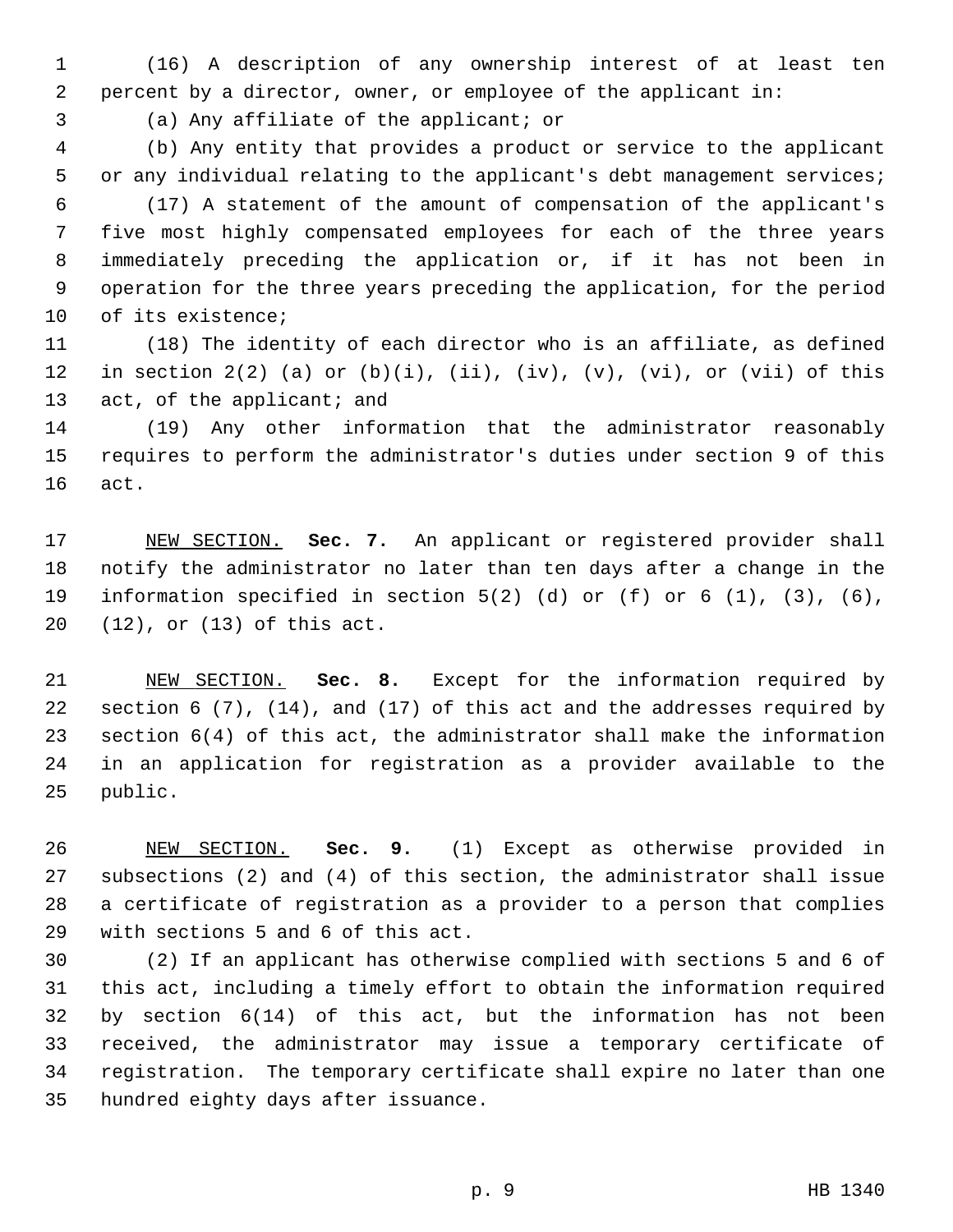1 (16) A description of any ownership interest of at least ten 2 percent by a director, owner, or employee of the applicant in:

3 (a) Any affiliate of the applicant; or

 4 (b) Any entity that provides a product or service to the applicant 5 or any individual relating to the applicant's debt management services;

 6 (17) A statement of the amount of compensation of the applicant's 7 five most highly compensated employees for each of the three years 8 immediately preceding the application or, if it has not been in 9 operation for the three years preceding the application, for the period 10 of its existence;

11 (18) The identity of each director who is an affiliate, as defined 12 in section  $2(2)$  (a) or (b)(i), (ii), (iv), (v), (vi), or (vii) of this 13 act, of the applicant; and

14 (19) Any other information that the administrator reasonably 15 requires to perform the administrator's duties under section 9 of this 16 act.

17 NEW SECTION. **Sec. 7.** An applicant or registered provider shall 18 notify the administrator no later than ten days after a change in the 19 information specified in section 5(2) (d) or (f) or 6 (1), (3), (6), 20 (12), or (13) of this act.

21 NEW SECTION. **Sec. 8.** Except for the information required by 22 section 6 (7), (14), and (17) of this act and the addresses required by 23 section 6(4) of this act, the administrator shall make the information 24 in an application for registration as a provider available to the 25 public.

26 NEW SECTION. **Sec. 9.** (1) Except as otherwise provided in 27 subsections (2) and (4) of this section, the administrator shall issue 28 a certificate of registration as a provider to a person that complies 29 with sections 5 and 6 of this act.

30 (2) If an applicant has otherwise complied with sections 5 and 6 of 31 this act, including a timely effort to obtain the information required 32 by section 6(14) of this act, but the information has not been 33 received, the administrator may issue a temporary certificate of 34 registration. The temporary certificate shall expire no later than one 35 hundred eighty days after issuance.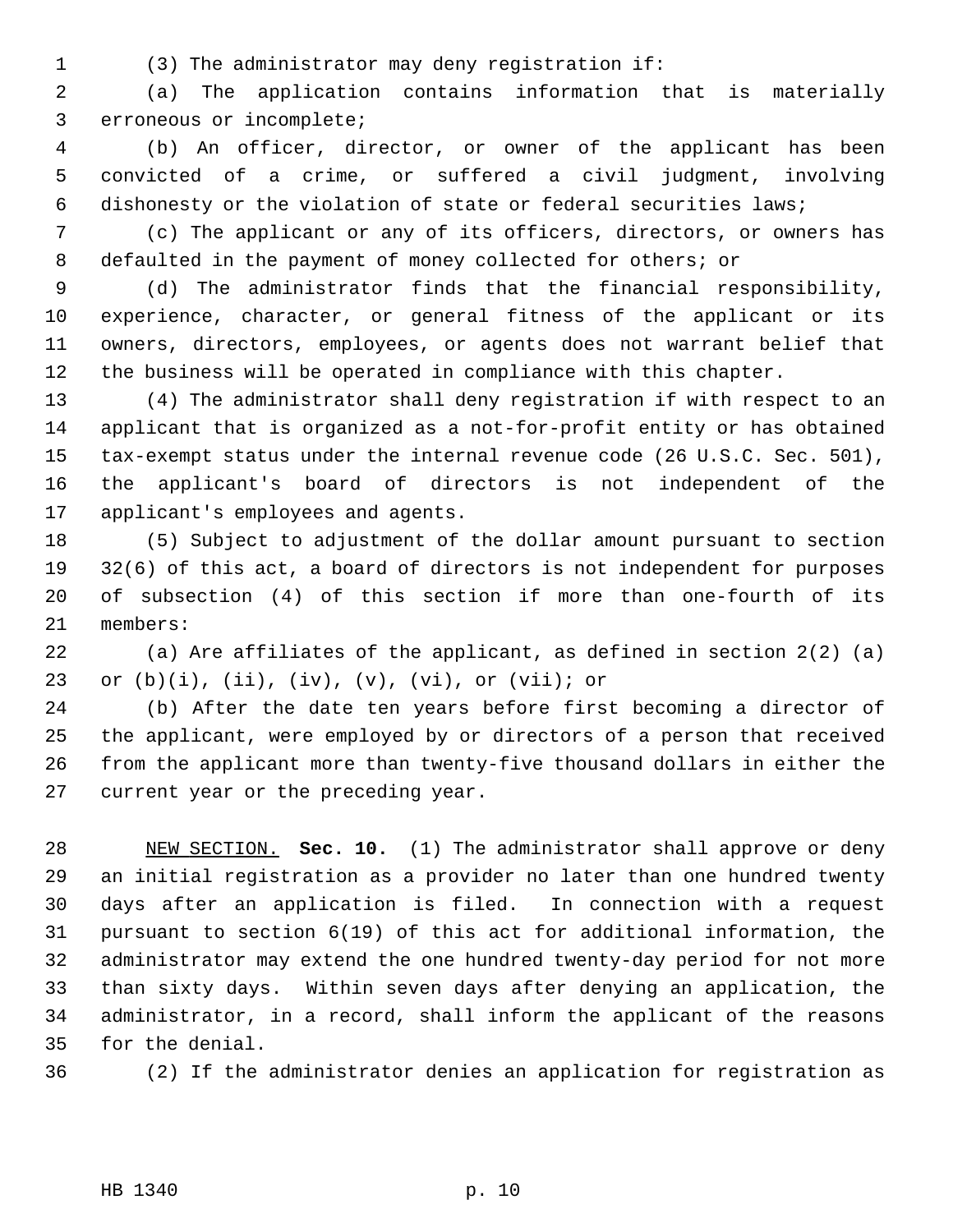1 (3) The administrator may deny registration if:

 2 (a) The application contains information that is materially 3 erroneous or incomplete;

 4 (b) An officer, director, or owner of the applicant has been 5 convicted of a crime, or suffered a civil judgment, involving 6 dishonesty or the violation of state or federal securities laws;

 7 (c) The applicant or any of its officers, directors, or owners has 8 defaulted in the payment of money collected for others; or

 9 (d) The administrator finds that the financial responsibility, 10 experience, character, or general fitness of the applicant or its 11 owners, directors, employees, or agents does not warrant belief that 12 the business will be operated in compliance with this chapter.

13 (4) The administrator shall deny registration if with respect to an 14 applicant that is organized as a not-for-profit entity or has obtained 15 tax-exempt status under the internal revenue code (26 U.S.C. Sec. 501), 16 the applicant's board of directors is not independent of the 17 applicant's employees and agents.

18 (5) Subject to adjustment of the dollar amount pursuant to section 19 32(6) of this act, a board of directors is not independent for purposes 20 of subsection (4) of this section if more than one-fourth of its 21 members:

22 (a) Are affiliates of the applicant, as defined in section 2(2) (a) 23 or  $(b)(i)$ ,  $(ii)$ ,  $(iv)$ ,  $(v)$ ,  $(vi)$ , or  $(vii)$ ; or

24 (b) After the date ten years before first becoming a director of 25 the applicant, were employed by or directors of a person that received 26 from the applicant more than twenty-five thousand dollars in either the 27 current year or the preceding year.

28 NEW SECTION. **Sec. 10.** (1) The administrator shall approve or deny 29 an initial registration as a provider no later than one hundred twenty 30 days after an application is filed. In connection with a request 31 pursuant to section 6(19) of this act for additional information, the 32 administrator may extend the one hundred twenty-day period for not more 33 than sixty days. Within seven days after denying an application, the 34 administrator, in a record, shall inform the applicant of the reasons 35 for the denial.

36 (2) If the administrator denies an application for registration as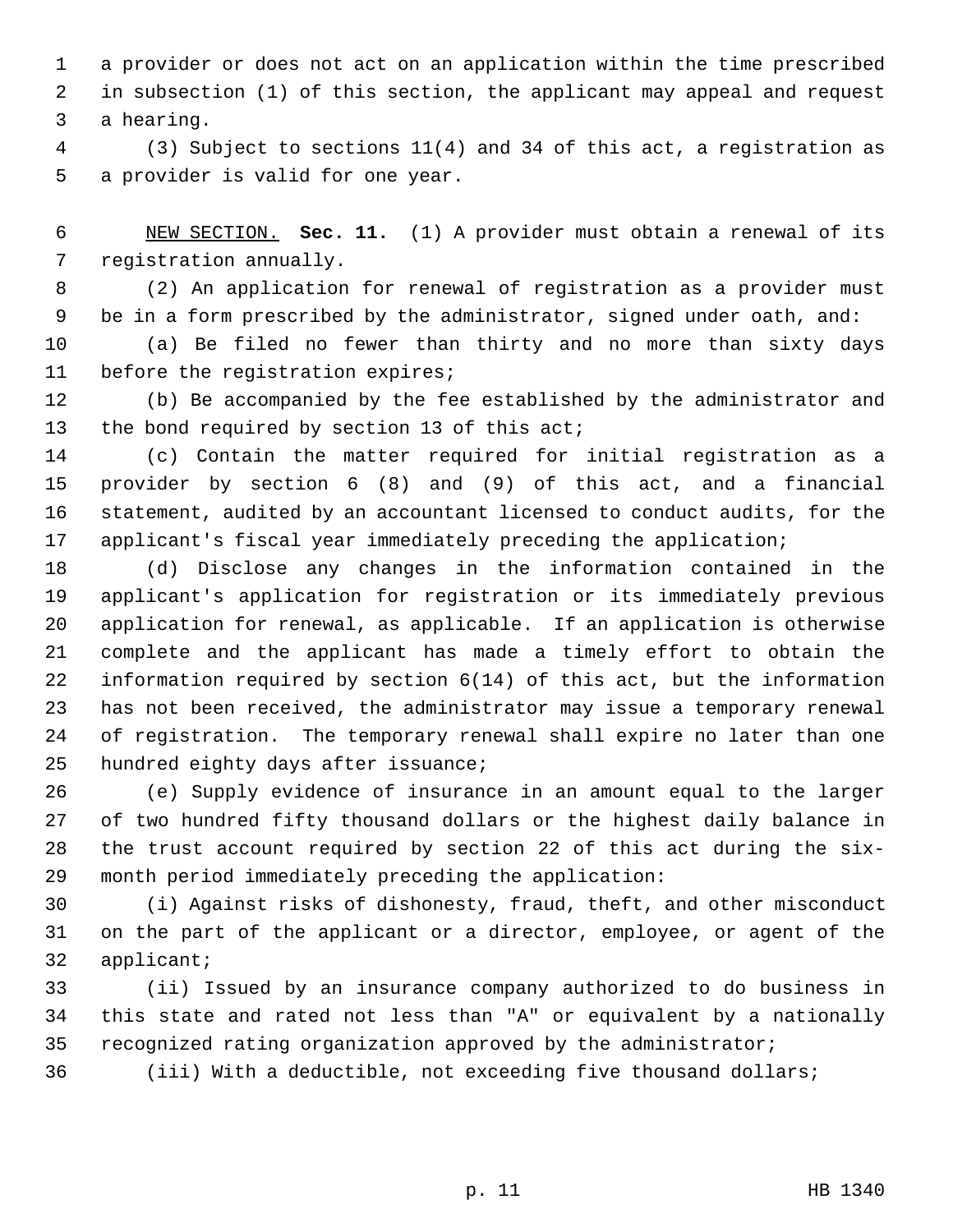1 a provider or does not act on an application within the time prescribed 2 in subsection (1) of this section, the applicant may appeal and request 3 a hearing.

 4 (3) Subject to sections 11(4) and 34 of this act, a registration as 5 a provider is valid for one year.

 6 NEW SECTION. **Sec. 11.** (1) A provider must obtain a renewal of its 7 registration annually.

 8 (2) An application for renewal of registration as a provider must 9 be in a form prescribed by the administrator, signed under oath, and:

10 (a) Be filed no fewer than thirty and no more than sixty days 11 before the registration expires;

12 (b) Be accompanied by the fee established by the administrator and 13 the bond required by section 13 of this act;

14 (c) Contain the matter required for initial registration as a 15 provider by section 6 (8) and (9) of this act, and a financial 16 statement, audited by an accountant licensed to conduct audits, for the 17 applicant's fiscal year immediately preceding the application;

18 (d) Disclose any changes in the information contained in the 19 applicant's application for registration or its immediately previous 20 application for renewal, as applicable. If an application is otherwise 21 complete and the applicant has made a timely effort to obtain the 22 information required by section 6(14) of this act, but the information 23 has not been received, the administrator may issue a temporary renewal 24 of registration. The temporary renewal shall expire no later than one 25 hundred eighty days after issuance;

26 (e) Supply evidence of insurance in an amount equal to the larger 27 of two hundred fifty thousand dollars or the highest daily balance in 28 the trust account required by section 22 of this act during the six-29 month period immediately preceding the application:

30 (i) Against risks of dishonesty, fraud, theft, and other misconduct 31 on the part of the applicant or a director, employee, or agent of the 32 applicant;

33 (ii) Issued by an insurance company authorized to do business in 34 this state and rated not less than "A" or equivalent by a nationally 35 recognized rating organization approved by the administrator;

36 (iii) With a deductible, not exceeding five thousand dollars;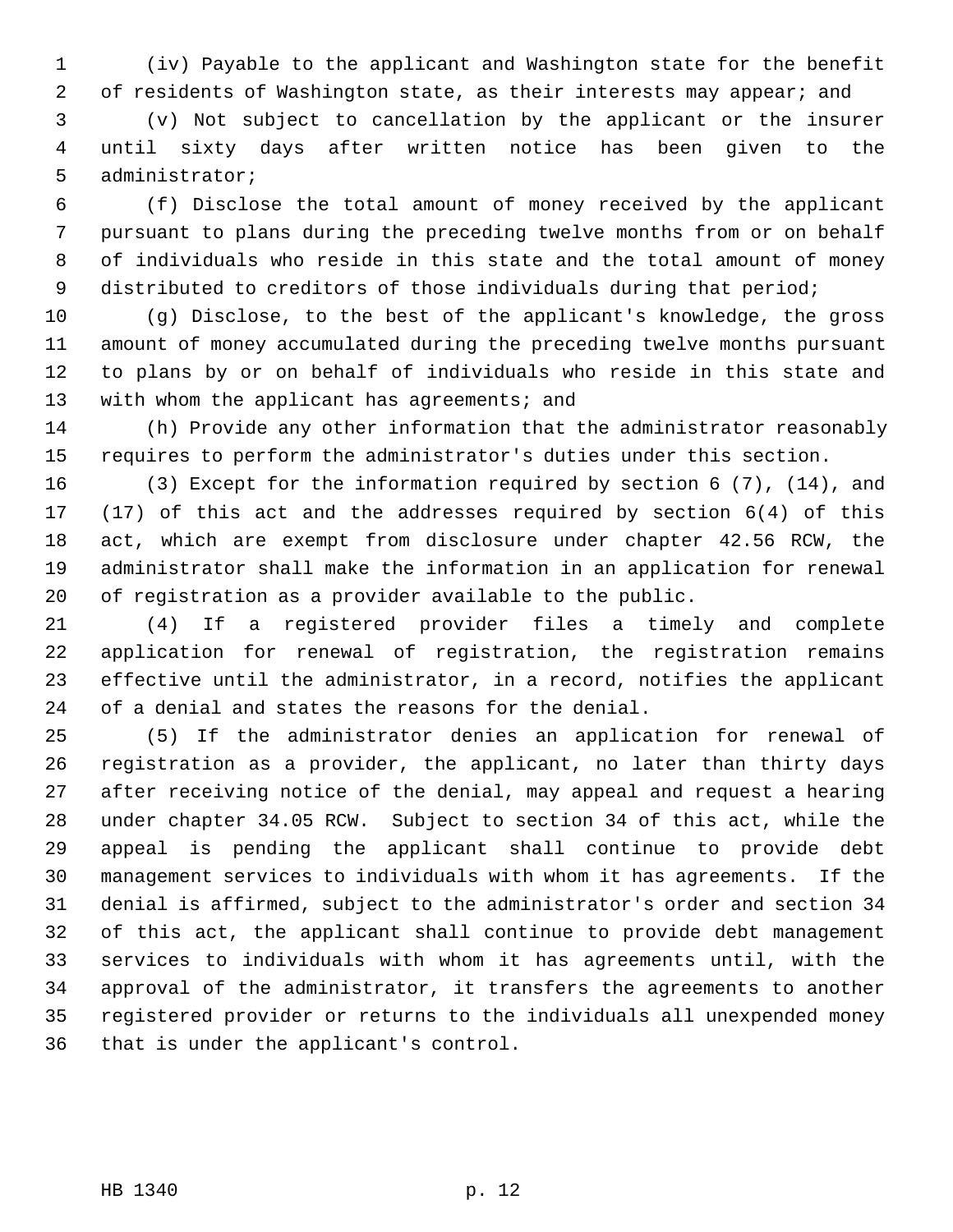1 (iv) Payable to the applicant and Washington state for the benefit 2 of residents of Washington state, as their interests may appear; and

 3 (v) Not subject to cancellation by the applicant or the insurer 4 until sixty days after written notice has been given to the 5 administrator;

 6 (f) Disclose the total amount of money received by the applicant 7 pursuant to plans during the preceding twelve months from or on behalf 8 of individuals who reside in this state and the total amount of money 9 distributed to creditors of those individuals during that period;

10 (g) Disclose, to the best of the applicant's knowledge, the gross 11 amount of money accumulated during the preceding twelve months pursuant 12 to plans by or on behalf of individuals who reside in this state and 13 with whom the applicant has agreements; and

14 (h) Provide any other information that the administrator reasonably 15 requires to perform the administrator's duties under this section.

16 (3) Except for the information required by section 6 (7), (14), and 17 (17) of this act and the addresses required by section 6(4) of this 18 act, which are exempt from disclosure under chapter 42.56 RCW, the 19 administrator shall make the information in an application for renewal 20 of registration as a provider available to the public.

21 (4) If a registered provider files a timely and complete 22 application for renewal of registration, the registration remains 23 effective until the administrator, in a record, notifies the applicant 24 of a denial and states the reasons for the denial.

25 (5) If the administrator denies an application for renewal of 26 registration as a provider, the applicant, no later than thirty days 27 after receiving notice of the denial, may appeal and request a hearing 28 under chapter 34.05 RCW. Subject to section 34 of this act, while the 29 appeal is pending the applicant shall continue to provide debt 30 management services to individuals with whom it has agreements. If the 31 denial is affirmed, subject to the administrator's order and section 34 32 of this act, the applicant shall continue to provide debt management 33 services to individuals with whom it has agreements until, with the 34 approval of the administrator, it transfers the agreements to another 35 registered provider or returns to the individuals all unexpended money 36 that is under the applicant's control.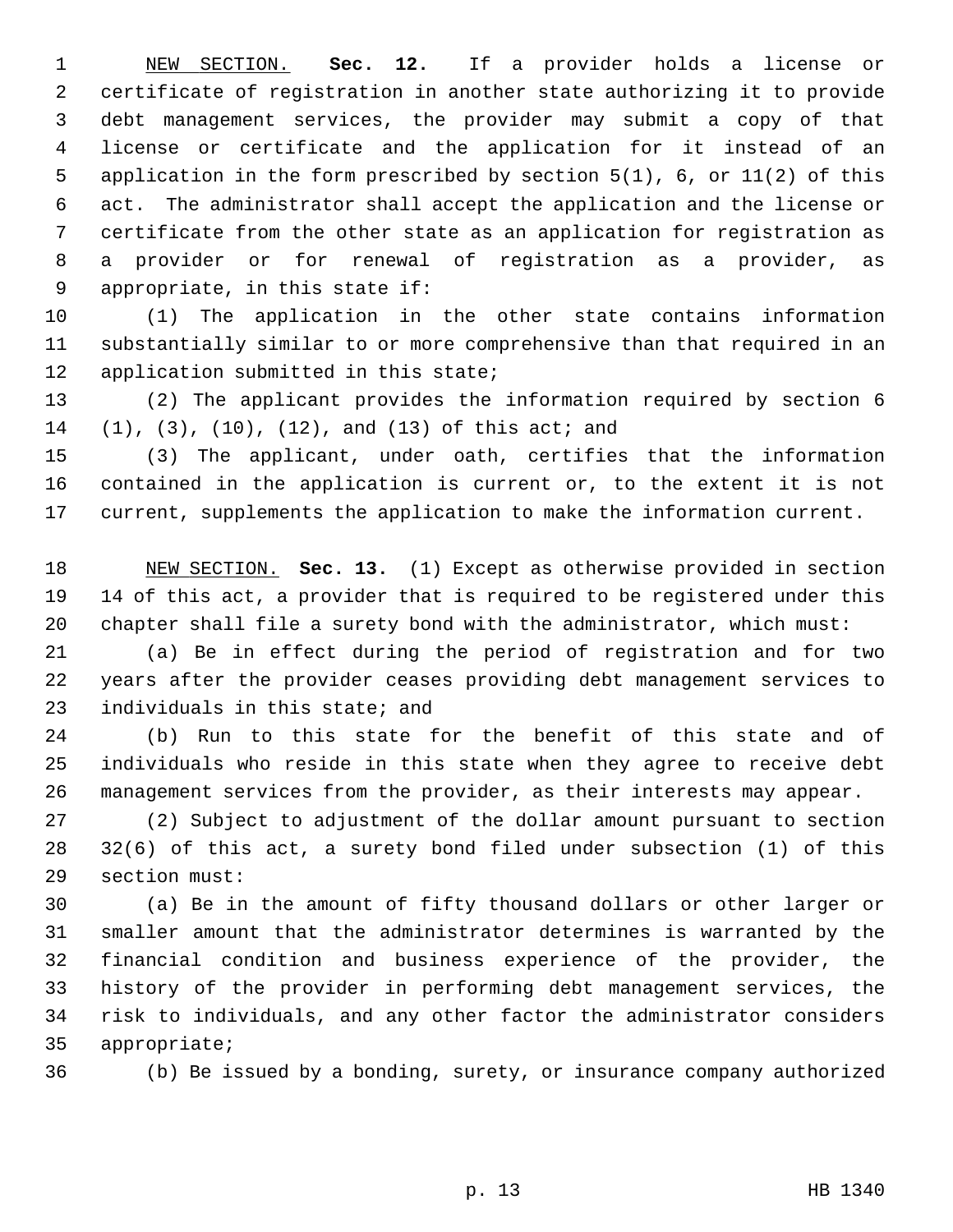1 NEW SECTION. **Sec. 12.** If a provider holds a license or 2 certificate of registration in another state authorizing it to provide 3 debt management services, the provider may submit a copy of that 4 license or certificate and the application for it instead of an 5 application in the form prescribed by section 5(1), 6, or 11(2) of this 6 act. The administrator shall accept the application and the license or 7 certificate from the other state as an application for registration as 8 a provider or for renewal of registration as a provider, as 9 appropriate, in this state if:

10 (1) The application in the other state contains information 11 substantially similar to or more comprehensive than that required in an 12 application submitted in this state;

13 (2) The applicant provides the information required by section 6 14 (1), (3), (10), (12), and (13) of this act; and

15 (3) The applicant, under oath, certifies that the information 16 contained in the application is current or, to the extent it is not 17 current, supplements the application to make the information current.

18 NEW SECTION. **Sec. 13.** (1) Except as otherwise provided in section 19 14 of this act, a provider that is required to be registered under this 20 chapter shall file a surety bond with the administrator, which must:

21 (a) Be in effect during the period of registration and for two 22 years after the provider ceases providing debt management services to 23 individuals in this state; and

24 (b) Run to this state for the benefit of this state and of 25 individuals who reside in this state when they agree to receive debt 26 management services from the provider, as their interests may appear.

27 (2) Subject to adjustment of the dollar amount pursuant to section 28 32(6) of this act, a surety bond filed under subsection (1) of this 29 section must:

30 (a) Be in the amount of fifty thousand dollars or other larger or 31 smaller amount that the administrator determines is warranted by the 32 financial condition and business experience of the provider, the 33 history of the provider in performing debt management services, the 34 risk to individuals, and any other factor the administrator considers 35 appropriate;

36 (b) Be issued by a bonding, surety, or insurance company authorized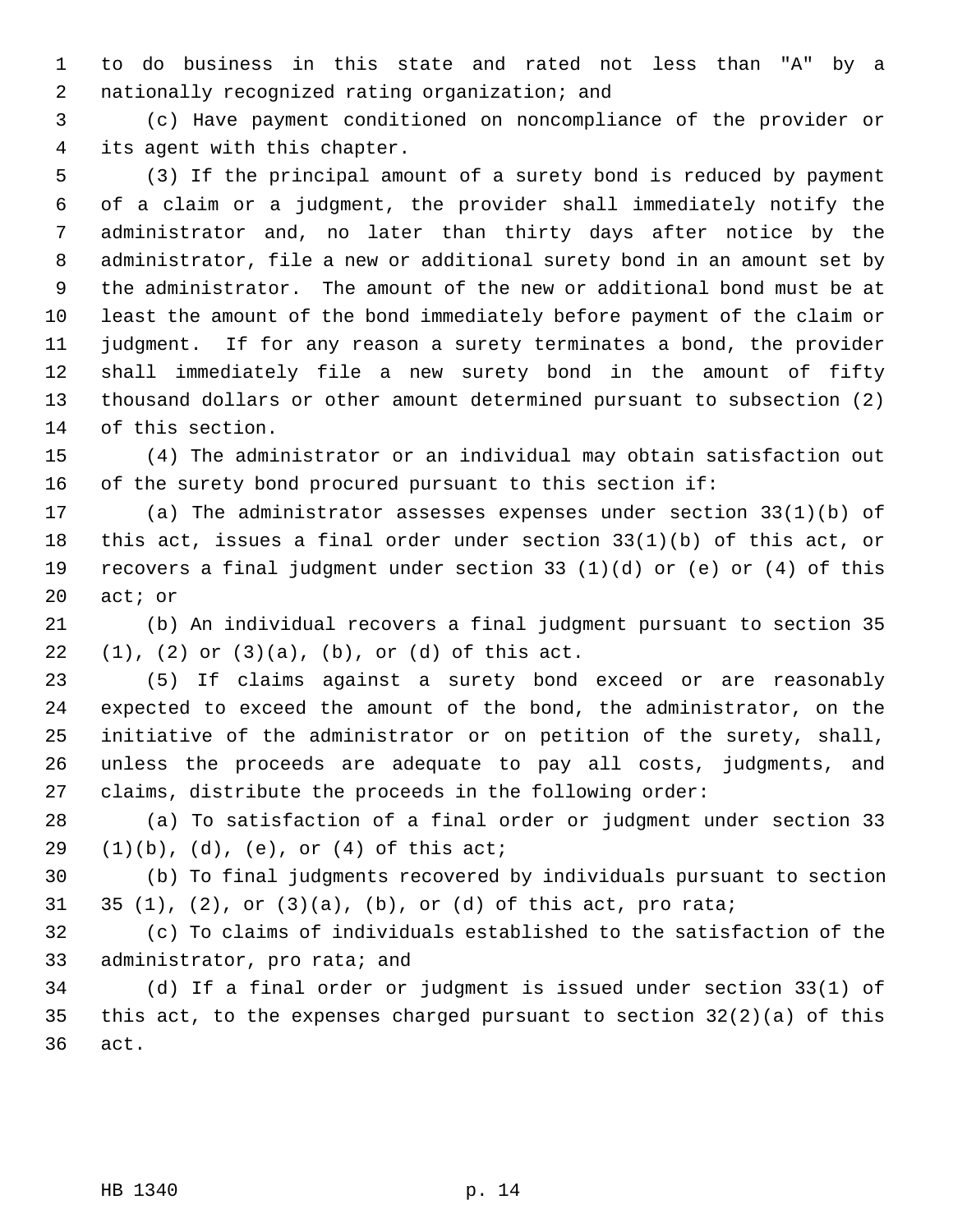1 to do business in this state and rated not less than "A" by a 2 nationally recognized rating organization; and

 3 (c) Have payment conditioned on noncompliance of the provider or 4 its agent with this chapter.

 5 (3) If the principal amount of a surety bond is reduced by payment 6 of a claim or a judgment, the provider shall immediately notify the 7 administrator and, no later than thirty days after notice by the 8 administrator, file a new or additional surety bond in an amount set by 9 the administrator. The amount of the new or additional bond must be at 10 least the amount of the bond immediately before payment of the claim or 11 judgment. If for any reason a surety terminates a bond, the provider 12 shall immediately file a new surety bond in the amount of fifty 13 thousand dollars or other amount determined pursuant to subsection (2) 14 of this section.

15 (4) The administrator or an individual may obtain satisfaction out 16 of the surety bond procured pursuant to this section if:

17 (a) The administrator assesses expenses under section 33(1)(b) of 18 this act, issues a final order under section 33(1)(b) of this act, or 19 recovers a final judgment under section 33 (1)(d) or (e) or (4) of this 20 act; or

21 (b) An individual recovers a final judgment pursuant to section 35 22 (1), (2) or (3)(a), (b), or (d) of this act.

23 (5) If claims against a surety bond exceed or are reasonably 24 expected to exceed the amount of the bond, the administrator, on the 25 initiative of the administrator or on petition of the surety, shall, 26 unless the proceeds are adequate to pay all costs, judgments, and 27 claims, distribute the proceeds in the following order:

28 (a) To satisfaction of a final order or judgment under section 33  $29$   $(1)(b)$ ,  $(d)$ ,  $(e)$ , or  $(4)$  of this act;

30 (b) To final judgments recovered by individuals pursuant to section 31 35  $(1)$ ,  $(2)$ , or  $(3)(a)$ ,  $(b)$ , or  $(d)$  of this act, pro rata;

32 (c) To claims of individuals established to the satisfaction of the 33 administrator, pro rata; and

34 (d) If a final order or judgment is issued under section 33(1) of 35 this act, to the expenses charged pursuant to section 32(2)(a) of this 36 act.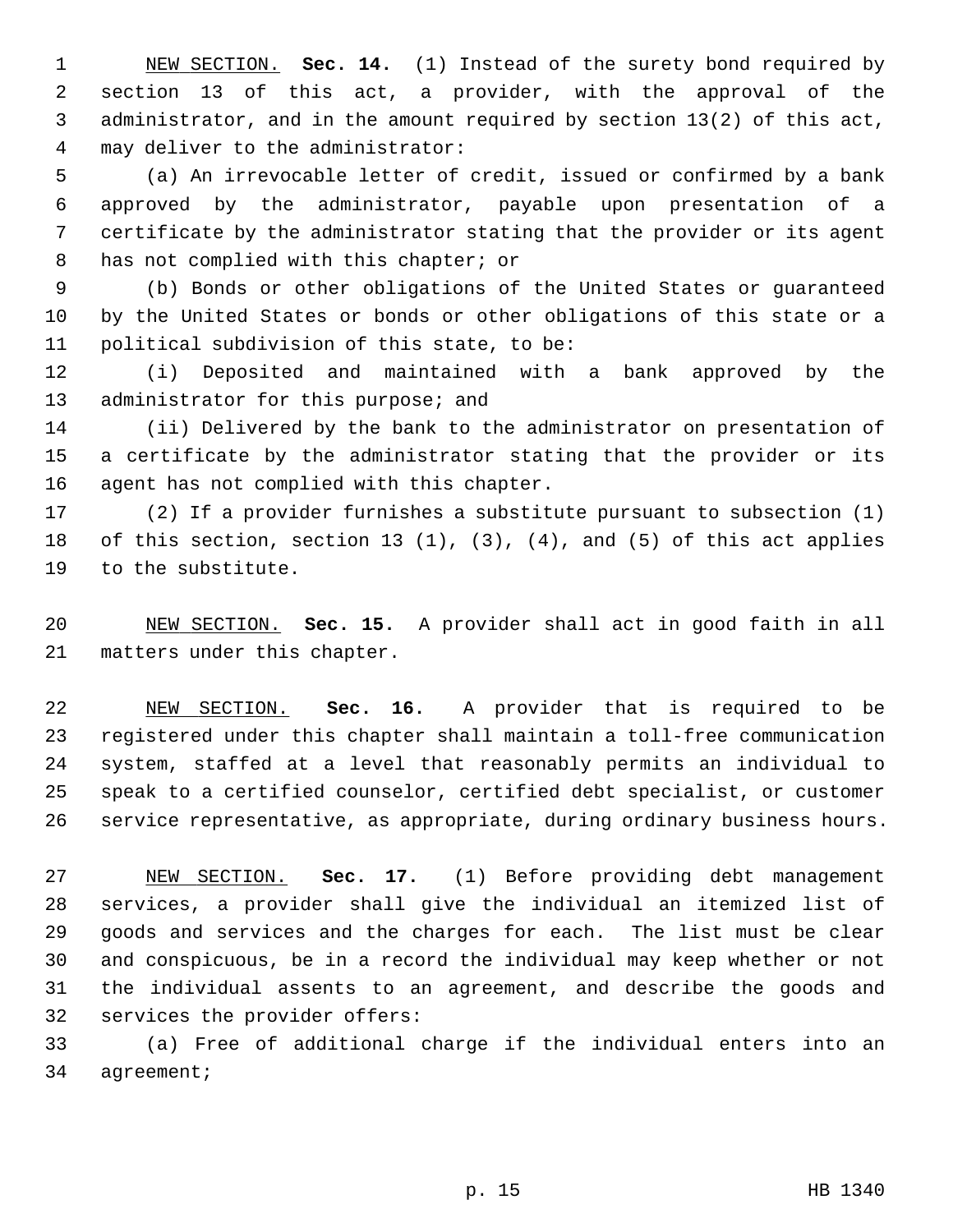1 NEW SECTION. **Sec. 14.** (1) Instead of the surety bond required by 2 section 13 of this act, a provider, with the approval of the 3 administrator, and in the amount required by section 13(2) of this act, 4 may deliver to the administrator:

 5 (a) An irrevocable letter of credit, issued or confirmed by a bank 6 approved by the administrator, payable upon presentation of a 7 certificate by the administrator stating that the provider or its agent 8 has not complied with this chapter; or

 9 (b) Bonds or other obligations of the United States or guaranteed 10 by the United States or bonds or other obligations of this state or a 11 political subdivision of this state, to be:

12 (i) Deposited and maintained with a bank approved by the 13 administrator for this purpose; and

14 (ii) Delivered by the bank to the administrator on presentation of 15 a certificate by the administrator stating that the provider or its 16 agent has not complied with this chapter.

17 (2) If a provider furnishes a substitute pursuant to subsection (1) 18 of this section, section 13 (1), (3), (4), and (5) of this act applies 19 to the substitute.

20 NEW SECTION. **Sec. 15.** A provider shall act in good faith in all 21 matters under this chapter.

22 NEW SECTION. **Sec. 16.** A provider that is required to be 23 registered under this chapter shall maintain a toll-free communication 24 system, staffed at a level that reasonably permits an individual to 25 speak to a certified counselor, certified debt specialist, or customer 26 service representative, as appropriate, during ordinary business hours.

27 NEW SECTION. **Sec. 17.** (1) Before providing debt management 28 services, a provider shall give the individual an itemized list of 29 goods and services and the charges for each. The list must be clear 30 and conspicuous, be in a record the individual may keep whether or not 31 the individual assents to an agreement, and describe the goods and 32 services the provider offers:

33 (a) Free of additional charge if the individual enters into an 34 agreement;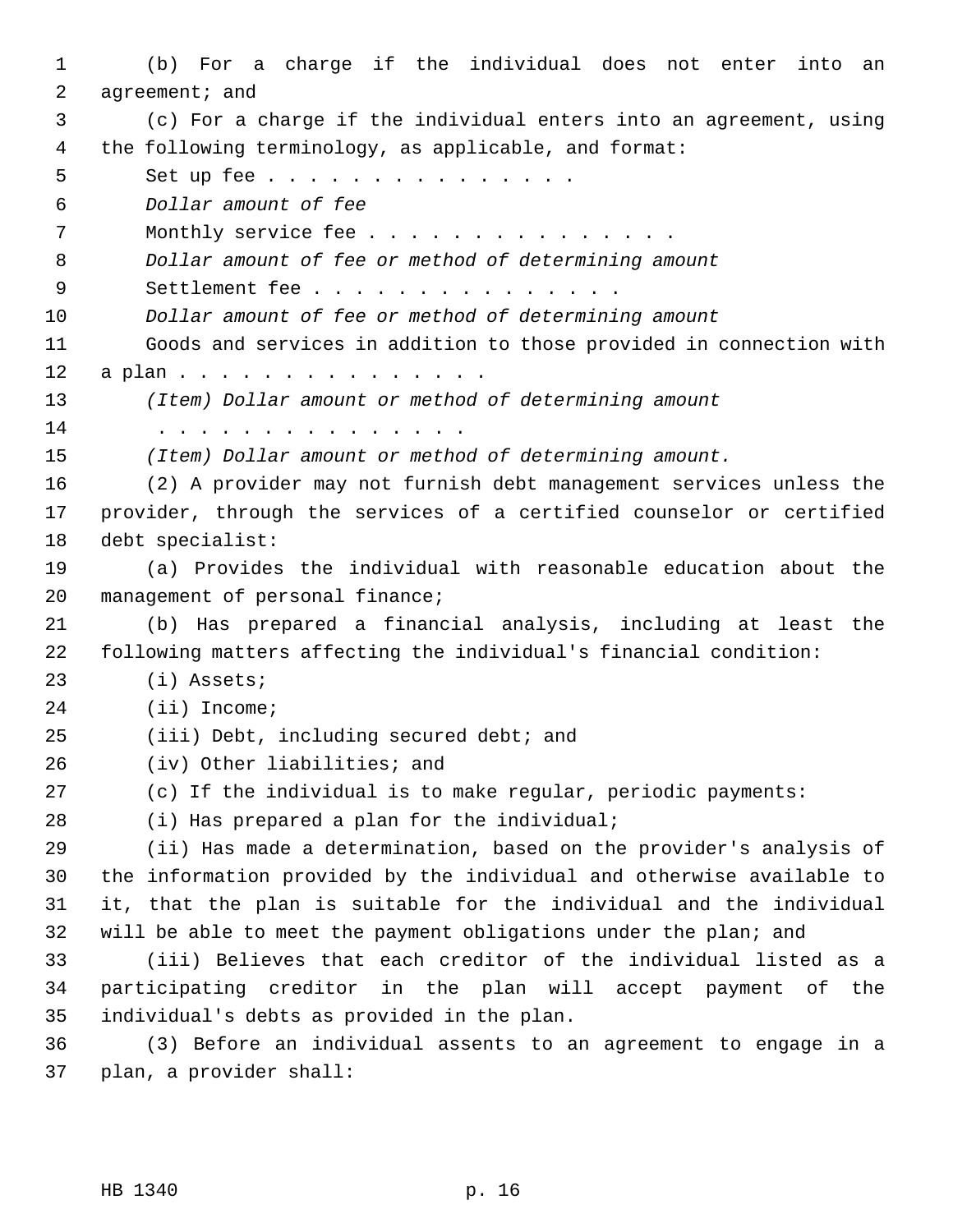1 (b) For a charge if the individual does not enter into an 2 agreement; and 3 (c) For a charge if the individual enters into an agreement, using 4 the following terminology, as applicable, and format: 5 Set up fee . . . . . . . . . . . . . . 6 *Dollar amount of fee* 7 Monthly service fee . . . . . . . . . . . . . . . 8 *Dollar amount of fee or method of determining amount* 9 Settlement fee . . . . . . . . . . . . . . 10 *Dollar amount of fee or method of determining amount* 11 Goods and services in addition to those provided in connection with 12 a plan . . . . . . . . . . . . . . 13 *(Item) Dollar amount or method of determining amount* 14 . . . . . . . . . . . . . . . 15 *(Item) Dollar amount or method of determining amount.* 16 (2) A provider may not furnish debt management services unless the 17 provider, through the services of a certified counselor or certified 18 debt specialist: 19 (a) Provides the individual with reasonable education about the 20 management of personal finance; 21 (b) Has prepared a financial analysis, including at least the 22 following matters affecting the individual's financial condition: 23 (i) Assets; 24 (ii) Income; 25 (iii) Debt, including secured debt; and 26 (iv) Other liabilities; and 27 (c) If the individual is to make regular, periodic payments: 28 (i) Has prepared a plan for the individual; 29 (ii) Has made a determination, based on the provider's analysis of 30 the information provided by the individual and otherwise available to 31 it, that the plan is suitable for the individual and the individual 32 will be able to meet the payment obligations under the plan; and 33 (iii) Believes that each creditor of the individual listed as a 34 participating creditor in the plan will accept payment of the 35 individual's debts as provided in the plan. 36 (3) Before an individual assents to an agreement to engage in a 37 plan, a provider shall: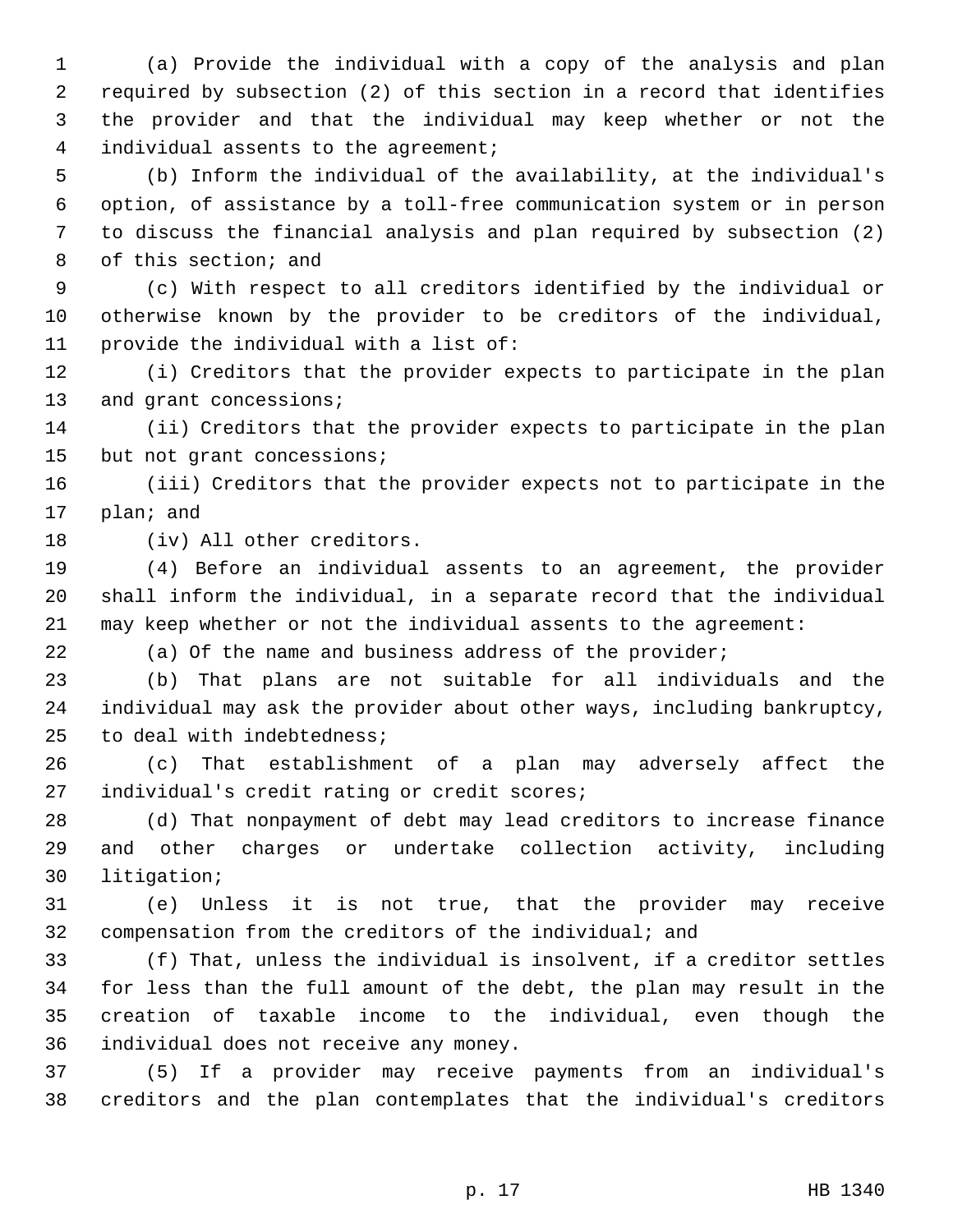1 (a) Provide the individual with a copy of the analysis and plan 2 required by subsection (2) of this section in a record that identifies 3 the provider and that the individual may keep whether or not the 4 individual assents to the agreement;

 5 (b) Inform the individual of the availability, at the individual's 6 option, of assistance by a toll-free communication system or in person 7 to discuss the financial analysis and plan required by subsection (2) 8 of this section; and

 9 (c) With respect to all creditors identified by the individual or 10 otherwise known by the provider to be creditors of the individual, 11 provide the individual with a list of:

12 (i) Creditors that the provider expects to participate in the plan 13 and grant concessions;

14 (ii) Creditors that the provider expects to participate in the plan 15 but not grant concessions;

16 (iii) Creditors that the provider expects not to participate in the 17 plan; and

18 (iv) All other creditors.

19 (4) Before an individual assents to an agreement, the provider 20 shall inform the individual, in a separate record that the individual 21 may keep whether or not the individual assents to the agreement:

22 (a) Of the name and business address of the provider;

23 (b) That plans are not suitable for all individuals and the 24 individual may ask the provider about other ways, including bankruptcy, 25 to deal with indebtedness;

26 (c) That establishment of a plan may adversely affect the 27 individual's credit rating or credit scores;

28 (d) That nonpayment of debt may lead creditors to increase finance 29 and other charges or undertake collection activity, including 30 litigation;

31 (e) Unless it is not true, that the provider may receive 32 compensation from the creditors of the individual; and

33 (f) That, unless the individual is insolvent, if a creditor settles 34 for less than the full amount of the debt, the plan may result in the 35 creation of taxable income to the individual, even though the 36 individual does not receive any money.

37 (5) If a provider may receive payments from an individual's 38 creditors and the plan contemplates that the individual's creditors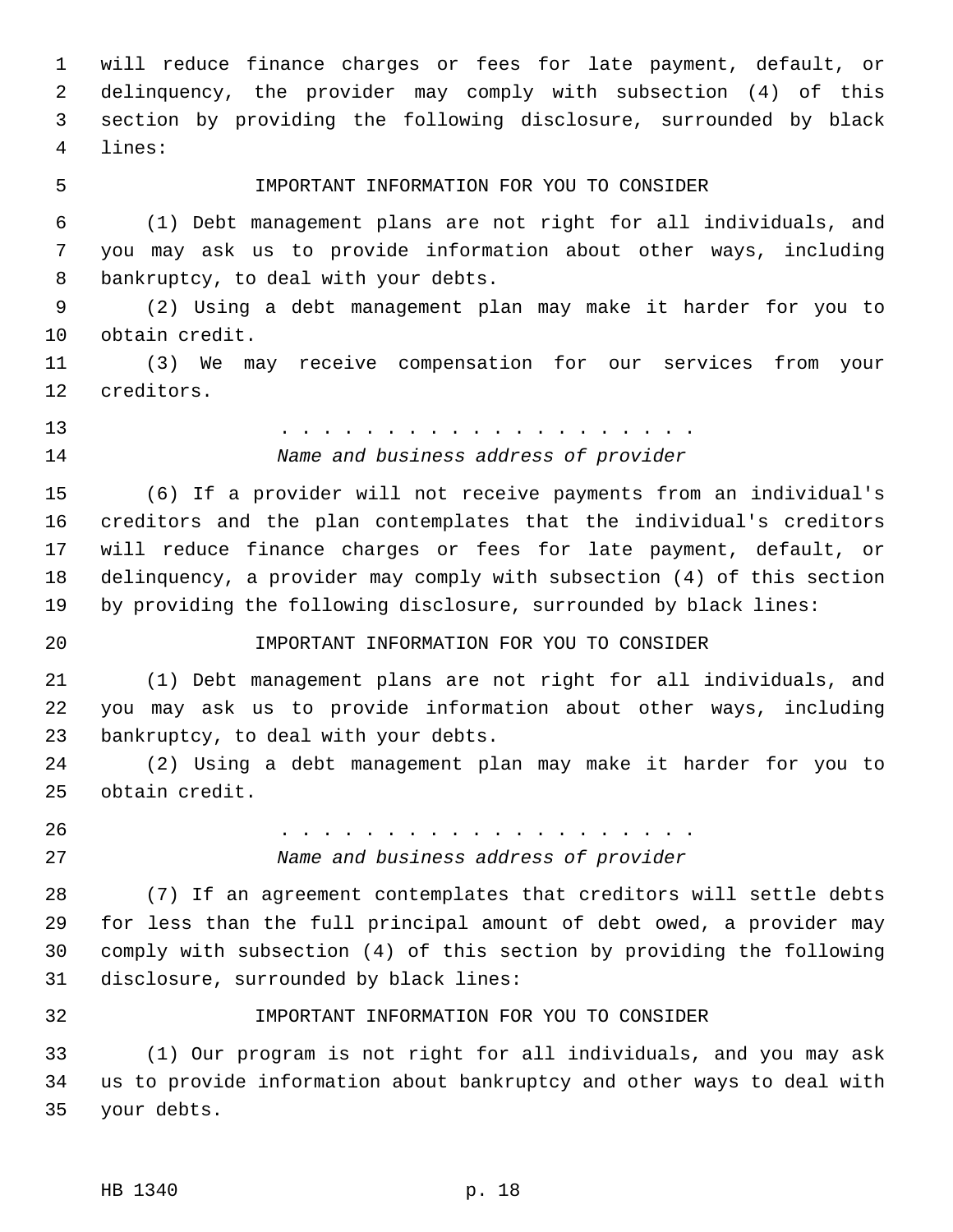1 will reduce finance charges or fees for late payment, default, or 2 delinquency, the provider may comply with subsection (4) of this 3 section by providing the following disclosure, surrounded by black 4 lines:

#### 5 IMPORTANT INFORMATION FOR YOU TO CONSIDER

 6 (1) Debt management plans are not right for all individuals, and 7 you may ask us to provide information about other ways, including 8 bankruptcy, to deal with your debts.

 9 (2) Using a debt management plan may make it harder for you to 10 obtain credit.

11 (3) We may receive compensation for our services from your 12 creditors.

13 . . . . . . . . . . . . . . . . . . . . 14 *Name and business address of provider*

15 (6) If a provider will not receive payments from an individual's 16 creditors and the plan contemplates that the individual's creditors 17 will reduce finance charges or fees for late payment, default, or 18 delinquency, a provider may comply with subsection (4) of this section 19 by providing the following disclosure, surrounded by black lines:

## 20 IMPORTANT INFORMATION FOR YOU TO CONSIDER

21 (1) Debt management plans are not right for all individuals, and 22 you may ask us to provide information about other ways, including 23 bankruptcy, to deal with your debts.

24 (2) Using a debt management plan may make it harder for you to 25 obtain credit.

26 . . . . . . . . . . . . . . . . . . . . 27 *Name and business address of provider*

28 (7) If an agreement contemplates that creditors will settle debts 29 for less than the full principal amount of debt owed, a provider may 30 comply with subsection (4) of this section by providing the following 31 disclosure, surrounded by black lines:

### 32 IMPORTANT INFORMATION FOR YOU TO CONSIDER

33 (1) Our program is not right for all individuals, and you may ask 34 us to provide information about bankruptcy and other ways to deal with 35 your debts.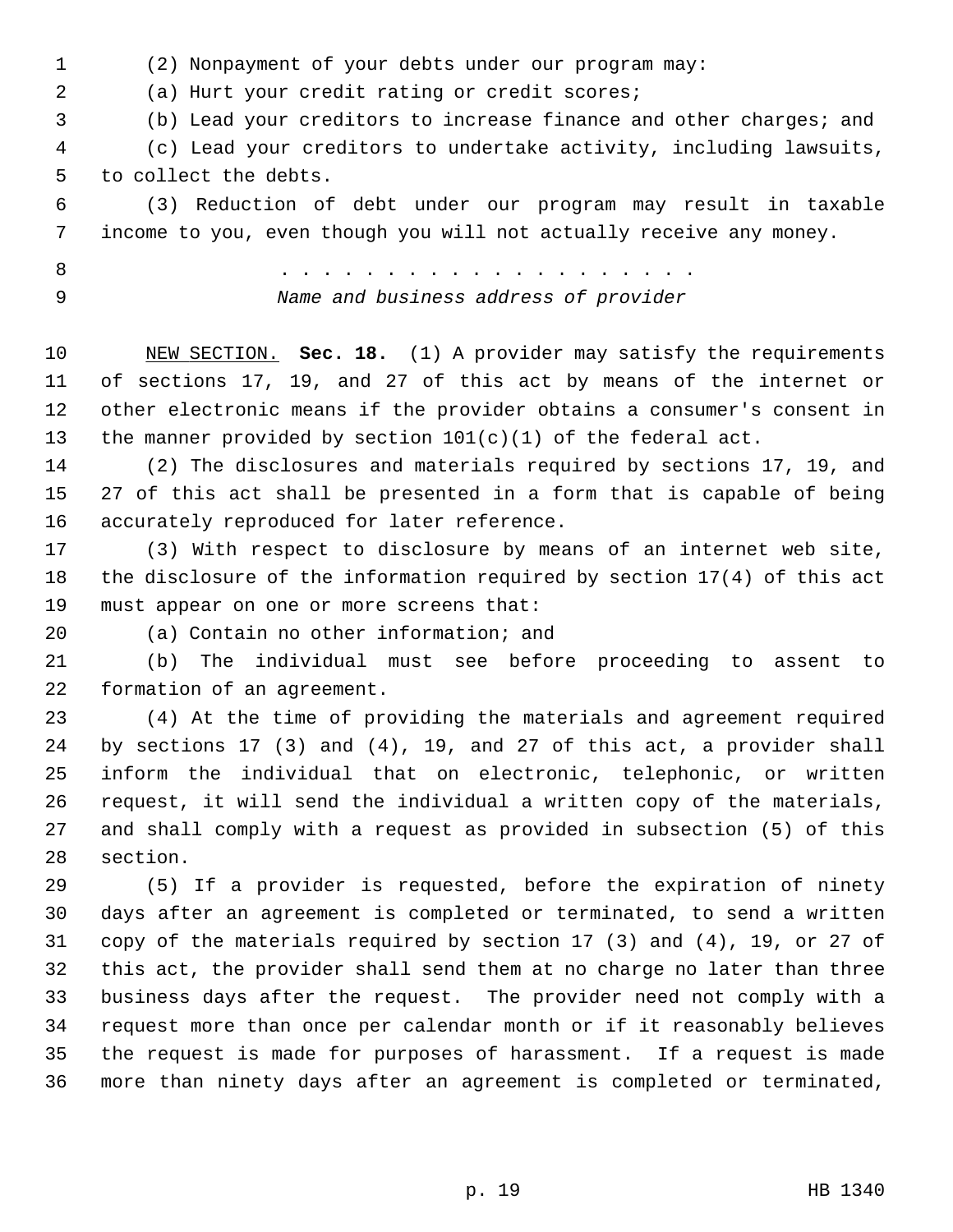1 (2) Nonpayment of your debts under our program may:

2 (a) Hurt your credit rating or credit scores;

3 (b) Lead your creditors to increase finance and other charges; and

 4 (c) Lead your creditors to undertake activity, including lawsuits, 5 to collect the debts.

 6 (3) Reduction of debt under our program may result in taxable 7 income to you, even though you will not actually receive any money.

 8 . . . . . . . . . . . . . . . . . . . . 9 *Name and business address of provider*

10 NEW SECTION. **Sec. 18.** (1) A provider may satisfy the requirements 11 of sections 17, 19, and 27 of this act by means of the internet or 12 other electronic means if the provider obtains a consumer's consent in 13 the manner provided by section  $101(c)(1)$  of the federal act.

14 (2) The disclosures and materials required by sections 17, 19, and 15 27 of this act shall be presented in a form that is capable of being 16 accurately reproduced for later reference.

17 (3) With respect to disclosure by means of an internet web site, 18 the disclosure of the information required by section 17(4) of this act 19 must appear on one or more screens that:

20 (a) Contain no other information; and

21 (b) The individual must see before proceeding to assent to 22 formation of an agreement.

23 (4) At the time of providing the materials and agreement required 24 by sections 17 (3) and (4), 19, and 27 of this act, a provider shall 25 inform the individual that on electronic, telephonic, or written 26 request, it will send the individual a written copy of the materials, 27 and shall comply with a request as provided in subsection (5) of this 28 section.

29 (5) If a provider is requested, before the expiration of ninety 30 days after an agreement is completed or terminated, to send a written 31 copy of the materials required by section 17 (3) and (4), 19, or 27 of 32 this act, the provider shall send them at no charge no later than three 33 business days after the request. The provider need not comply with a 34 request more than once per calendar month or if it reasonably believes 35 the request is made for purposes of harassment. If a request is made 36 more than ninety days after an agreement is completed or terminated,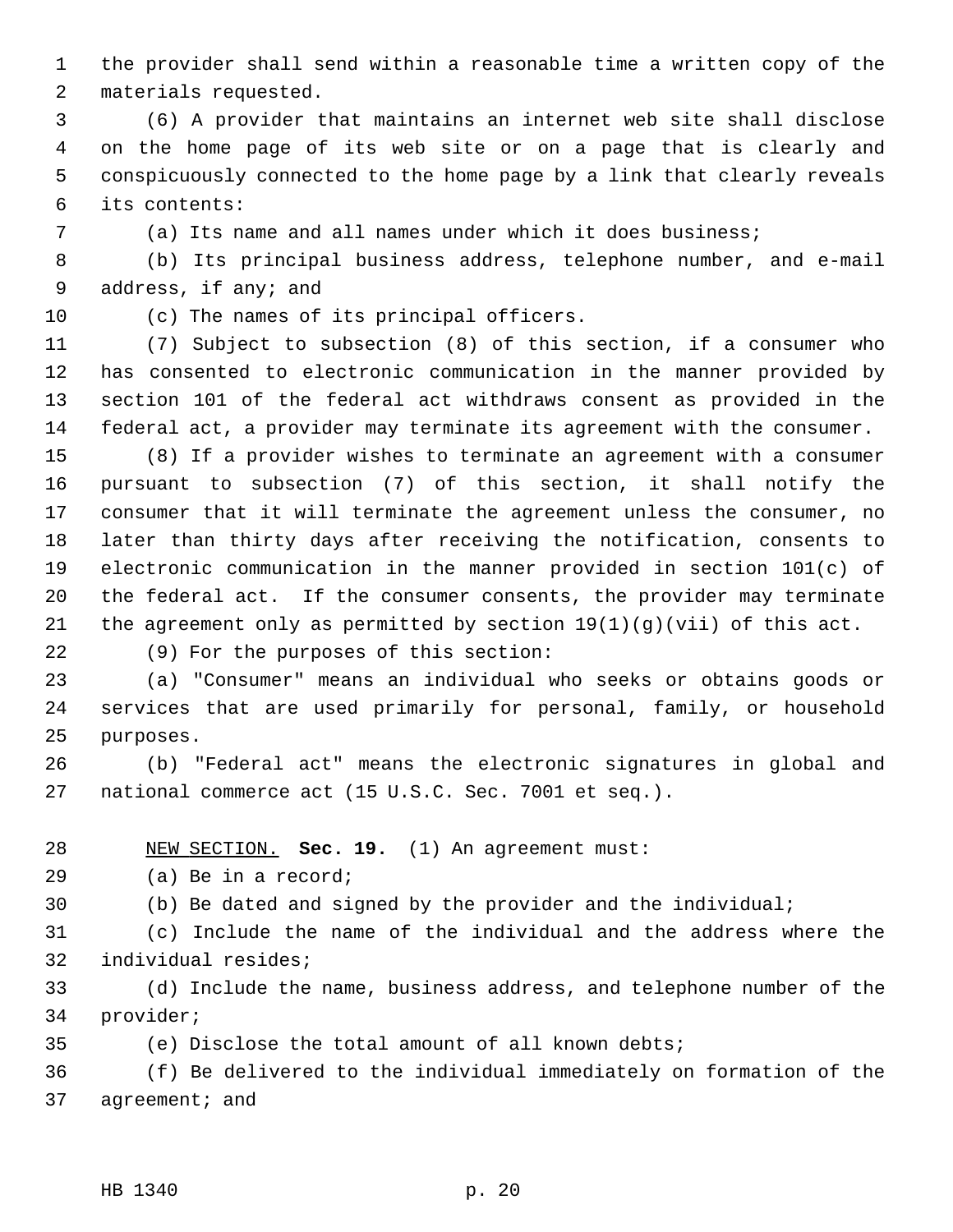1 the provider shall send within a reasonable time a written copy of the 2 materials requested.

 3 (6) A provider that maintains an internet web site shall disclose 4 on the home page of its web site or on a page that is clearly and 5 conspicuously connected to the home page by a link that clearly reveals 6 its contents:

7 (a) Its name and all names under which it does business;

 8 (b) Its principal business address, telephone number, and e-mail 9 address, if any; and

10 (c) The names of its principal officers.

11 (7) Subject to subsection (8) of this section, if a consumer who 12 has consented to electronic communication in the manner provided by 13 section 101 of the federal act withdraws consent as provided in the 14 federal act, a provider may terminate its agreement with the consumer.

15 (8) If a provider wishes to terminate an agreement with a consumer 16 pursuant to subsection (7) of this section, it shall notify the 17 consumer that it will terminate the agreement unless the consumer, no 18 later than thirty days after receiving the notification, consents to 19 electronic communication in the manner provided in section 101(c) of 20 the federal act. If the consumer consents, the provider may terminate 21 the agreement only as permitted by section  $19(1)(g)(vii)$  of this act.

22 (9) For the purposes of this section:

23 (a) "Consumer" means an individual who seeks or obtains goods or 24 services that are used primarily for personal, family, or household 25 purposes.

26 (b) "Federal act" means the electronic signatures in global and 27 national commerce act (15 U.S.C. Sec. 7001 et seq.).

28 NEW SECTION. **Sec. 19.** (1) An agreement must:

29 (a) Be in a record;

30 (b) Be dated and signed by the provider and the individual;

31 (c) Include the name of the individual and the address where the 32 individual resides;

33 (d) Include the name, business address, and telephone number of the 34 provider;

35 (e) Disclose the total amount of all known debts;

36 (f) Be delivered to the individual immediately on formation of the 37 agreement; and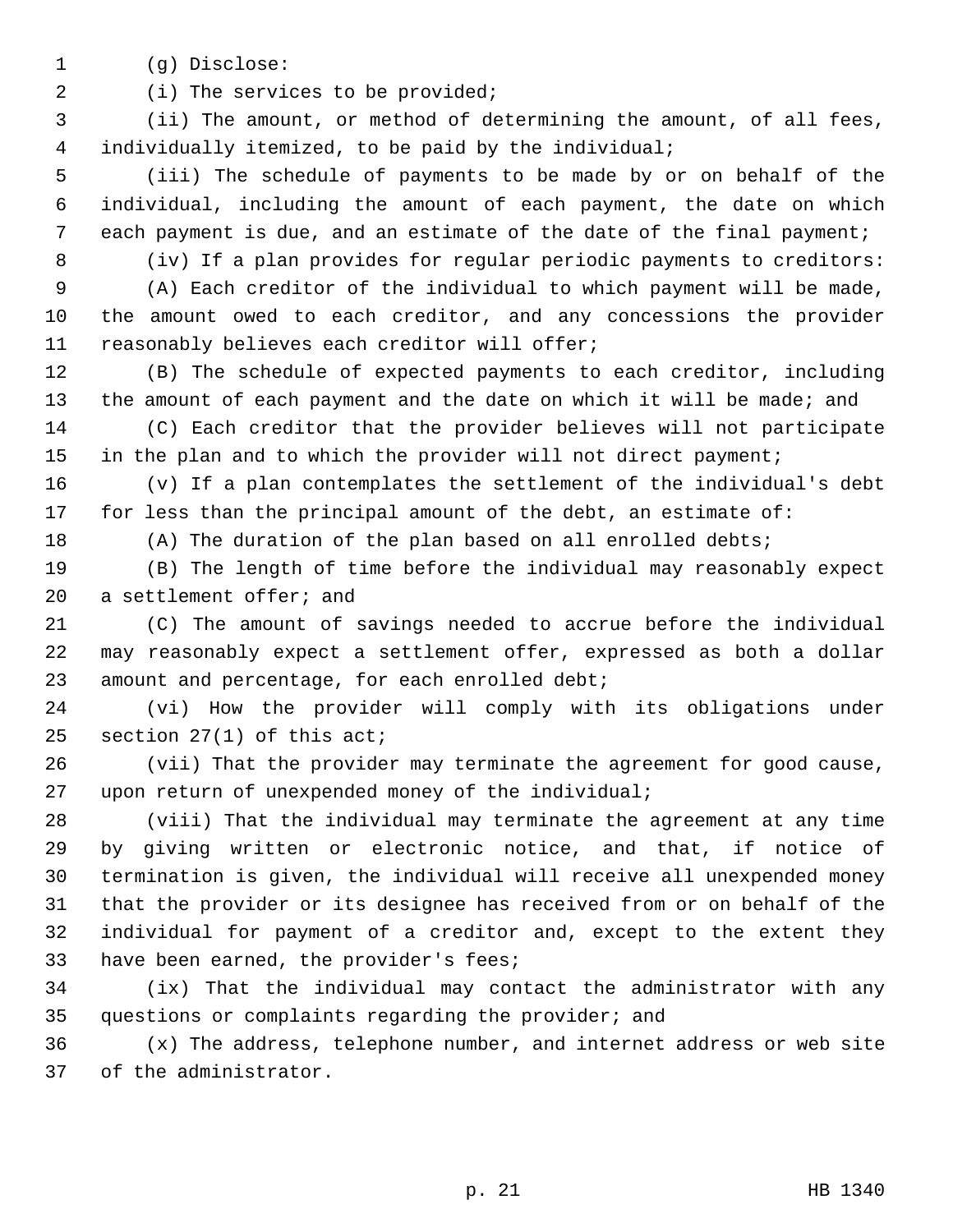1 (g) Disclose:

2 (i) The services to be provided;

 3 (ii) The amount, or method of determining the amount, of all fees, 4 individually itemized, to be paid by the individual;

 5 (iii) The schedule of payments to be made by or on behalf of the 6 individual, including the amount of each payment, the date on which 7 each payment is due, and an estimate of the date of the final payment;

8 (iv) If a plan provides for regular periodic payments to creditors:

 9 (A) Each creditor of the individual to which payment will be made, 10 the amount owed to each creditor, and any concessions the provider 11 reasonably believes each creditor will offer;

12 (B) The schedule of expected payments to each creditor, including 13 the amount of each payment and the date on which it will be made; and

14 (C) Each creditor that the provider believes will not participate 15 in the plan and to which the provider will not direct payment;

16 (v) If a plan contemplates the settlement of the individual's debt 17 for less than the principal amount of the debt, an estimate of:

18 (A) The duration of the plan based on all enrolled debts;

19 (B) The length of time before the individual may reasonably expect 20 a settlement offer; and

21 (C) The amount of savings needed to accrue before the individual 22 may reasonably expect a settlement offer, expressed as both a dollar 23 amount and percentage, for each enrolled debt;

24 (vi) How the provider will comply with its obligations under 25 section 27(1) of this act;

26 (vii) That the provider may terminate the agreement for good cause, 27 upon return of unexpended money of the individual;

28 (viii) That the individual may terminate the agreement at any time 29 by giving written or electronic notice, and that, if notice of 30 termination is given, the individual will receive all unexpended money 31 that the provider or its designee has received from or on behalf of the 32 individual for payment of a creditor and, except to the extent they 33 have been earned, the provider's fees;

34 (ix) That the individual may contact the administrator with any 35 questions or complaints regarding the provider; and

36 (x) The address, telephone number, and internet address or web site 37 of the administrator.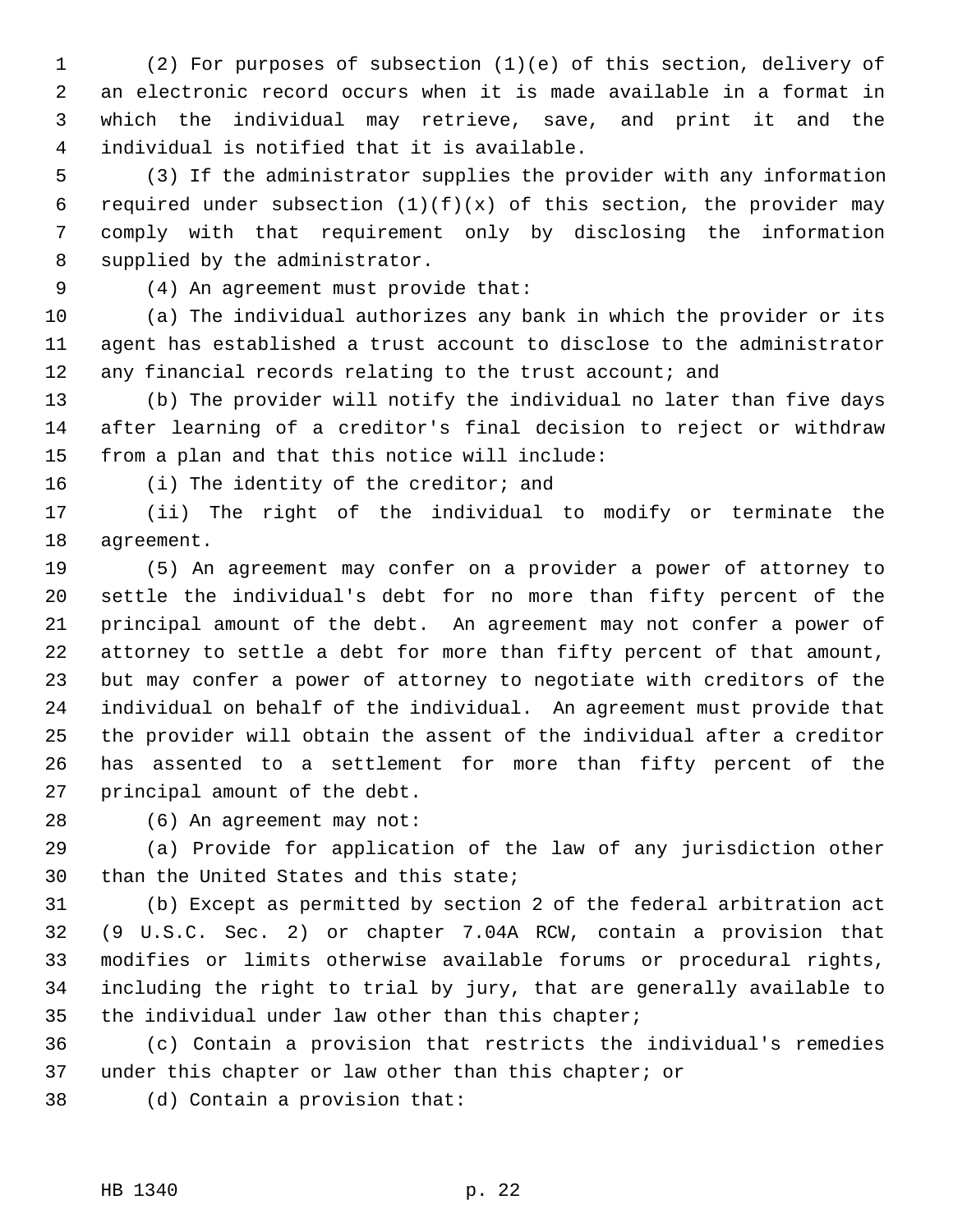1 (2) For purposes of subsection (1)(e) of this section, delivery of 2 an electronic record occurs when it is made available in a format in 3 which the individual may retrieve, save, and print it and the 4 individual is notified that it is available.

 5 (3) If the administrator supplies the provider with any information 6 required under subsection  $(1)(f)(x)$  of this section, the provider may 7 comply with that requirement only by disclosing the information 8 supplied by the administrator.

9 (4) An agreement must provide that:

10 (a) The individual authorizes any bank in which the provider or its 11 agent has established a trust account to disclose to the administrator 12 any financial records relating to the trust account; and

13 (b) The provider will notify the individual no later than five days 14 after learning of a creditor's final decision to reject or withdraw 15 from a plan and that this notice will include:

16 (i) The identity of the creditor; and

17 (ii) The right of the individual to modify or terminate the 18 agreement.

19 (5) An agreement may confer on a provider a power of attorney to 20 settle the individual's debt for no more than fifty percent of the 21 principal amount of the debt. An agreement may not confer a power of 22 attorney to settle a debt for more than fifty percent of that amount, 23 but may confer a power of attorney to negotiate with creditors of the 24 individual on behalf of the individual. An agreement must provide that 25 the provider will obtain the assent of the individual after a creditor 26 has assented to a settlement for more than fifty percent of the 27 principal amount of the debt.

28 (6) An agreement may not:

29 (a) Provide for application of the law of any jurisdiction other 30 than the United States and this state;

31 (b) Except as permitted by section 2 of the federal arbitration act 32 (9 U.S.C. Sec. 2) or chapter 7.04A RCW, contain a provision that 33 modifies or limits otherwise available forums or procedural rights, 34 including the right to trial by jury, that are generally available to 35 the individual under law other than this chapter;

36 (c) Contain a provision that restricts the individual's remedies 37 under this chapter or law other than this chapter; or

38 (d) Contain a provision that: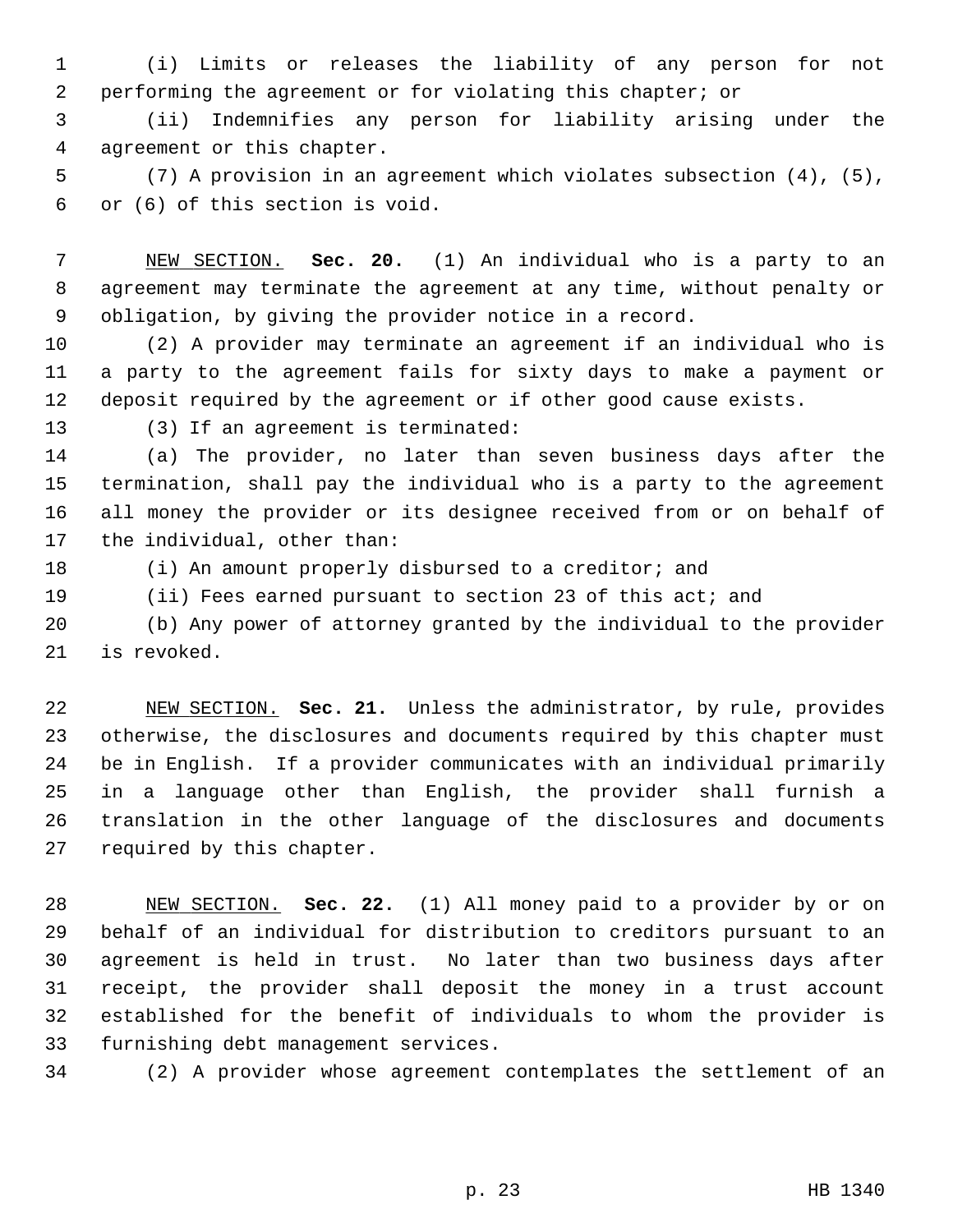1 (i) Limits or releases the liability of any person for not 2 performing the agreement or for violating this chapter; or

 3 (ii) Indemnifies any person for liability arising under the 4 agreement or this chapter.

 5 (7) A provision in an agreement which violates subsection (4), (5), 6 or (6) of this section is void.

 7 NEW SECTION. **Sec. 20.** (1) An individual who is a party to an 8 agreement may terminate the agreement at any time, without penalty or 9 obligation, by giving the provider notice in a record.

10 (2) A provider may terminate an agreement if an individual who is 11 a party to the agreement fails for sixty days to make a payment or 12 deposit required by the agreement or if other good cause exists.

13 (3) If an agreement is terminated:

14 (a) The provider, no later than seven business days after the 15 termination, shall pay the individual who is a party to the agreement 16 all money the provider or its designee received from or on behalf of 17 the individual, other than:

18 (i) An amount properly disbursed to a creditor; and

19 (ii) Fees earned pursuant to section 23 of this act; and

20 (b) Any power of attorney granted by the individual to the provider 21 is revoked.

22 NEW SECTION. **Sec. 21.** Unless the administrator, by rule, provides 23 otherwise, the disclosures and documents required by this chapter must 24 be in English. If a provider communicates with an individual primarily 25 in a language other than English, the provider shall furnish a 26 translation in the other language of the disclosures and documents 27 required by this chapter.

28 NEW SECTION. **Sec. 22.** (1) All money paid to a provider by or on 29 behalf of an individual for distribution to creditors pursuant to an 30 agreement is held in trust. No later than two business days after 31 receipt, the provider shall deposit the money in a trust account 32 established for the benefit of individuals to whom the provider is 33 furnishing debt management services.

34 (2) A provider whose agreement contemplates the settlement of an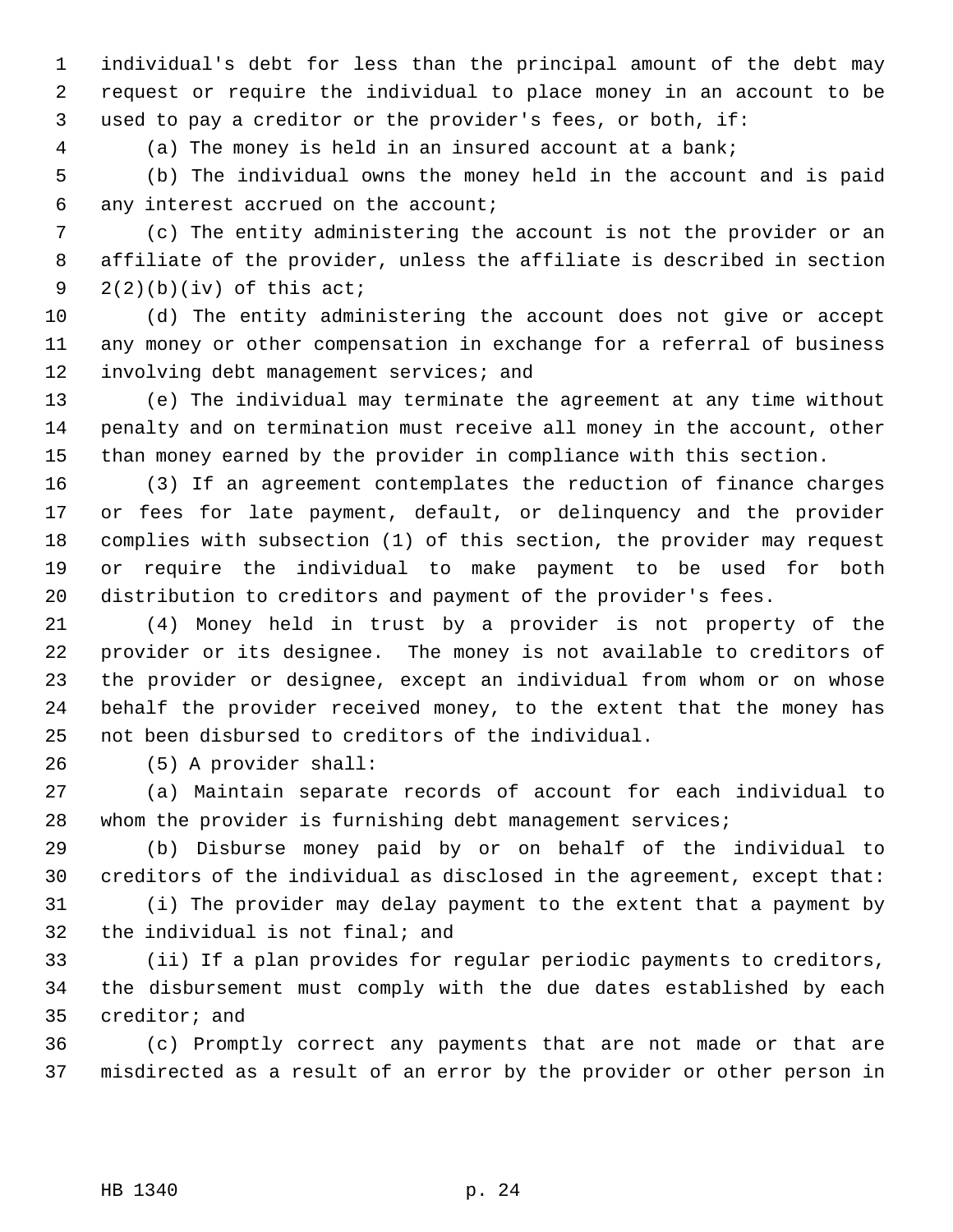1 individual's debt for less than the principal amount of the debt may 2 request or require the individual to place money in an account to be 3 used to pay a creditor or the provider's fees, or both, if:

4 (a) The money is held in an insured account at a bank;

 5 (b) The individual owns the money held in the account and is paid 6 any interest accrued on the account;

 7 (c) The entity administering the account is not the provider or an 8 affiliate of the provider, unless the affiliate is described in section 9  $2(2)(b)(iv)$  of this act;

10 (d) The entity administering the account does not give or accept 11 any money or other compensation in exchange for a referral of business 12 involving debt management services; and

13 (e) The individual may terminate the agreement at any time without 14 penalty and on termination must receive all money in the account, other 15 than money earned by the provider in compliance with this section.

16 (3) If an agreement contemplates the reduction of finance charges 17 or fees for late payment, default, or delinquency and the provider 18 complies with subsection (1) of this section, the provider may request 19 or require the individual to make payment to be used for both 20 distribution to creditors and payment of the provider's fees.

21 (4) Money held in trust by a provider is not property of the 22 provider or its designee. The money is not available to creditors of 23 the provider or designee, except an individual from whom or on whose 24 behalf the provider received money, to the extent that the money has 25 not been disbursed to creditors of the individual.

26 (5) A provider shall:

27 (a) Maintain separate records of account for each individual to 28 whom the provider is furnishing debt management services;

29 (b) Disburse money paid by or on behalf of the individual to 30 creditors of the individual as disclosed in the agreement, except that:

31 (i) The provider may delay payment to the extent that a payment by 32 the individual is not final; and

33 (ii) If a plan provides for regular periodic payments to creditors, 34 the disbursement must comply with the due dates established by each 35 creditor; and

36 (c) Promptly correct any payments that are not made or that are 37 misdirected as a result of an error by the provider or other person in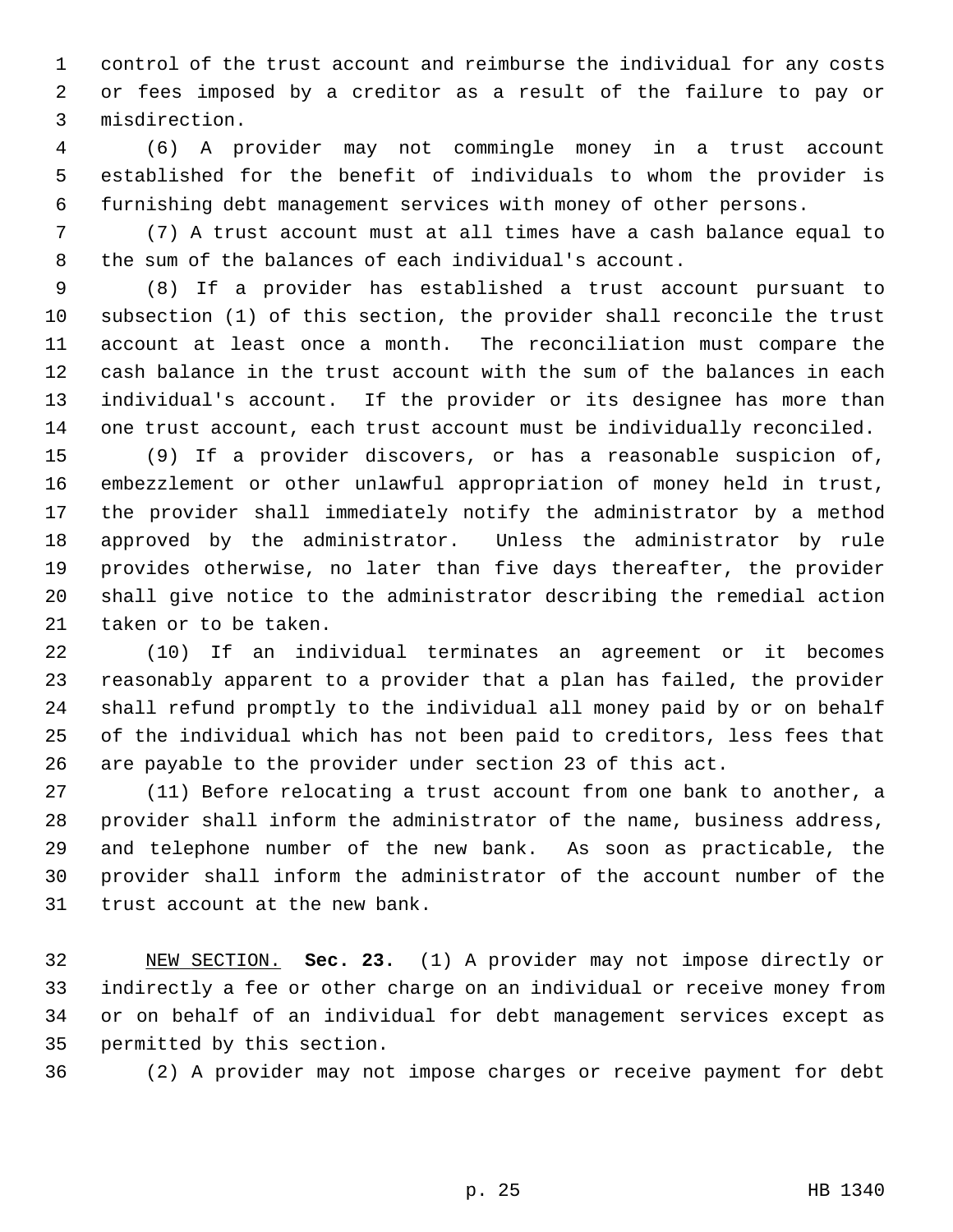1 control of the trust account and reimburse the individual for any costs 2 or fees imposed by a creditor as a result of the failure to pay or 3 misdirection.

 4 (6) A provider may not commingle money in a trust account 5 established for the benefit of individuals to whom the provider is 6 furnishing debt management services with money of other persons.

 7 (7) A trust account must at all times have a cash balance equal to 8 the sum of the balances of each individual's account.

 9 (8) If a provider has established a trust account pursuant to 10 subsection (1) of this section, the provider shall reconcile the trust 11 account at least once a month. The reconciliation must compare the 12 cash balance in the trust account with the sum of the balances in each 13 individual's account. If the provider or its designee has more than 14 one trust account, each trust account must be individually reconciled.

15 (9) If a provider discovers, or has a reasonable suspicion of, 16 embezzlement or other unlawful appropriation of money held in trust, 17 the provider shall immediately notify the administrator by a method 18 approved by the administrator. Unless the administrator by rule 19 provides otherwise, no later than five days thereafter, the provider 20 shall give notice to the administrator describing the remedial action 21 taken or to be taken.

22 (10) If an individual terminates an agreement or it becomes 23 reasonably apparent to a provider that a plan has failed, the provider 24 shall refund promptly to the individual all money paid by or on behalf 25 of the individual which has not been paid to creditors, less fees that 26 are payable to the provider under section 23 of this act.

27 (11) Before relocating a trust account from one bank to another, a 28 provider shall inform the administrator of the name, business address, 29 and telephone number of the new bank. As soon as practicable, the 30 provider shall inform the administrator of the account number of the 31 trust account at the new bank.

32 NEW SECTION. **Sec. 23.** (1) A provider may not impose directly or 33 indirectly a fee or other charge on an individual or receive money from 34 or on behalf of an individual for debt management services except as 35 permitted by this section.

36 (2) A provider may not impose charges or receive payment for debt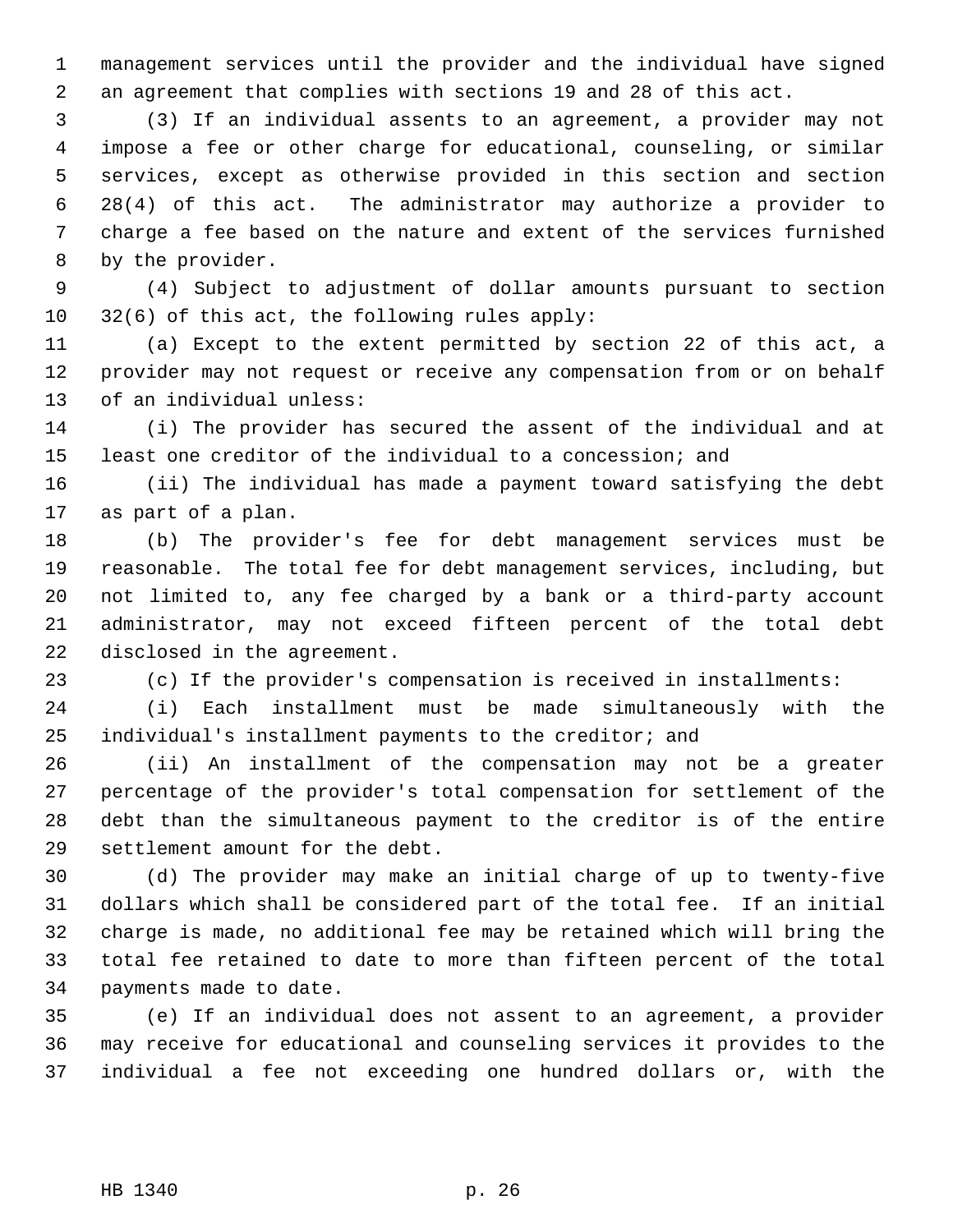1 management services until the provider and the individual have signed 2 an agreement that complies with sections 19 and 28 of this act.

 3 (3) If an individual assents to an agreement, a provider may not 4 impose a fee or other charge for educational, counseling, or similar 5 services, except as otherwise provided in this section and section 6 28(4) of this act. The administrator may authorize a provider to 7 charge a fee based on the nature and extent of the services furnished 8 by the provider.

 9 (4) Subject to adjustment of dollar amounts pursuant to section 10 32(6) of this act, the following rules apply:

11 (a) Except to the extent permitted by section 22 of this act, a 12 provider may not request or receive any compensation from or on behalf 13 of an individual unless:

14 (i) The provider has secured the assent of the individual and at 15 least one creditor of the individual to a concession; and

16 (ii) The individual has made a payment toward satisfying the debt 17 as part of a plan.

18 (b) The provider's fee for debt management services must be 19 reasonable. The total fee for debt management services, including, but 20 not limited to, any fee charged by a bank or a third-party account 21 administrator, may not exceed fifteen percent of the total debt 22 disclosed in the agreement.

23 (c) If the provider's compensation is received in installments:

24 (i) Each installment must be made simultaneously with the 25 individual's installment payments to the creditor; and

26 (ii) An installment of the compensation may not be a greater 27 percentage of the provider's total compensation for settlement of the 28 debt than the simultaneous payment to the creditor is of the entire 29 settlement amount for the debt.

30 (d) The provider may make an initial charge of up to twenty-five 31 dollars which shall be considered part of the total fee. If an initial 32 charge is made, no additional fee may be retained which will bring the 33 total fee retained to date to more than fifteen percent of the total 34 payments made to date.

35 (e) If an individual does not assent to an agreement, a provider 36 may receive for educational and counseling services it provides to the 37 individual a fee not exceeding one hundred dollars or, with the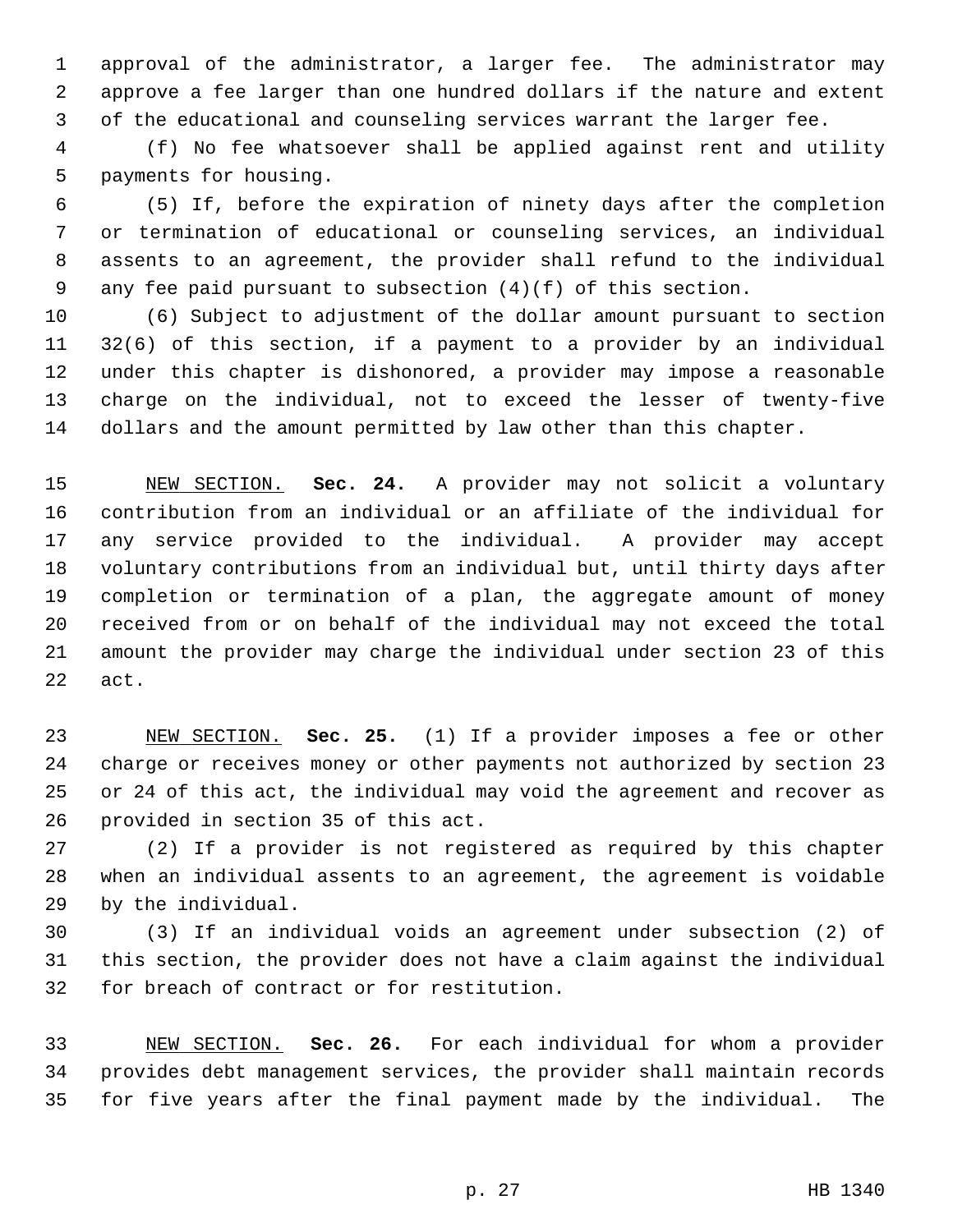1 approval of the administrator, a larger fee. The administrator may 2 approve a fee larger than one hundred dollars if the nature and extent 3 of the educational and counseling services warrant the larger fee.

 4 (f) No fee whatsoever shall be applied against rent and utility 5 payments for housing.

 6 (5) If, before the expiration of ninety days after the completion 7 or termination of educational or counseling services, an individual 8 assents to an agreement, the provider shall refund to the individual 9 any fee paid pursuant to subsection (4)(f) of this section.

10 (6) Subject to adjustment of the dollar amount pursuant to section 11 32(6) of this section, if a payment to a provider by an individual 12 under this chapter is dishonored, a provider may impose a reasonable 13 charge on the individual, not to exceed the lesser of twenty-five 14 dollars and the amount permitted by law other than this chapter.

15 NEW SECTION. **Sec. 24.** A provider may not solicit a voluntary 16 contribution from an individual or an affiliate of the individual for 17 any service provided to the individual. A provider may accept 18 voluntary contributions from an individual but, until thirty days after 19 completion or termination of a plan, the aggregate amount of money 20 received from or on behalf of the individual may not exceed the total 21 amount the provider may charge the individual under section 23 of this 22 act.

23 NEW SECTION. **Sec. 25.** (1) If a provider imposes a fee or other 24 charge or receives money or other payments not authorized by section 23 25 or 24 of this act, the individual may void the agreement and recover as 26 provided in section 35 of this act.

27 (2) If a provider is not registered as required by this chapter 28 when an individual assents to an agreement, the agreement is voidable 29 by the individual.

30 (3) If an individual voids an agreement under subsection (2) of 31 this section, the provider does not have a claim against the individual 32 for breach of contract or for restitution.

33 NEW SECTION. **Sec. 26.** For each individual for whom a provider 34 provides debt management services, the provider shall maintain records 35 for five years after the final payment made by the individual. The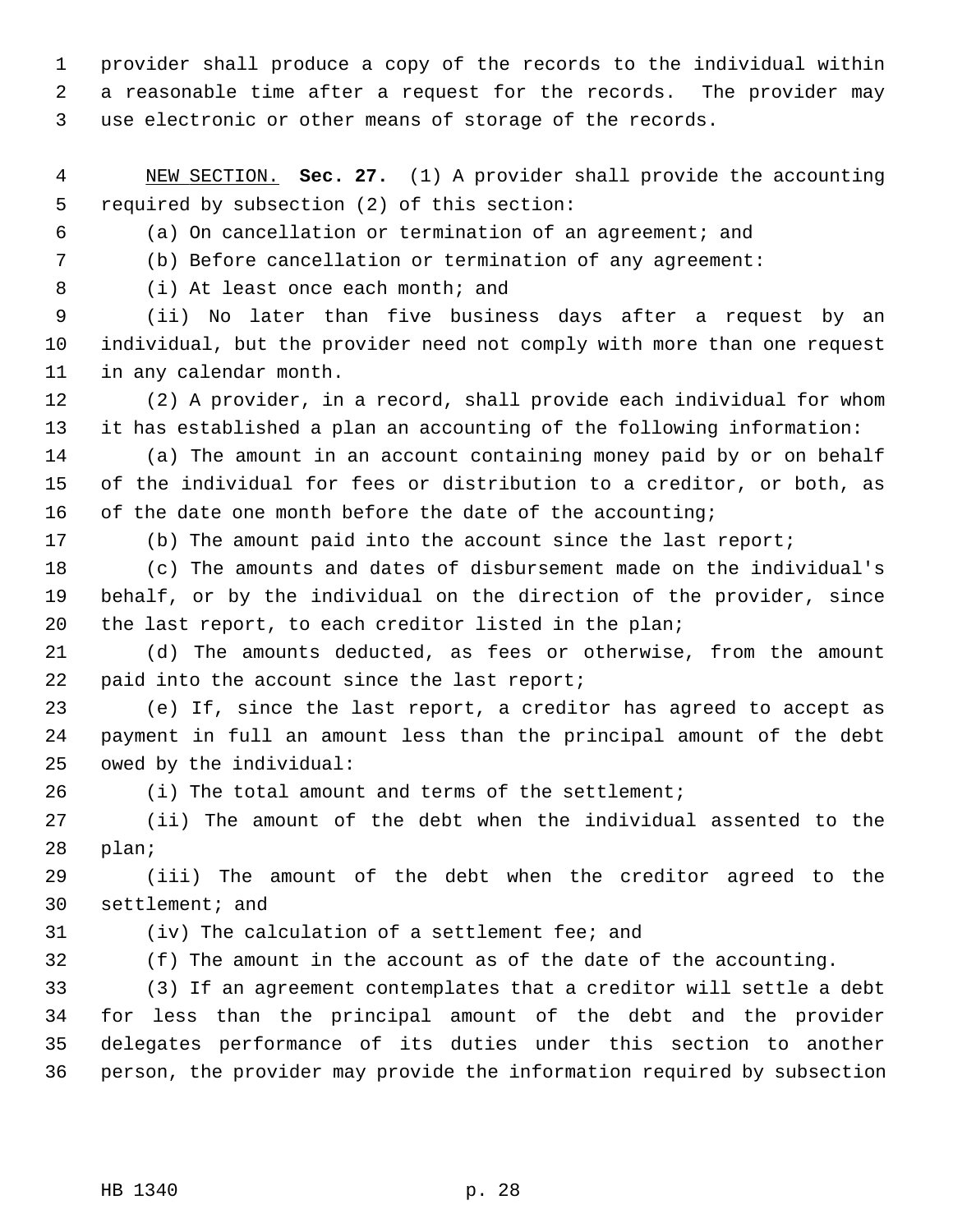1 provider shall produce a copy of the records to the individual within 2 a reasonable time after a request for the records. The provider may 3 use electronic or other means of storage of the records.

 4 NEW SECTION. **Sec. 27.** (1) A provider shall provide the accounting 5 required by subsection (2) of this section:

6 (a) On cancellation or termination of an agreement; and

7 (b) Before cancellation or termination of any agreement:

8 (i) At least once each month; and

 9 (ii) No later than five business days after a request by an 10 individual, but the provider need not comply with more than one request 11 in any calendar month.

12 (2) A provider, in a record, shall provide each individual for whom 13 it has established a plan an accounting of the following information:

14 (a) The amount in an account containing money paid by or on behalf 15 of the individual for fees or distribution to a creditor, or both, as 16 of the date one month before the date of the accounting;

17 (b) The amount paid into the account since the last report;

18 (c) The amounts and dates of disbursement made on the individual's 19 behalf, or by the individual on the direction of the provider, since 20 the last report, to each creditor listed in the plan;

21 (d) The amounts deducted, as fees or otherwise, from the amount 22 paid into the account since the last report;

23 (e) If, since the last report, a creditor has agreed to accept as 24 payment in full an amount less than the principal amount of the debt 25 owed by the individual:

26 (i) The total amount and terms of the settlement;

27 (ii) The amount of the debt when the individual assented to the 28 plan;

29 (iii) The amount of the debt when the creditor agreed to the 30 settlement; and

31 (iv) The calculation of a settlement fee; and

32 (f) The amount in the account as of the date of the accounting.

33 (3) If an agreement contemplates that a creditor will settle a debt 34 for less than the principal amount of the debt and the provider 35 delegates performance of its duties under this section to another 36 person, the provider may provide the information required by subsection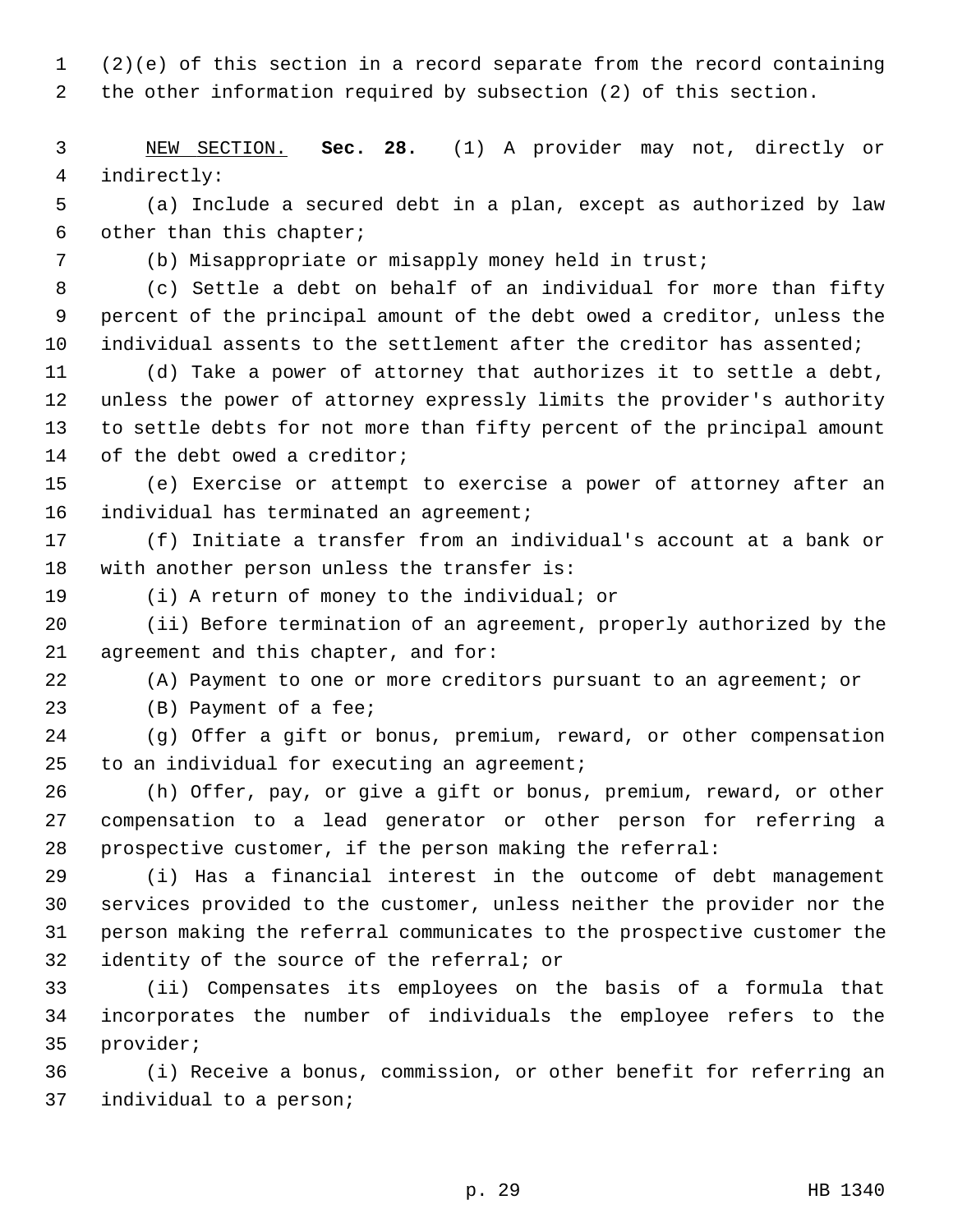1 (2)(e) of this section in a record separate from the record containing 2 the other information required by subsection (2) of this section.

 3 NEW SECTION. **Sec. 28.** (1) A provider may not, directly or 4 indirectly:

 5 (a) Include a secured debt in a plan, except as authorized by law 6 other than this chapter;

7 (b) Misappropriate or misapply money held in trust;

 8 (c) Settle a debt on behalf of an individual for more than fifty 9 percent of the principal amount of the debt owed a creditor, unless the 10 individual assents to the settlement after the creditor has assented;

11 (d) Take a power of attorney that authorizes it to settle a debt, 12 unless the power of attorney expressly limits the provider's authority 13 to settle debts for not more than fifty percent of the principal amount 14 of the debt owed a creditor;

15 (e) Exercise or attempt to exercise a power of attorney after an 16 individual has terminated an agreement;

17 (f) Initiate a transfer from an individual's account at a bank or 18 with another person unless the transfer is:

19 (i) A return of money to the individual; or

20 (ii) Before termination of an agreement, properly authorized by the 21 agreement and this chapter, and for:

22 (A) Payment to one or more creditors pursuant to an agreement; or

23 (B) Payment of a fee;

24 (g) Offer a gift or bonus, premium, reward, or other compensation 25 to an individual for executing an agreement;

26 (h) Offer, pay, or give a gift or bonus, premium, reward, or other 27 compensation to a lead generator or other person for referring a 28 prospective customer, if the person making the referral:

29 (i) Has a financial interest in the outcome of debt management 30 services provided to the customer, unless neither the provider nor the 31 person making the referral communicates to the prospective customer the 32 identity of the source of the referral; or

33 (ii) Compensates its employees on the basis of a formula that 34 incorporates the number of individuals the employee refers to the 35 provider;

36 (i) Receive a bonus, commission, or other benefit for referring an 37 individual to a person;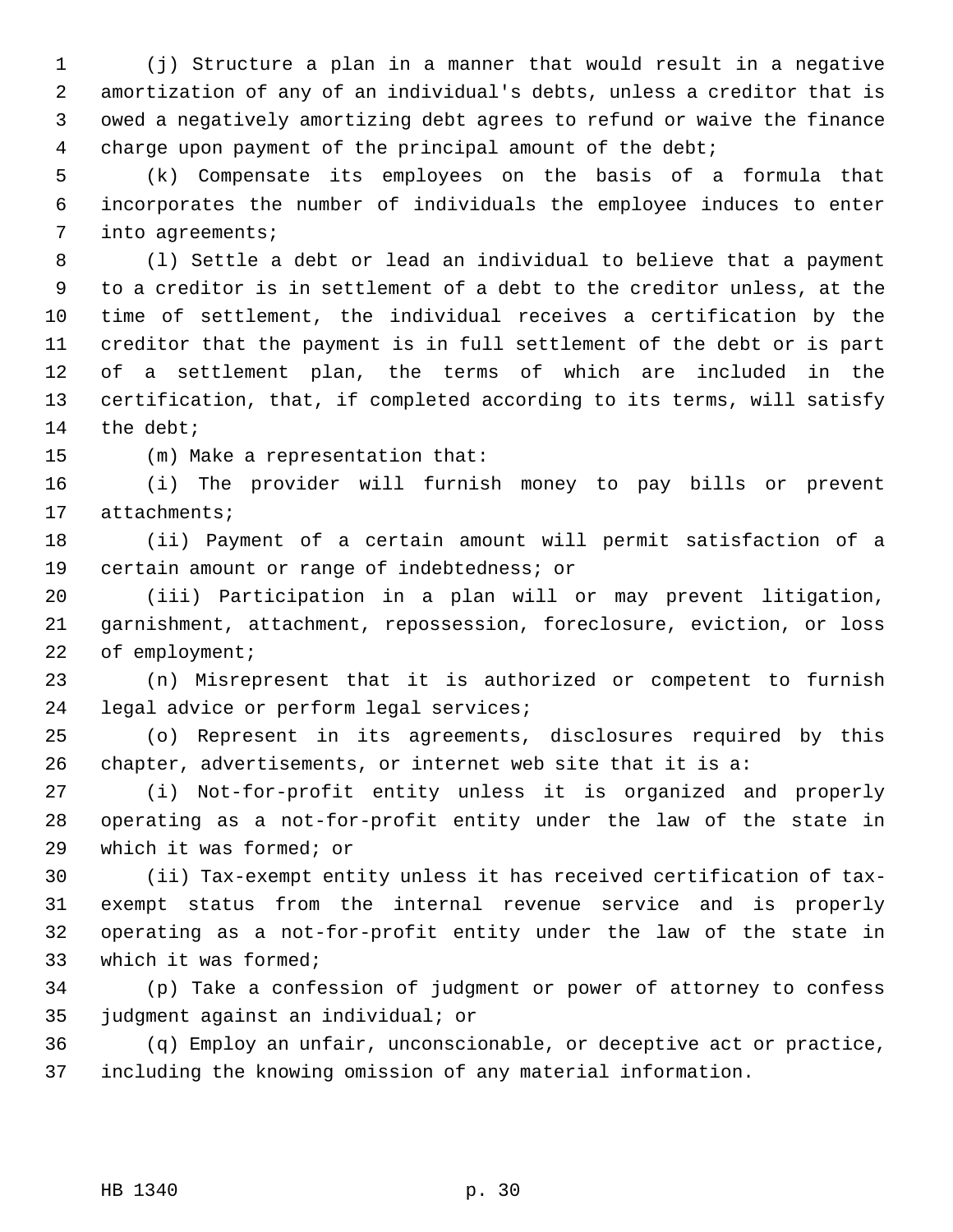1 (j) Structure a plan in a manner that would result in a negative 2 amortization of any of an individual's debts, unless a creditor that is 3 owed a negatively amortizing debt agrees to refund or waive the finance 4 charge upon payment of the principal amount of the debt;

 5 (k) Compensate its employees on the basis of a formula that 6 incorporates the number of individuals the employee induces to enter 7 into agreements;

 8 (l) Settle a debt or lead an individual to believe that a payment 9 to a creditor is in settlement of a debt to the creditor unless, at the 10 time of settlement, the individual receives a certification by the 11 creditor that the payment is in full settlement of the debt or is part 12 of a settlement plan, the terms of which are included in the 13 certification, that, if completed according to its terms, will satisfy 14 the debt;

15 (m) Make a representation that:

16 (i) The provider will furnish money to pay bills or prevent 17 attachments;

18 (ii) Payment of a certain amount will permit satisfaction of a 19 certain amount or range of indebtedness; or

20 (iii) Participation in a plan will or may prevent litigation, 21 garnishment, attachment, repossession, foreclosure, eviction, or loss 22 of employment;

23 (n) Misrepresent that it is authorized or competent to furnish 24 legal advice or perform legal services;

25 (o) Represent in its agreements, disclosures required by this 26 chapter, advertisements, or internet web site that it is a:

27 (i) Not-for-profit entity unless it is organized and properly 28 operating as a not-for-profit entity under the law of the state in 29 which it was formed; or

30 (ii) Tax-exempt entity unless it has received certification of tax-31 exempt status from the internal revenue service and is properly 32 operating as a not-for-profit entity under the law of the state in 33 which it was formed;

34 (p) Take a confession of judgment or power of attorney to confess 35 judgment against an individual; or

36 (q) Employ an unfair, unconscionable, or deceptive act or practice, 37 including the knowing omission of any material information.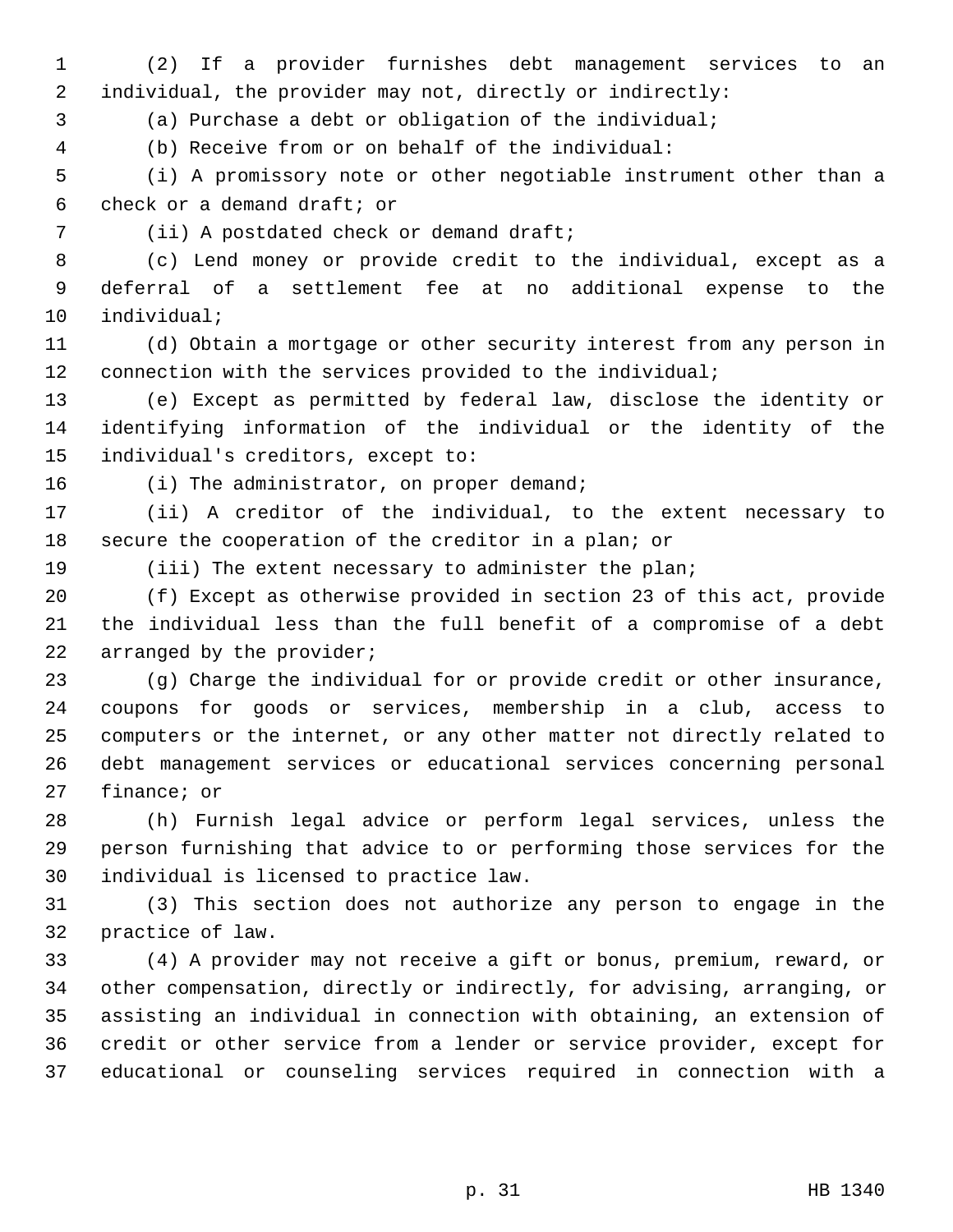1 (2) If a provider furnishes debt management services to an 2 individual, the provider may not, directly or indirectly:

3 (a) Purchase a debt or obligation of the individual;

4 (b) Receive from or on behalf of the individual:

 5 (i) A promissory note or other negotiable instrument other than a 6 check or a demand draft; or

7 (ii) A postdated check or demand draft;

 8 (c) Lend money or provide credit to the individual, except as a 9 deferral of a settlement fee at no additional expense to the 10 individual;

11 (d) Obtain a mortgage or other security interest from any person in 12 connection with the services provided to the individual;

13 (e) Except as permitted by federal law, disclose the identity or 14 identifying information of the individual or the identity of the 15 individual's creditors, except to:

16 (i) The administrator, on proper demand;

17 (ii) A creditor of the individual, to the extent necessary to 18 secure the cooperation of the creditor in a plan; or

19 (iii) The extent necessary to administer the plan;

20 (f) Except as otherwise provided in section 23 of this act, provide 21 the individual less than the full benefit of a compromise of a debt 22 arranged by the provider;

23 (g) Charge the individual for or provide credit or other insurance, 24 coupons for goods or services, membership in a club, access to 25 computers or the internet, or any other matter not directly related to 26 debt management services or educational services concerning personal 27 finance; or

28 (h) Furnish legal advice or perform legal services, unless the 29 person furnishing that advice to or performing those services for the 30 individual is licensed to practice law.

31 (3) This section does not authorize any person to engage in the 32 practice of law.

33 (4) A provider may not receive a gift or bonus, premium, reward, or 34 other compensation, directly or indirectly, for advising, arranging, or 35 assisting an individual in connection with obtaining, an extension of 36 credit or other service from a lender or service provider, except for 37 educational or counseling services required in connection with a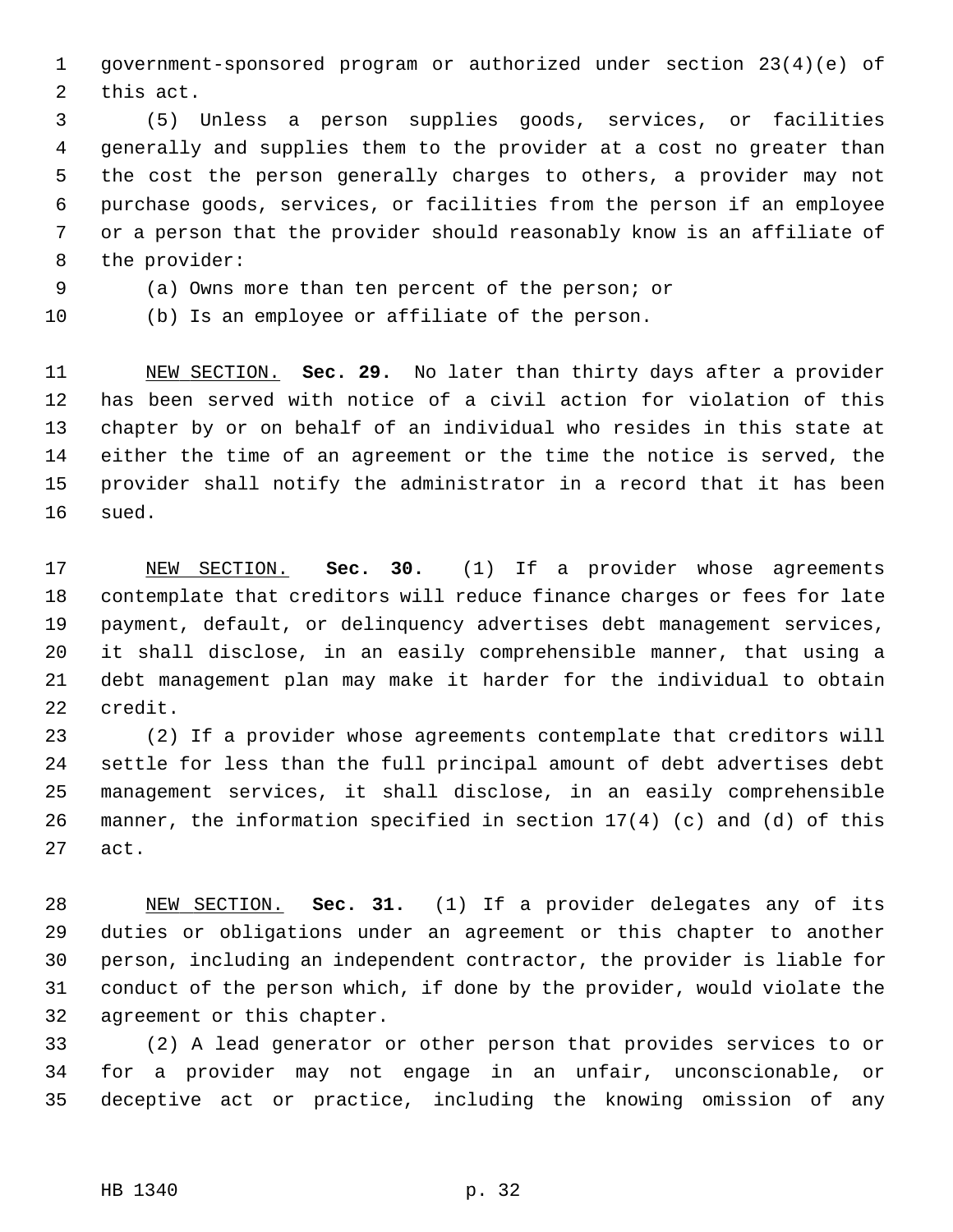1 government-sponsored program or authorized under section 23(4)(e) of 2 this act.

 3 (5) Unless a person supplies goods, services, or facilities 4 generally and supplies them to the provider at a cost no greater than 5 the cost the person generally charges to others, a provider may not 6 purchase goods, services, or facilities from the person if an employee 7 or a person that the provider should reasonably know is an affiliate of 8 the provider:

9 (a) Owns more than ten percent of the person; or

10 (b) Is an employee or affiliate of the person.

11 NEW SECTION. **Sec. 29.** No later than thirty days after a provider 12 has been served with notice of a civil action for violation of this 13 chapter by or on behalf of an individual who resides in this state at 14 either the time of an agreement or the time the notice is served, the 15 provider shall notify the administrator in a record that it has been 16 sued.

17 NEW SECTION. **Sec. 30.** (1) If a provider whose agreements 18 contemplate that creditors will reduce finance charges or fees for late 19 payment, default, or delinquency advertises debt management services, 20 it shall disclose, in an easily comprehensible manner, that using a 21 debt management plan may make it harder for the individual to obtain 22 credit.

23 (2) If a provider whose agreements contemplate that creditors will 24 settle for less than the full principal amount of debt advertises debt 25 management services, it shall disclose, in an easily comprehensible 26 manner, the information specified in section 17(4) (c) and (d) of this 27 act.

28 NEW SECTION. **Sec. 31.** (1) If a provider delegates any of its 29 duties or obligations under an agreement or this chapter to another 30 person, including an independent contractor, the provider is liable for 31 conduct of the person which, if done by the provider, would violate the 32 agreement or this chapter.

33 (2) A lead generator or other person that provides services to or 34 for a provider may not engage in an unfair, unconscionable, or 35 deceptive act or practice, including the knowing omission of any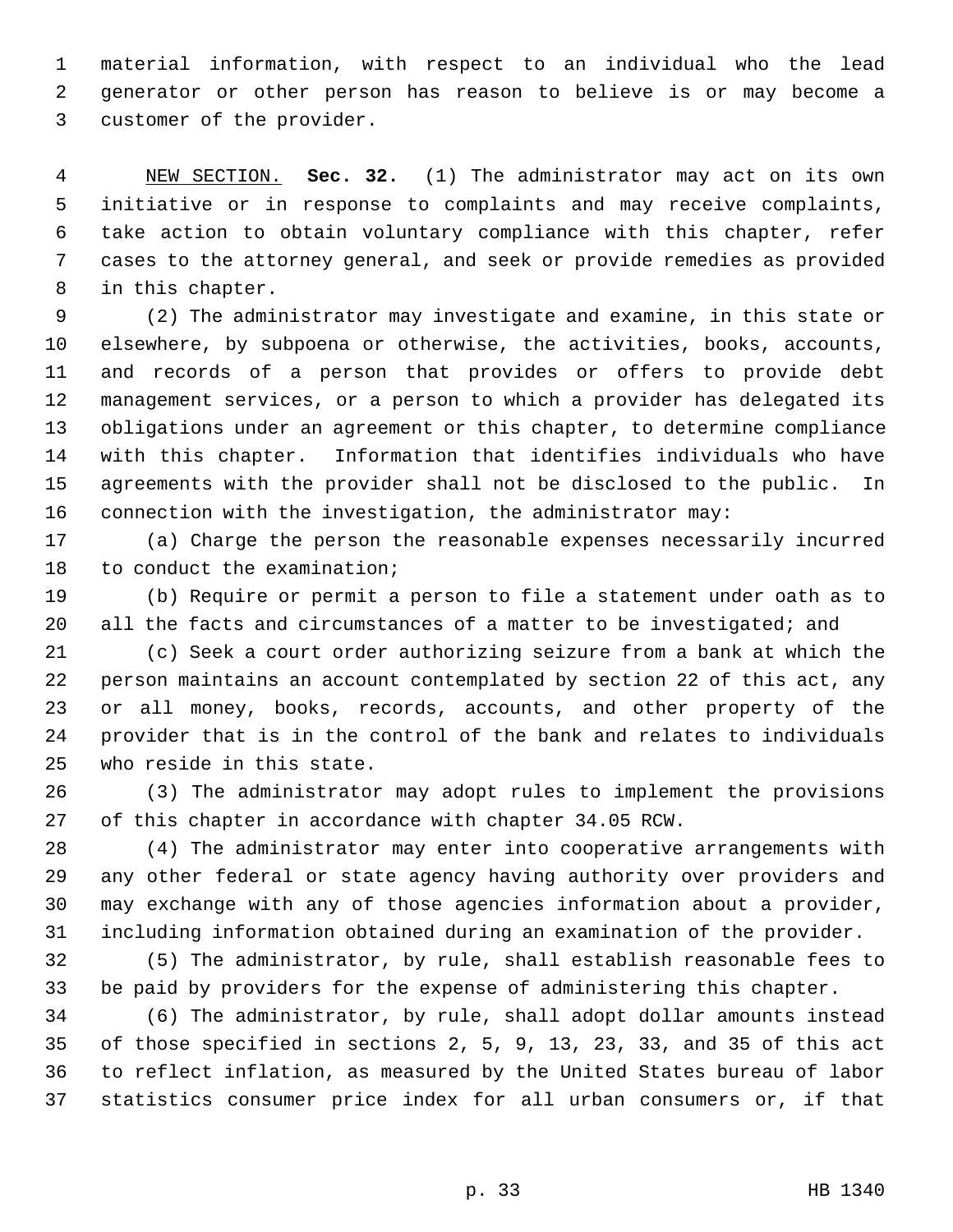1 material information, with respect to an individual who the lead 2 generator or other person has reason to believe is or may become a 3 customer of the provider.

 4 NEW SECTION. **Sec. 32.** (1) The administrator may act on its own 5 initiative or in response to complaints and may receive complaints, 6 take action to obtain voluntary compliance with this chapter, refer 7 cases to the attorney general, and seek or provide remedies as provided 8 in this chapter.

 9 (2) The administrator may investigate and examine, in this state or 10 elsewhere, by subpoena or otherwise, the activities, books, accounts, 11 and records of a person that provides or offers to provide debt 12 management services, or a person to which a provider has delegated its 13 obligations under an agreement or this chapter, to determine compliance 14 with this chapter. Information that identifies individuals who have 15 agreements with the provider shall not be disclosed to the public. In 16 connection with the investigation, the administrator may:

17 (a) Charge the person the reasonable expenses necessarily incurred 18 to conduct the examination;

19 (b) Require or permit a person to file a statement under oath as to 20 all the facts and circumstances of a matter to be investigated; and

21 (c) Seek a court order authorizing seizure from a bank at which the 22 person maintains an account contemplated by section 22 of this act, any 23 or all money, books, records, accounts, and other property of the 24 provider that is in the control of the bank and relates to individuals 25 who reside in this state.

26 (3) The administrator may adopt rules to implement the provisions 27 of this chapter in accordance with chapter 34.05 RCW.

28 (4) The administrator may enter into cooperative arrangements with 29 any other federal or state agency having authority over providers and 30 may exchange with any of those agencies information about a provider, 31 including information obtained during an examination of the provider.

32 (5) The administrator, by rule, shall establish reasonable fees to 33 be paid by providers for the expense of administering this chapter.

34 (6) The administrator, by rule, shall adopt dollar amounts instead 35 of those specified in sections 2, 5, 9, 13, 23, 33, and 35 of this act 36 to reflect inflation, as measured by the United States bureau of labor 37 statistics consumer price index for all urban consumers or, if that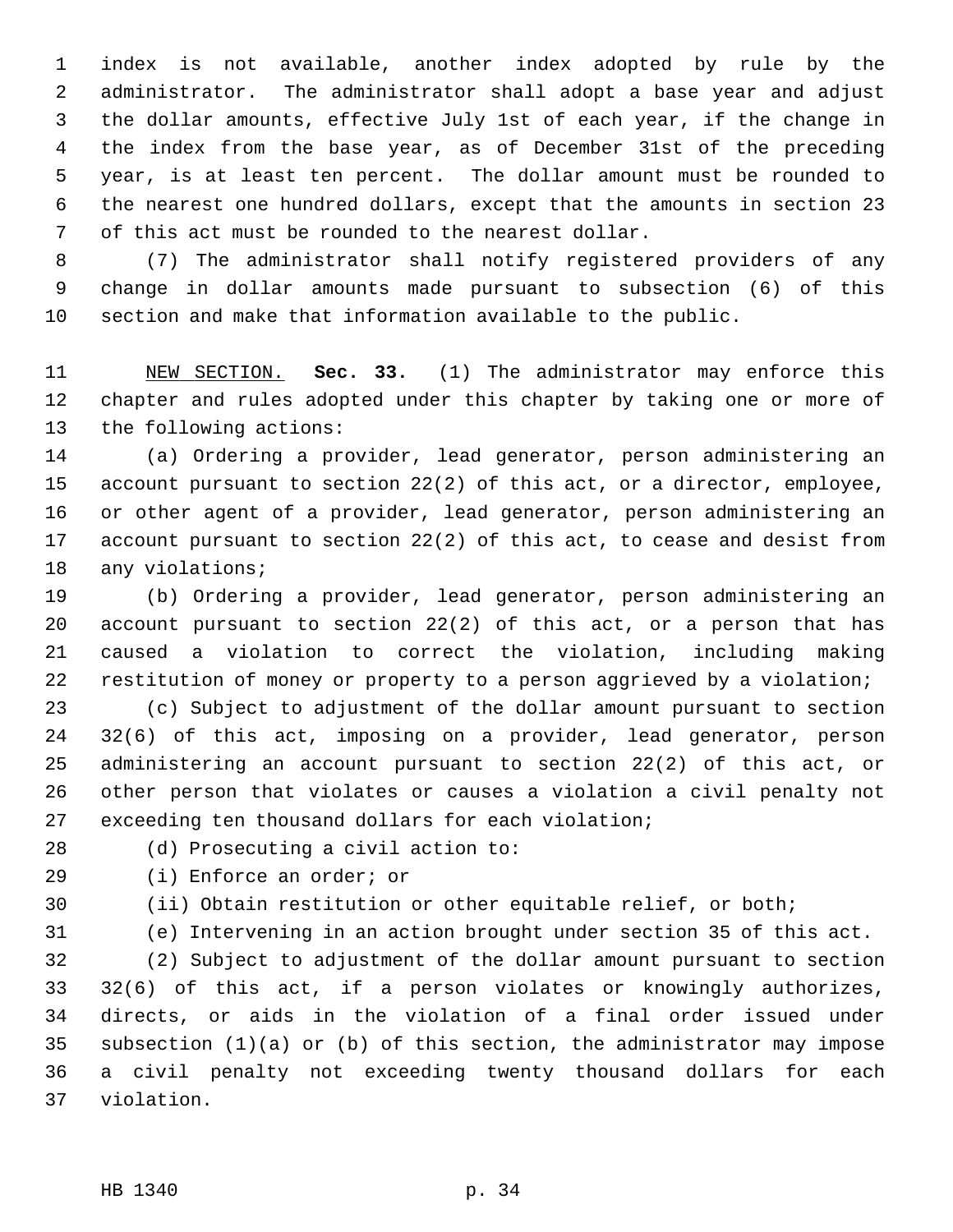1 index is not available, another index adopted by rule by the 2 administrator. The administrator shall adopt a base year and adjust 3 the dollar amounts, effective July 1st of each year, if the change in 4 the index from the base year, as of December 31st of the preceding 5 year, is at least ten percent. The dollar amount must be rounded to 6 the nearest one hundred dollars, except that the amounts in section 23 7 of this act must be rounded to the nearest dollar.

 8 (7) The administrator shall notify registered providers of any 9 change in dollar amounts made pursuant to subsection (6) of this 10 section and make that information available to the public.

11 NEW SECTION. **Sec. 33.** (1) The administrator may enforce this 12 chapter and rules adopted under this chapter by taking one or more of 13 the following actions:

14 (a) Ordering a provider, lead generator, person administering an 15 account pursuant to section 22(2) of this act, or a director, employee, 16 or other agent of a provider, lead generator, person administering an 17 account pursuant to section 22(2) of this act, to cease and desist from 18 any violations;

19 (b) Ordering a provider, lead generator, person administering an 20 account pursuant to section 22(2) of this act, or a person that has 21 caused a violation to correct the violation, including making 22 restitution of money or property to a person aggrieved by a violation;

23 (c) Subject to adjustment of the dollar amount pursuant to section 24 32(6) of this act, imposing on a provider, lead generator, person 25 administering an account pursuant to section 22(2) of this act, or 26 other person that violates or causes a violation a civil penalty not 27 exceeding ten thousand dollars for each violation;

28 (d) Prosecuting a civil action to:

29 (i) Enforce an order; or

30 (ii) Obtain restitution or other equitable relief, or both;

31 (e) Intervening in an action brought under section 35 of this act.

32 (2) Subject to adjustment of the dollar amount pursuant to section 33 32(6) of this act, if a person violates or knowingly authorizes, 34 directs, or aids in the violation of a final order issued under 35 subsection (1)(a) or (b) of this section, the administrator may impose 36 a civil penalty not exceeding twenty thousand dollars for each 37 violation.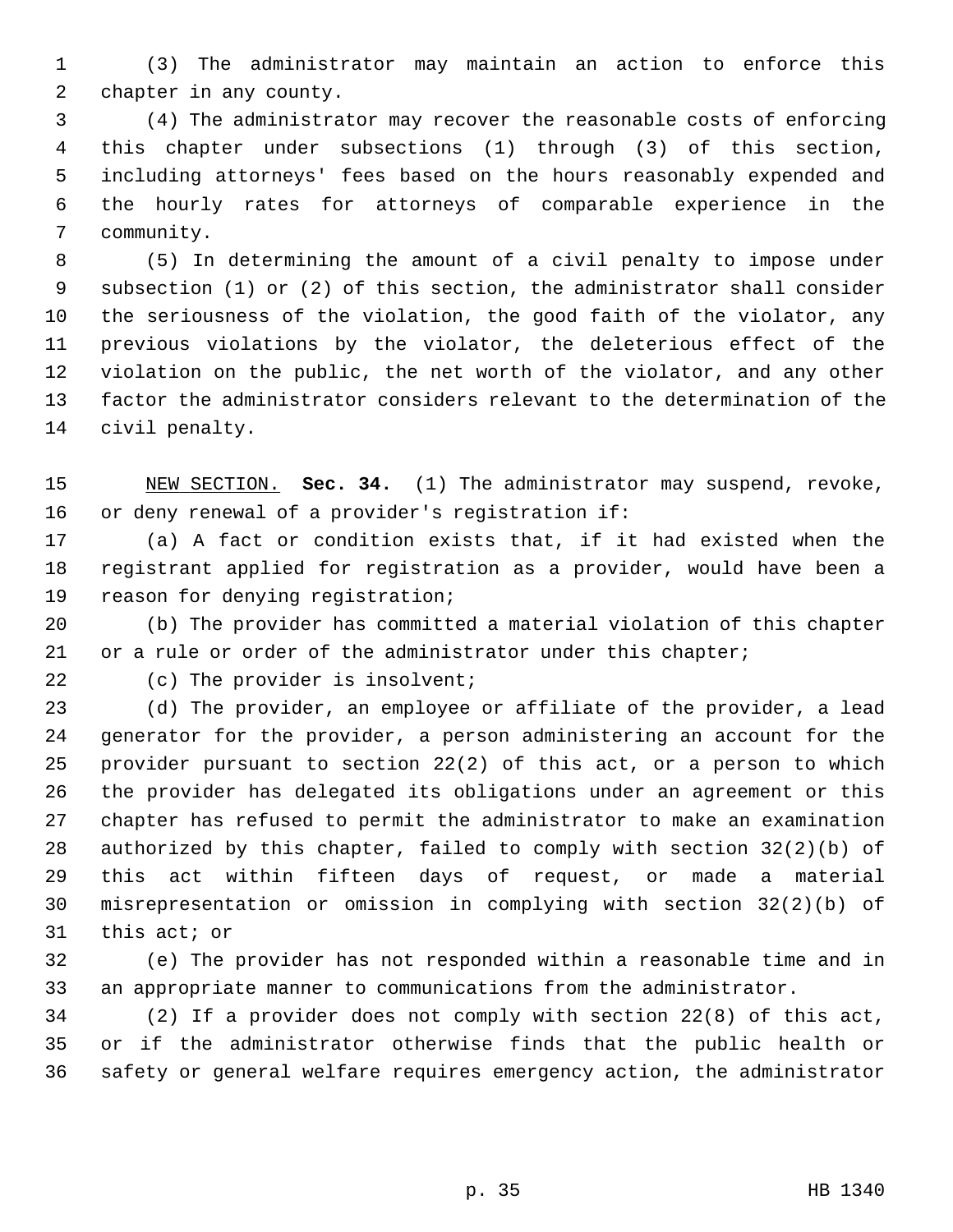1 (3) The administrator may maintain an action to enforce this 2 chapter in any county.

 3 (4) The administrator may recover the reasonable costs of enforcing 4 this chapter under subsections (1) through (3) of this section, 5 including attorneys' fees based on the hours reasonably expended and 6 the hourly rates for attorneys of comparable experience in the 7 community.

 8 (5) In determining the amount of a civil penalty to impose under 9 subsection (1) or (2) of this section, the administrator shall consider 10 the seriousness of the violation, the good faith of the violator, any 11 previous violations by the violator, the deleterious effect of the 12 violation on the public, the net worth of the violator, and any other 13 factor the administrator considers relevant to the determination of the 14 civil penalty.

15 NEW SECTION. **Sec. 34.** (1) The administrator may suspend, revoke, 16 or deny renewal of a provider's registration if:

17 (a) A fact or condition exists that, if it had existed when the 18 registrant applied for registration as a provider, would have been a 19 reason for denying registration;

20 (b) The provider has committed a material violation of this chapter 21 or a rule or order of the administrator under this chapter;

22 (c) The provider is insolvent;

23 (d) The provider, an employee or affiliate of the provider, a lead 24 generator for the provider, a person administering an account for the 25 provider pursuant to section 22(2) of this act, or a person to which 26 the provider has delegated its obligations under an agreement or this 27 chapter has refused to permit the administrator to make an examination 28 authorized by this chapter, failed to comply with section 32(2)(b) of 29 this act within fifteen days of request, or made a material 30 misrepresentation or omission in complying with section 32(2)(b) of 31 this act; or

32 (e) The provider has not responded within a reasonable time and in 33 an appropriate manner to communications from the administrator.

34 (2) If a provider does not comply with section 22(8) of this act, 35 or if the administrator otherwise finds that the public health or 36 safety or general welfare requires emergency action, the administrator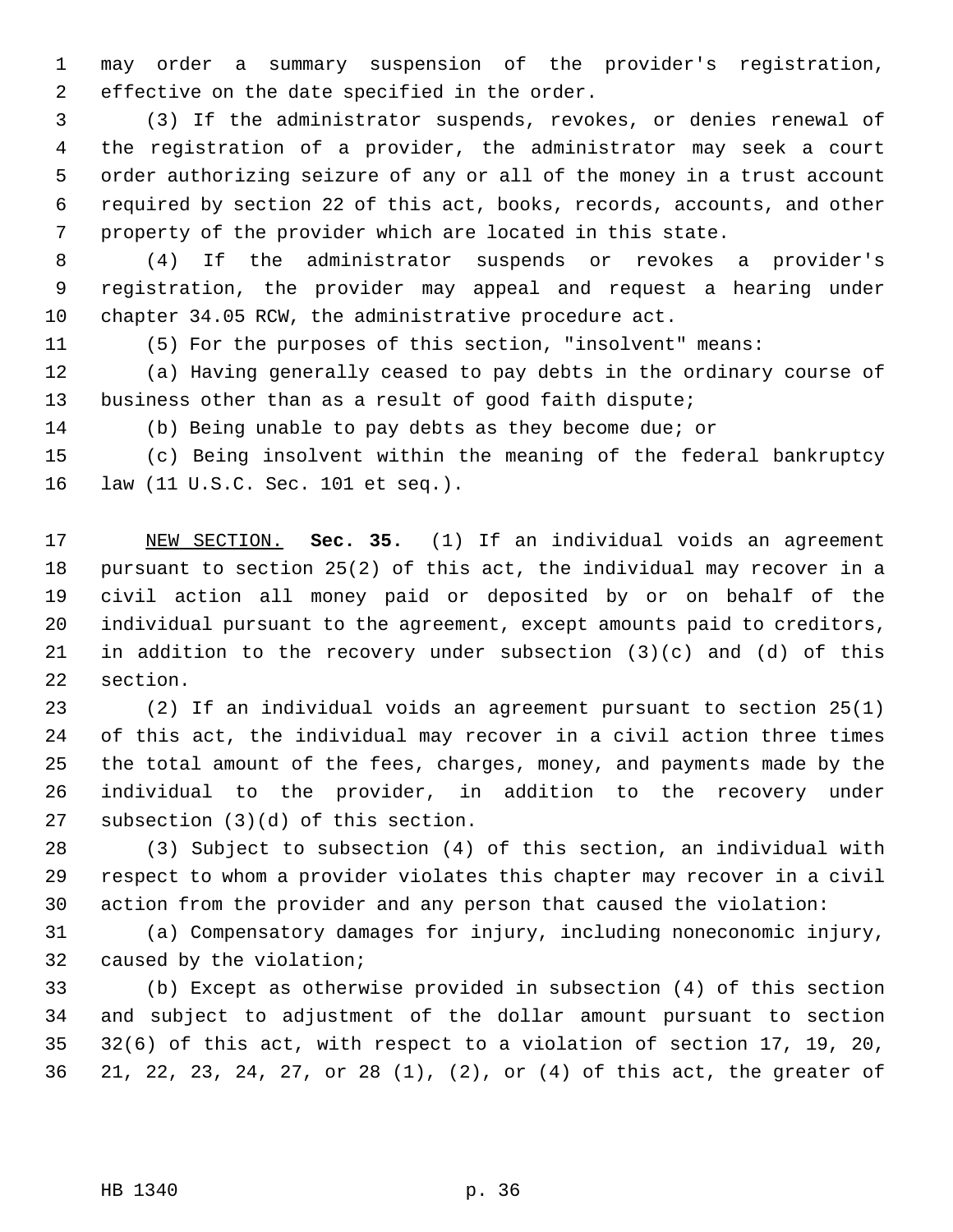1 may order a summary suspension of the provider's registration, 2 effective on the date specified in the order.

 3 (3) If the administrator suspends, revokes, or denies renewal of 4 the registration of a provider, the administrator may seek a court 5 order authorizing seizure of any or all of the money in a trust account 6 required by section 22 of this act, books, records, accounts, and other 7 property of the provider which are located in this state.

 8 (4) If the administrator suspends or revokes a provider's 9 registration, the provider may appeal and request a hearing under 10 chapter 34.05 RCW, the administrative procedure act.

11 (5) For the purposes of this section, "insolvent" means:

12 (a) Having generally ceased to pay debts in the ordinary course of 13 business other than as a result of good faith dispute;

14 (b) Being unable to pay debts as they become due; or

15 (c) Being insolvent within the meaning of the federal bankruptcy 16 law (11 U.S.C. Sec. 101 et seq.).

17 NEW SECTION. **Sec. 35.** (1) If an individual voids an agreement 18 pursuant to section 25(2) of this act, the individual may recover in a 19 civil action all money paid or deposited by or on behalf of the 20 individual pursuant to the agreement, except amounts paid to creditors, 21 in addition to the recovery under subsection (3)(c) and (d) of this 22 section.

23 (2) If an individual voids an agreement pursuant to section 25(1) 24 of this act, the individual may recover in a civil action three times 25 the total amount of the fees, charges, money, and payments made by the 26 individual to the provider, in addition to the recovery under 27 subsection (3)(d) of this section.

28 (3) Subject to subsection (4) of this section, an individual with 29 respect to whom a provider violates this chapter may recover in a civil 30 action from the provider and any person that caused the violation:

31 (a) Compensatory damages for injury, including noneconomic injury, 32 caused by the violation;

33 (b) Except as otherwise provided in subsection (4) of this section 34 and subject to adjustment of the dollar amount pursuant to section 35 32(6) of this act, with respect to a violation of section 17, 19, 20, 36 21, 22, 23, 24, 27, or 28 (1), (2), or (4) of this act, the greater of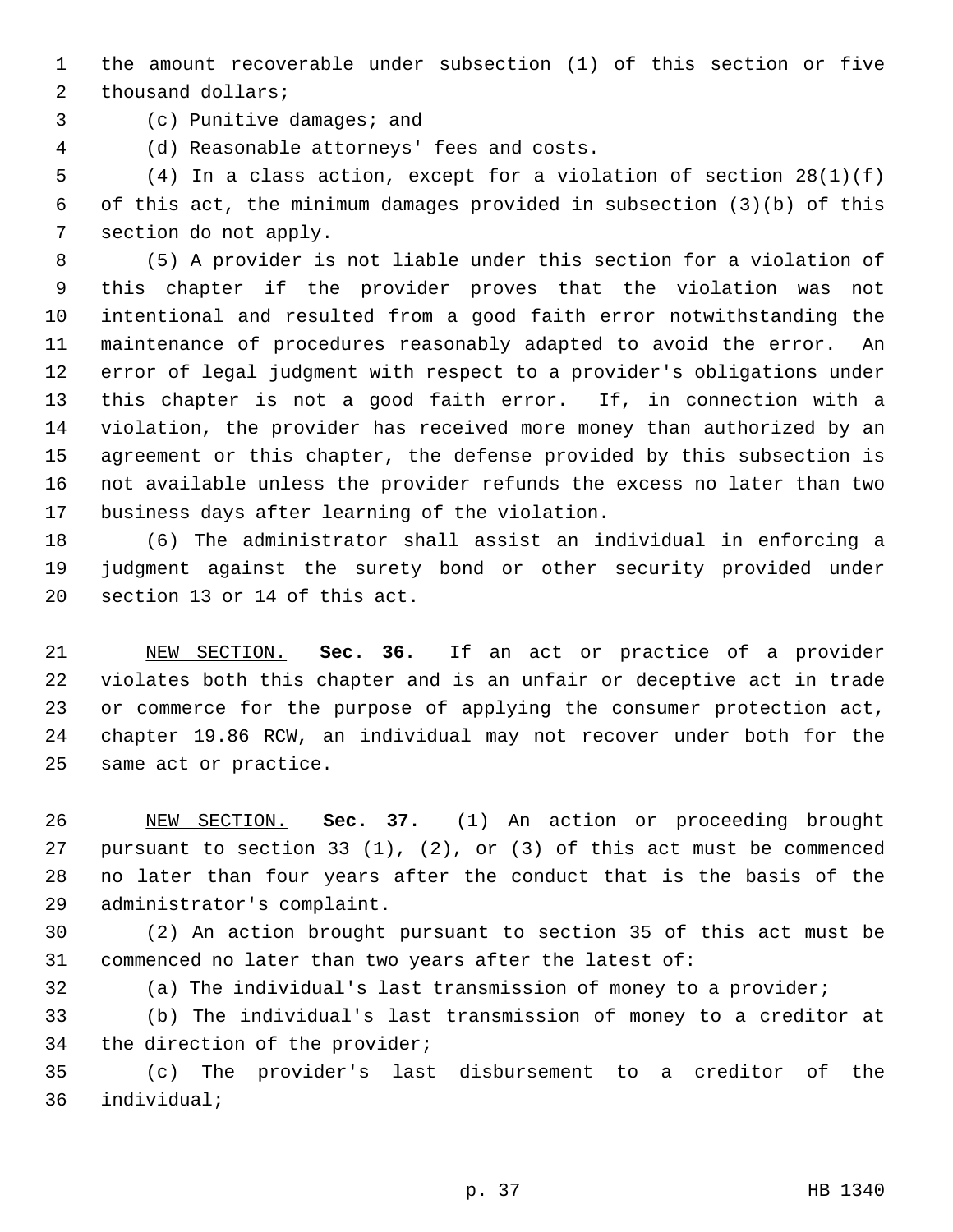1 the amount recoverable under subsection (1) of this section or five 2 thousand dollars;

3 (c) Punitive damages; and

4 (d) Reasonable attorneys' fees and costs.

 5 (4) In a class action, except for a violation of section 28(1)(f) 6 of this act, the minimum damages provided in subsection (3)(b) of this 7 section do not apply.

 8 (5) A provider is not liable under this section for a violation of 9 this chapter if the provider proves that the violation was not 10 intentional and resulted from a good faith error notwithstanding the 11 maintenance of procedures reasonably adapted to avoid the error. An 12 error of legal judgment with respect to a provider's obligations under 13 this chapter is not a good faith error. If, in connection with a 14 violation, the provider has received more money than authorized by an 15 agreement or this chapter, the defense provided by this subsection is 16 not available unless the provider refunds the excess no later than two 17 business days after learning of the violation.

18 (6) The administrator shall assist an individual in enforcing a 19 judgment against the surety bond or other security provided under 20 section 13 or 14 of this act.

21 NEW SECTION. **Sec. 36.** If an act or practice of a provider 22 violates both this chapter and is an unfair or deceptive act in trade 23 or commerce for the purpose of applying the consumer protection act, 24 chapter 19.86 RCW, an individual may not recover under both for the 25 same act or practice.

26 NEW SECTION. **Sec. 37.** (1) An action or proceeding brought 27 pursuant to section 33 (1), (2), or (3) of this act must be commenced 28 no later than four years after the conduct that is the basis of the 29 administrator's complaint.

30 (2) An action brought pursuant to section 35 of this act must be 31 commenced no later than two years after the latest of:

32 (a) The individual's last transmission of money to a provider;

33 (b) The individual's last transmission of money to a creditor at 34 the direction of the provider;

35 (c) The provider's last disbursement to a creditor of the 36 individual;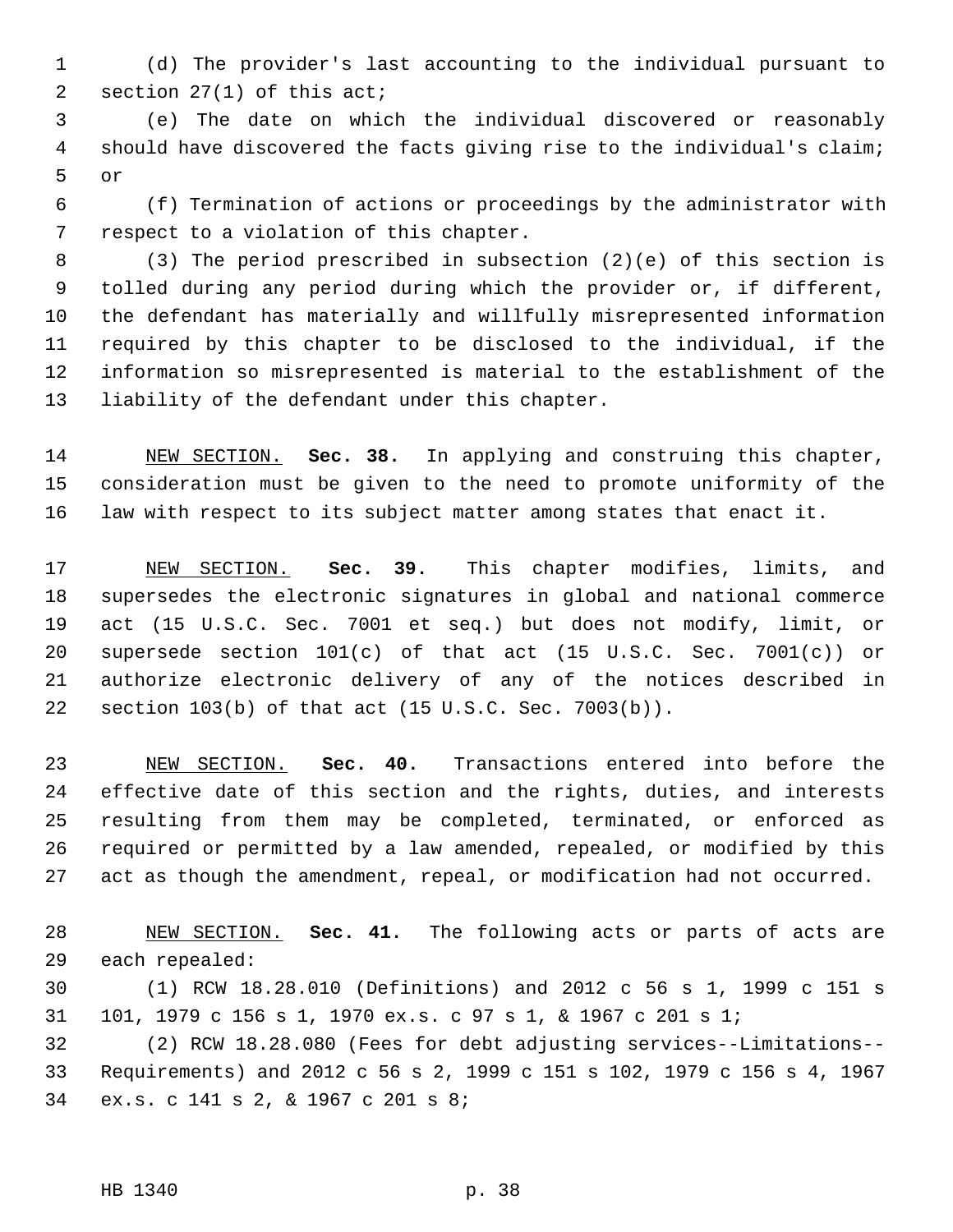1 (d) The provider's last accounting to the individual pursuant to 2 section 27(1) of this act;

 3 (e) The date on which the individual discovered or reasonably 4 should have discovered the facts giving rise to the individual's claim; 5 or

 6 (f) Termination of actions or proceedings by the administrator with 7 respect to a violation of this chapter.

 8 (3) The period prescribed in subsection (2)(e) of this section is 9 tolled during any period during which the provider or, if different, 10 the defendant has materially and willfully misrepresented information 11 required by this chapter to be disclosed to the individual, if the 12 information so misrepresented is material to the establishment of the 13 liability of the defendant under this chapter.

14 NEW SECTION. **Sec. 38.** In applying and construing this chapter, 15 consideration must be given to the need to promote uniformity of the 16 law with respect to its subject matter among states that enact it.

17 NEW SECTION. **Sec. 39.** This chapter modifies, limits, and 18 supersedes the electronic signatures in global and national commerce 19 act (15 U.S.C. Sec. 7001 et seq.) but does not modify, limit, or 20 supersede section 101(c) of that act (15 U.S.C. Sec. 7001(c)) or 21 authorize electronic delivery of any of the notices described in 22 section 103(b) of that act (15 U.S.C. Sec. 7003(b)).

23 NEW SECTION. **Sec. 40.** Transactions entered into before the 24 effective date of this section and the rights, duties, and interests 25 resulting from them may be completed, terminated, or enforced as 26 required or permitted by a law amended, repealed, or modified by this 27 act as though the amendment, repeal, or modification had not occurred.

28 NEW SECTION. **Sec. 41.** The following acts or parts of acts are 29 each repealed:

30 (1) RCW 18.28.010 (Definitions) and 2012 c 56 s 1, 1999 c 151 s 31 101, 1979 c 156 s 1, 1970 ex.s. c 97 s 1, & 1967 c 201 s 1;

32 (2) RCW 18.28.080 (Fees for debt adjusting services--Limitations-- 33 Requirements) and 2012 c 56 s 2, 1999 c 151 s 102, 1979 c 156 s 4, 1967 34 ex.s. c 141 s 2, & 1967 c 201 s 8;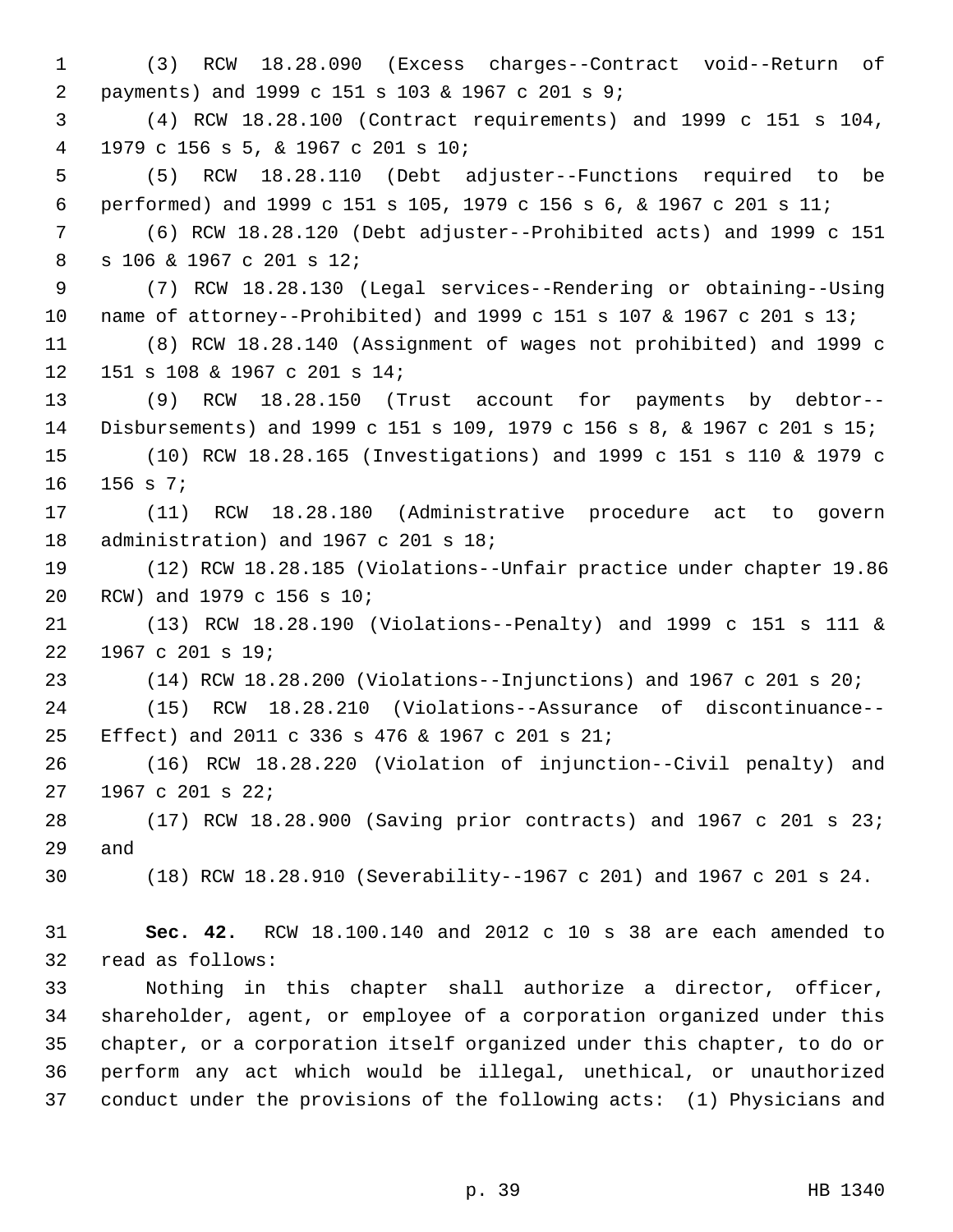1 (3) RCW 18.28.090 (Excess charges--Contract void--Return of 2 payments) and 1999 c 151 s 103 & 1967 c 201 s 9; 3 (4) RCW 18.28.100 (Contract requirements) and 1999 c 151 s 104, 4 1979 c 156 s 5, & 1967 c 201 s 10; 5 (5) RCW 18.28.110 (Debt adjuster--Functions required to be 6 performed) and 1999 c 151 s 105, 1979 c 156 s 6, & 1967 c 201 s 11; 7 (6) RCW 18.28.120 (Debt adjuster--Prohibited acts) and 1999 c 151 8 s 106 & 1967 c 201 s 12; 9 (7) RCW 18.28.130 (Legal services--Rendering or obtaining--Using 10 name of attorney--Prohibited) and 1999 c 151 s 107 & 1967 c 201 s 13; 11 (8) RCW 18.28.140 (Assignment of wages not prohibited) and 1999 c 12 151 s 108 & 1967 c 201 s 14; 13 (9) RCW 18.28.150 (Trust account for payments by debtor-- 14 Disbursements) and 1999 c 151 s 109, 1979 c 156 s 8, & 1967 c 201 s 15; 15 (10) RCW 18.28.165 (Investigations) and 1999 c 151 s 110 & 1979 c 16 156 s 7; 17 (11) RCW 18.28.180 (Administrative procedure act to govern 18 administration) and 1967 c 201 s 18; 19 (12) RCW 18.28.185 (Violations--Unfair practice under chapter 19.86 20 RCW) and 1979 c 156 s 10; 21 (13) RCW 18.28.190 (Violations--Penalty) and 1999 c 151 s 111 & 22 1967 c 201 s 19; 23 (14) RCW 18.28.200 (Violations--Injunctions) and 1967 c 201 s 20; 24 (15) RCW 18.28.210 (Violations--Assurance of discontinuance-- 25 Effect) and 2011 c 336 s 476 & 1967 c 201 s 21; 26 (16) RCW 18.28.220 (Violation of injunction--Civil penalty) and 27 1967 c 201 s 22; 28 (17) RCW 18.28.900 (Saving prior contracts) and 1967 c 201 s 23; 29 and 30 (18) RCW 18.28.910 (Severability--1967 c 201) and 1967 c 201 s 24. 31 **Sec. 42.** RCW 18.100.140 and 2012 c 10 s 38 are each amended to 32 read as follows: 33 Nothing in this chapter shall authorize a director, officer, 34 shareholder, agent, or employee of a corporation organized under this 35 chapter, or a corporation itself organized under this chapter, to do or 36 perform any act which would be illegal, unethical, or unauthorized 37 conduct under the provisions of the following acts: (1) Physicians and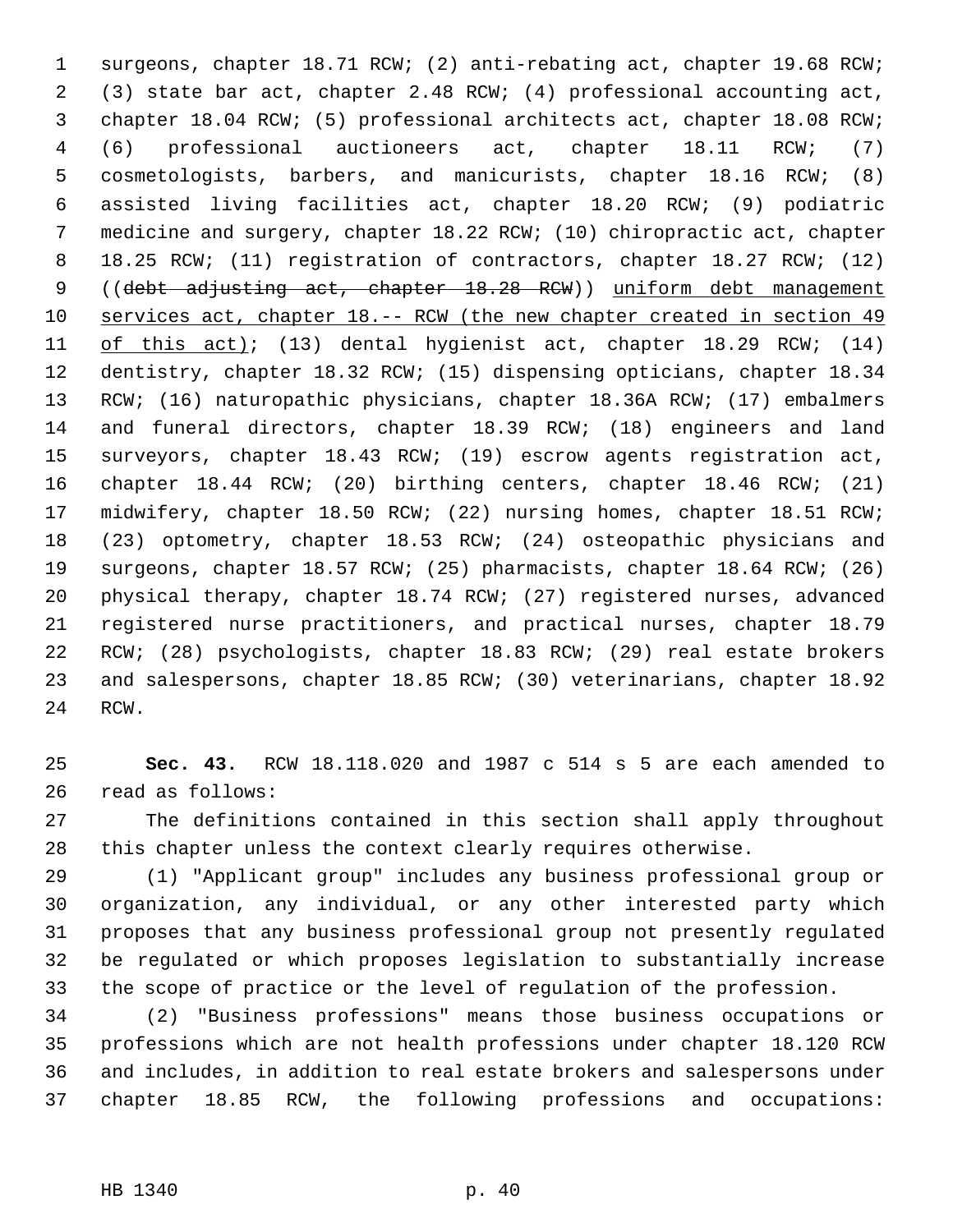1 surgeons, chapter 18.71 RCW; (2) anti-rebating act, chapter 19.68 RCW; 2 (3) state bar act, chapter 2.48 RCW; (4) professional accounting act, 3 chapter 18.04 RCW; (5) professional architects act, chapter 18.08 RCW; 4 (6) professional auctioneers act, chapter 18.11 RCW; (7) 5 cosmetologists, barbers, and manicurists, chapter 18.16 RCW; (8) 6 assisted living facilities act, chapter 18.20 RCW; (9) podiatric 7 medicine and surgery, chapter 18.22 RCW; (10) chiropractic act, chapter 8 18.25 RCW; (11) registration of contractors, chapter 18.27 RCW; (12) 9 ((debt adjusting act, chapter 18.28 RCW)) uniform debt management 10 services act, chapter 18.-- RCW (the new chapter created in section 49 11 of this act); (13) dental hygienist act, chapter 18.29 RCW; (14) 12 dentistry, chapter 18.32 RCW; (15) dispensing opticians, chapter 18.34 13 RCW; (16) naturopathic physicians, chapter 18.36A RCW; (17) embalmers 14 and funeral directors, chapter 18.39 RCW; (18) engineers and land 15 surveyors, chapter 18.43 RCW; (19) escrow agents registration act, 16 chapter 18.44 RCW; (20) birthing centers, chapter 18.46 RCW; (21) 17 midwifery, chapter 18.50 RCW; (22) nursing homes, chapter 18.51 RCW; 18 (23) optometry, chapter 18.53 RCW; (24) osteopathic physicians and 19 surgeons, chapter 18.57 RCW; (25) pharmacists, chapter 18.64 RCW; (26) 20 physical therapy, chapter 18.74 RCW; (27) registered nurses, advanced 21 registered nurse practitioners, and practical nurses, chapter 18.79 22 RCW; (28) psychologists, chapter 18.83 RCW; (29) real estate brokers 23 and salespersons, chapter 18.85 RCW; (30) veterinarians, chapter 18.92 24 RCW.

25 **Sec. 43.** RCW 18.118.020 and 1987 c 514 s 5 are each amended to 26 read as follows:

27 The definitions contained in this section shall apply throughout 28 this chapter unless the context clearly requires otherwise.

29 (1) "Applicant group" includes any business professional group or 30 organization, any individual, or any other interested party which 31 proposes that any business professional group not presently regulated 32 be regulated or which proposes legislation to substantially increase 33 the scope of practice or the level of regulation of the profession.

34 (2) "Business professions" means those business occupations or 35 professions which are not health professions under chapter 18.120 RCW 36 and includes, in addition to real estate brokers and salespersons under 37 chapter 18.85 RCW, the following professions and occupations: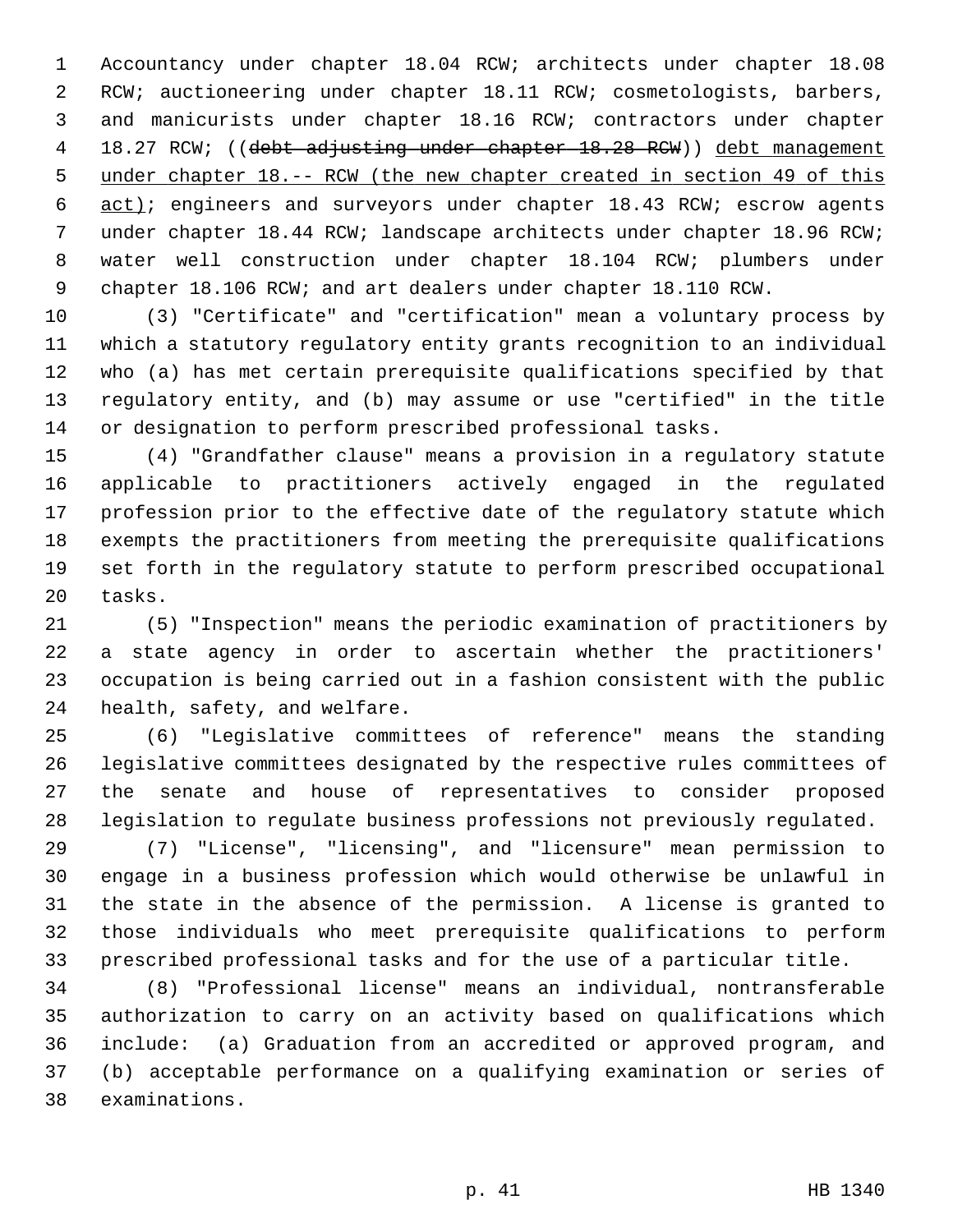1 Accountancy under chapter 18.04 RCW; architects under chapter 18.08 2 RCW; auctioneering under chapter 18.11 RCW; cosmetologists, barbers, 3 and manicurists under chapter 18.16 RCW; contractors under chapter 4 18.27 RCW; ((debt adjusting under chapter 18.28 RCW)) debt management 5 under chapter 18.-- RCW (the new chapter created in section 49 of this 6 act); engineers and surveyors under chapter 18.43 RCW; escrow agents 7 under chapter 18.44 RCW; landscape architects under chapter 18.96 RCW; 8 water well construction under chapter 18.104 RCW; plumbers under 9 chapter 18.106 RCW; and art dealers under chapter 18.110 RCW.

10 (3) "Certificate" and "certification" mean a voluntary process by 11 which a statutory regulatory entity grants recognition to an individual 12 who (a) has met certain prerequisite qualifications specified by that 13 regulatory entity, and (b) may assume or use "certified" in the title 14 or designation to perform prescribed professional tasks.

15 (4) "Grandfather clause" means a provision in a regulatory statute 16 applicable to practitioners actively engaged in the regulated 17 profession prior to the effective date of the regulatory statute which 18 exempts the practitioners from meeting the prerequisite qualifications 19 set forth in the regulatory statute to perform prescribed occupational 20 tasks.

21 (5) "Inspection" means the periodic examination of practitioners by 22 a state agency in order to ascertain whether the practitioners' 23 occupation is being carried out in a fashion consistent with the public 24 health, safety, and welfare.

25 (6) "Legislative committees of reference" means the standing 26 legislative committees designated by the respective rules committees of 27 the senate and house of representatives to consider proposed 28 legislation to regulate business professions not previously regulated.

29 (7) "License", "licensing", and "licensure" mean permission to 30 engage in a business profession which would otherwise be unlawful in 31 the state in the absence of the permission. A license is granted to 32 those individuals who meet prerequisite qualifications to perform 33 prescribed professional tasks and for the use of a particular title.

34 (8) "Professional license" means an individual, nontransferable 35 authorization to carry on an activity based on qualifications which 36 include: (a) Graduation from an accredited or approved program, and 37 (b) acceptable performance on a qualifying examination or series of 38 examinations.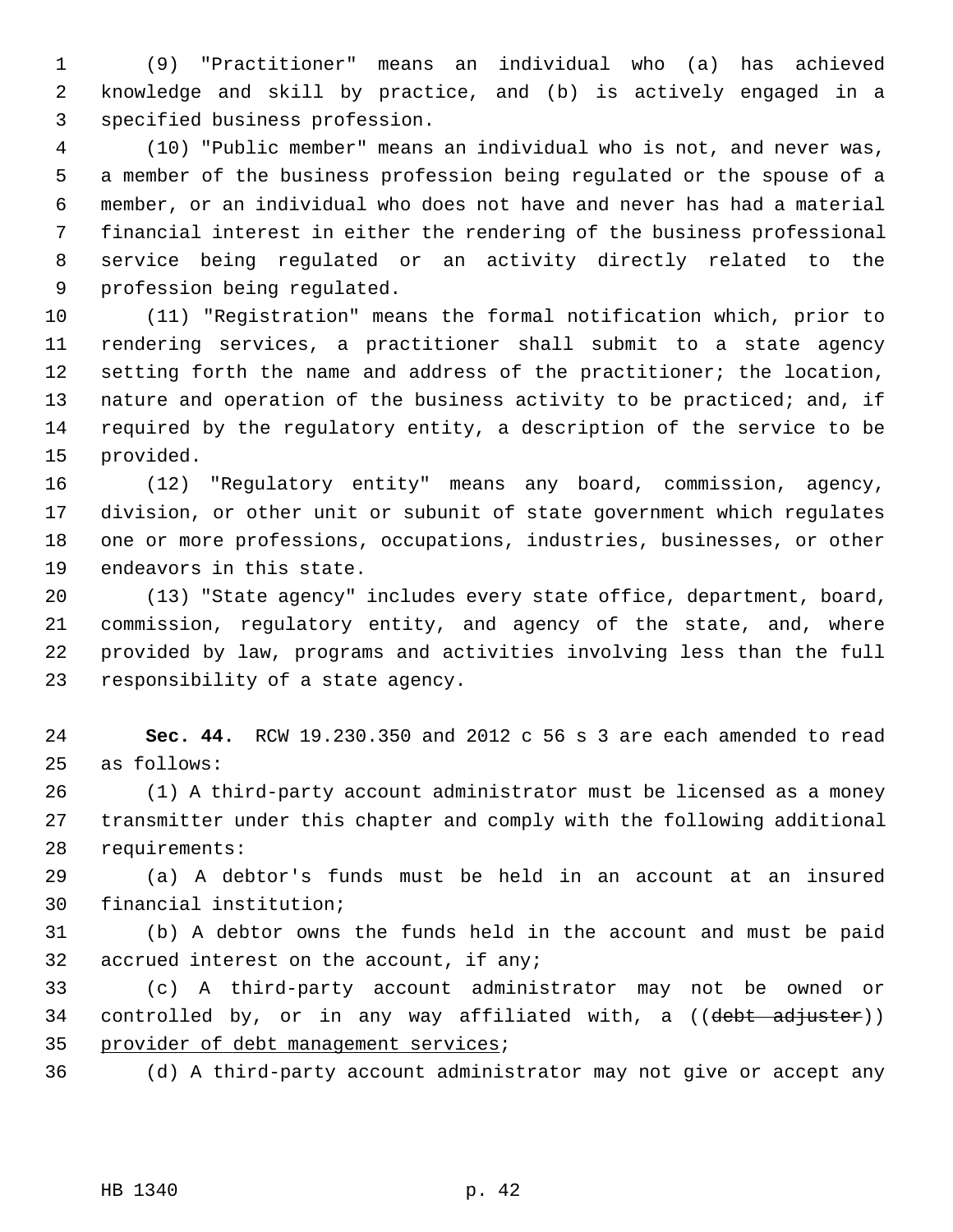1 (9) "Practitioner" means an individual who (a) has achieved 2 knowledge and skill by practice, and (b) is actively engaged in a 3 specified business profession.

 4 (10) "Public member" means an individual who is not, and never was, 5 a member of the business profession being regulated or the spouse of a 6 member, or an individual who does not have and never has had a material 7 financial interest in either the rendering of the business professional 8 service being regulated or an activity directly related to the 9 profession being regulated.

10 (11) "Registration" means the formal notification which, prior to 11 rendering services, a practitioner shall submit to a state agency 12 setting forth the name and address of the practitioner; the location, 13 nature and operation of the business activity to be practiced; and, if 14 required by the regulatory entity, a description of the service to be 15 provided.

16 (12) "Regulatory entity" means any board, commission, agency, 17 division, or other unit or subunit of state government which regulates 18 one or more professions, occupations, industries, businesses, or other 19 endeavors in this state.

20 (13) "State agency" includes every state office, department, board, 21 commission, regulatory entity, and agency of the state, and, where 22 provided by law, programs and activities involving less than the full 23 responsibility of a state agency.

24 **Sec. 44.** RCW 19.230.350 and 2012 c 56 s 3 are each amended to read 25 as follows:

26 (1) A third-party account administrator must be licensed as a money 27 transmitter under this chapter and comply with the following additional 28 requirements:

29 (a) A debtor's funds must be held in an account at an insured 30 financial institution;

31 (b) A debtor owns the funds held in the account and must be paid 32 accrued interest on the account, if any;

33 (c) A third-party account administrator may not be owned or 34 controlled by, or in any way affiliated with, a ((debt adjuster)) 35 provider of debt management services;

36 (d) A third-party account administrator may not give or accept any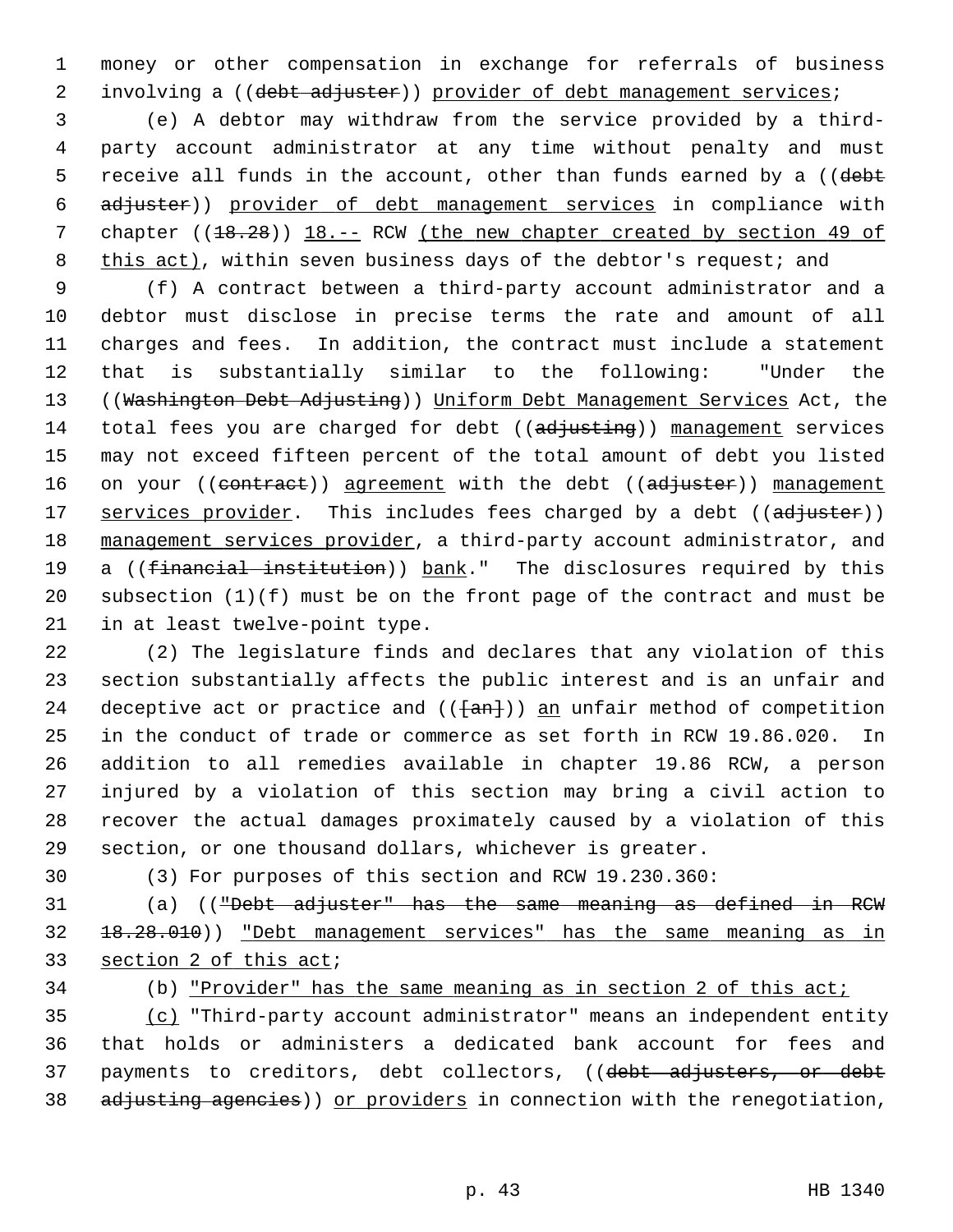1 money or other compensation in exchange for referrals of business 2 involving a ((debt adjuster)) provider of debt management services;

 3 (e) A debtor may withdraw from the service provided by a third- 4 party account administrator at any time without penalty and must 5 receive all funds in the account, other than funds earned by a ((debt 6 adjuster)) provider of debt management services in compliance with 7 chapter ((18.28)) 18. -- RCW (the new chapter created by section 49 of 8 this act), within seven business days of the debtor's request; and

 9 (f) A contract between a third-party account administrator and a 10 debtor must disclose in precise terms the rate and amount of all 11 charges and fees. In addition, the contract must include a statement 12 that is substantially similar to the following: "Under the 13 ((Washington Debt Adjusting)) Uniform Debt Management Services Act, the 14 total fees you are charged for debt ((adjusting)) management services 15 may not exceed fifteen percent of the total amount of debt you listed 16 on your ((contract)) agreement with the debt ((adjuster)) management 17 services provider. This includes fees charged by a debt ((adjuster)) 18 management services provider, a third-party account administrator, and 19 a ((financial institution)) bank." The disclosures required by this 20 subsection (1)(f) must be on the front page of the contract and must be 21 in at least twelve-point type.

22 (2) The legislature finds and declares that any violation of this 23 section substantially affects the public interest and is an unfair and 24 deceptive act or practice and  $((+an))$  an unfair method of competition 25 in the conduct of trade or commerce as set forth in RCW 19.86.020. In 26 addition to all remedies available in chapter 19.86 RCW, a person 27 injured by a violation of this section may bring a civil action to 28 recover the actual damages proximately caused by a violation of this 29 section, or one thousand dollars, whichever is greater.

30 (3) For purposes of this section and RCW 19.230.360:

31 (a) (("Debt adjuster" has the same meaning as defined in RCW 32 18.28.010)) "Debt management services" has the same meaning as in 33 section 2 of this act;

34 (b) "Provider" has the same meaning as in section 2 of this act;

35 (c) "Third-party account administrator" means an independent entity 36 that holds or administers a dedicated bank account for fees and 37 payments to creditors, debt collectors, ((debt adjusters, or debt 38 adjusting agencies)) or providers in connection with the renegotiation,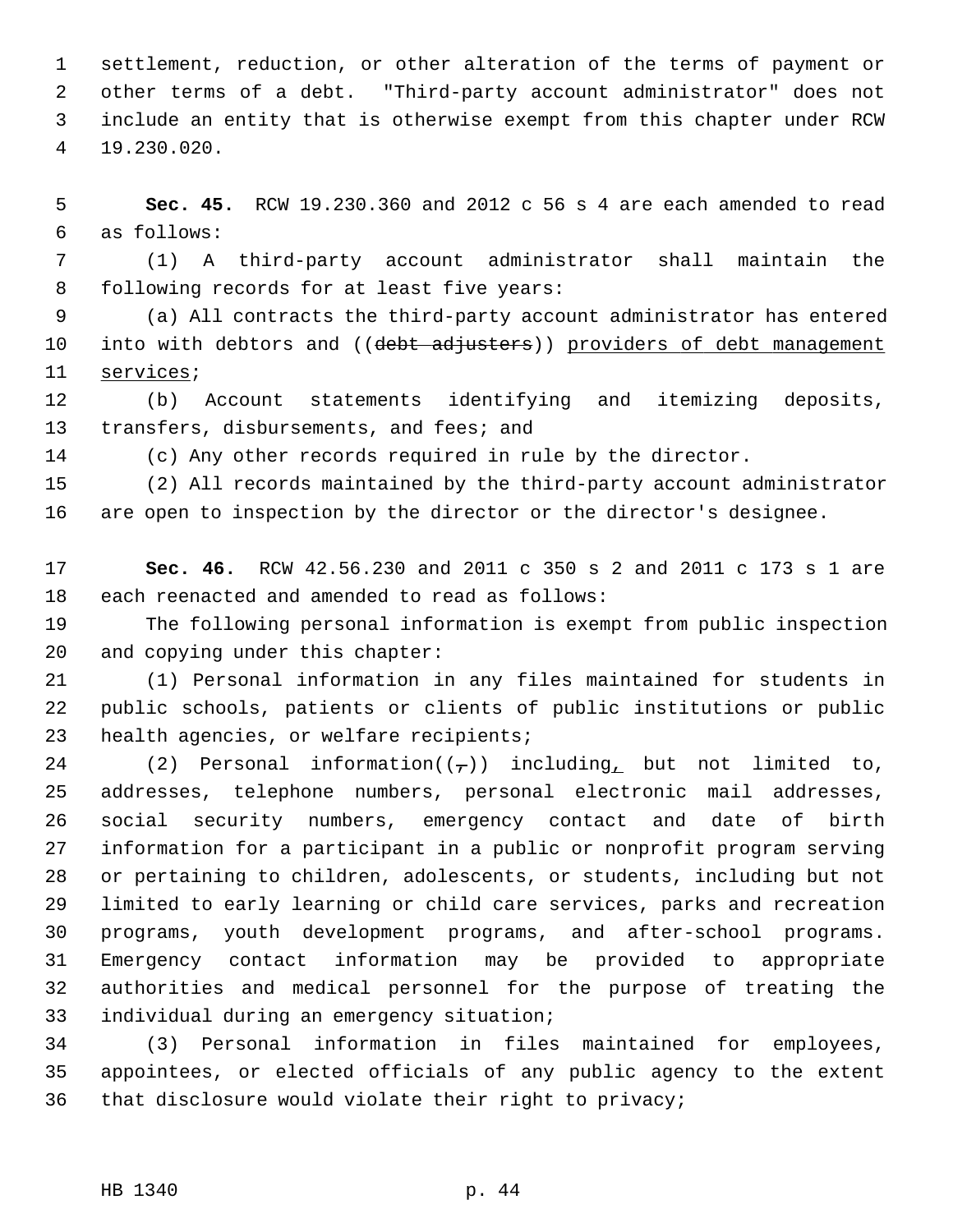1 settlement, reduction, or other alteration of the terms of payment or 2 other terms of a debt. "Third-party account administrator" does not 3 include an entity that is otherwise exempt from this chapter under RCW 4 19.230.020.

 5 **Sec. 45.** RCW 19.230.360 and 2012 c 56 s 4 are each amended to read 6 as follows:

 7 (1) A third-party account administrator shall maintain the 8 following records for at least five years:

 9 (a) All contracts the third-party account administrator has entered 10 into with debtors and ((debt adjusters)) providers of debt management 11 services;

12 (b) Account statements identifying and itemizing deposits, 13 transfers, disbursements, and fees; and

14 (c) Any other records required in rule by the director.

15 (2) All records maintained by the third-party account administrator 16 are open to inspection by the director or the director's designee.

17 **Sec. 46.** RCW 42.56.230 and 2011 c 350 s 2 and 2011 c 173 s 1 are 18 each reenacted and amended to read as follows:

19 The following personal information is exempt from public inspection 20 and copying under this chapter:

21 (1) Personal information in any files maintained for students in 22 public schools, patients or clients of public institutions or public 23 health agencies, or welfare recipients;

24 (2) Personal information( $(\frac{1}{2})$ ) including, but not limited to, 25 addresses, telephone numbers, personal electronic mail addresses, 26 social security numbers, emergency contact and date of birth 27 information for a participant in a public or nonprofit program serving 28 or pertaining to children, adolescents, or students, including but not 29 limited to early learning or child care services, parks and recreation 30 programs, youth development programs, and after-school programs. 31 Emergency contact information may be provided to appropriate 32 authorities and medical personnel for the purpose of treating the 33 individual during an emergency situation;

34 (3) Personal information in files maintained for employees, 35 appointees, or elected officials of any public agency to the extent 36 that disclosure would violate their right to privacy;

### HB 1340 p. 44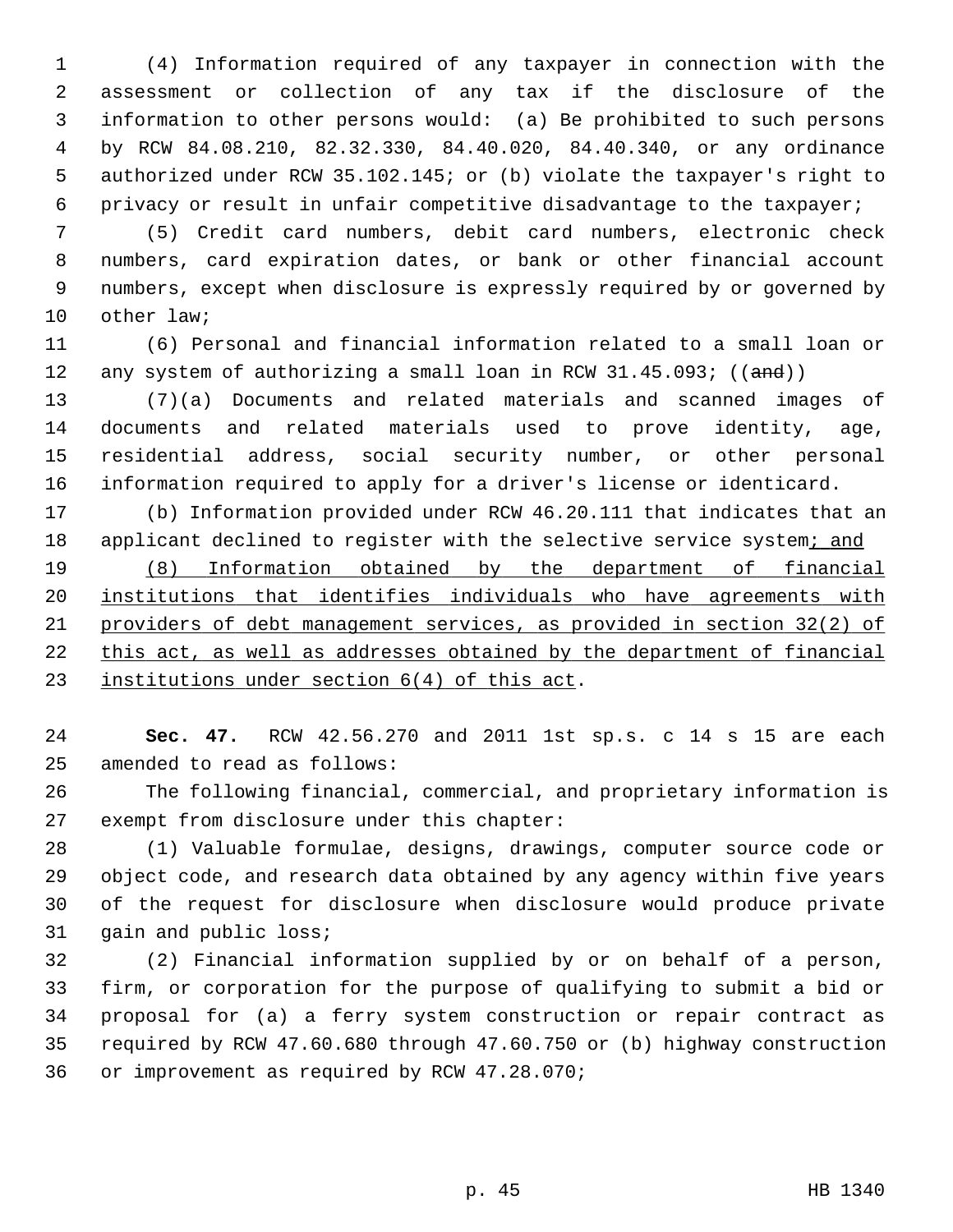1 (4) Information required of any taxpayer in connection with the 2 assessment or collection of any tax if the disclosure of the 3 information to other persons would: (a) Be prohibited to such persons 4 by RCW 84.08.210, 82.32.330, 84.40.020, 84.40.340, or any ordinance 5 authorized under RCW 35.102.145; or (b) violate the taxpayer's right to 6 privacy or result in unfair competitive disadvantage to the taxpayer;

 7 (5) Credit card numbers, debit card numbers, electronic check 8 numbers, card expiration dates, or bank or other financial account 9 numbers, except when disclosure is expressly required by or governed by 10 other law;

11 (6) Personal and financial information related to a small loan or 12 any system of authorizing a small loan in RCW  $31.45.093$ ; ( $(\text{and})$ )

13 (7)(a) Documents and related materials and scanned images of 14 documents and related materials used to prove identity, age, 15 residential address, social security number, or other personal 16 information required to apply for a driver's license or identicard.

17 (b) Information provided under RCW 46.20.111 that indicates that an 18 applicant declined to register with the selective service system; and

 (8) Information obtained by the department of financial institutions that identifies individuals who have agreements with providers of debt management services, as provided in section 32(2) of this act, as well as addresses obtained by the department of financial institutions under section 6(4) of this act.

24 **Sec. 47.** RCW 42.56.270 and 2011 1st sp.s. c 14 s 15 are each 25 amended to read as follows:

26 The following financial, commercial, and proprietary information is 27 exempt from disclosure under this chapter:

28 (1) Valuable formulae, designs, drawings, computer source code or 29 object code, and research data obtained by any agency within five years 30 of the request for disclosure when disclosure would produce private 31 gain and public loss;

32 (2) Financial information supplied by or on behalf of a person, 33 firm, or corporation for the purpose of qualifying to submit a bid or 34 proposal for (a) a ferry system construction or repair contract as 35 required by RCW 47.60.680 through 47.60.750 or (b) highway construction 36 or improvement as required by RCW 47.28.070;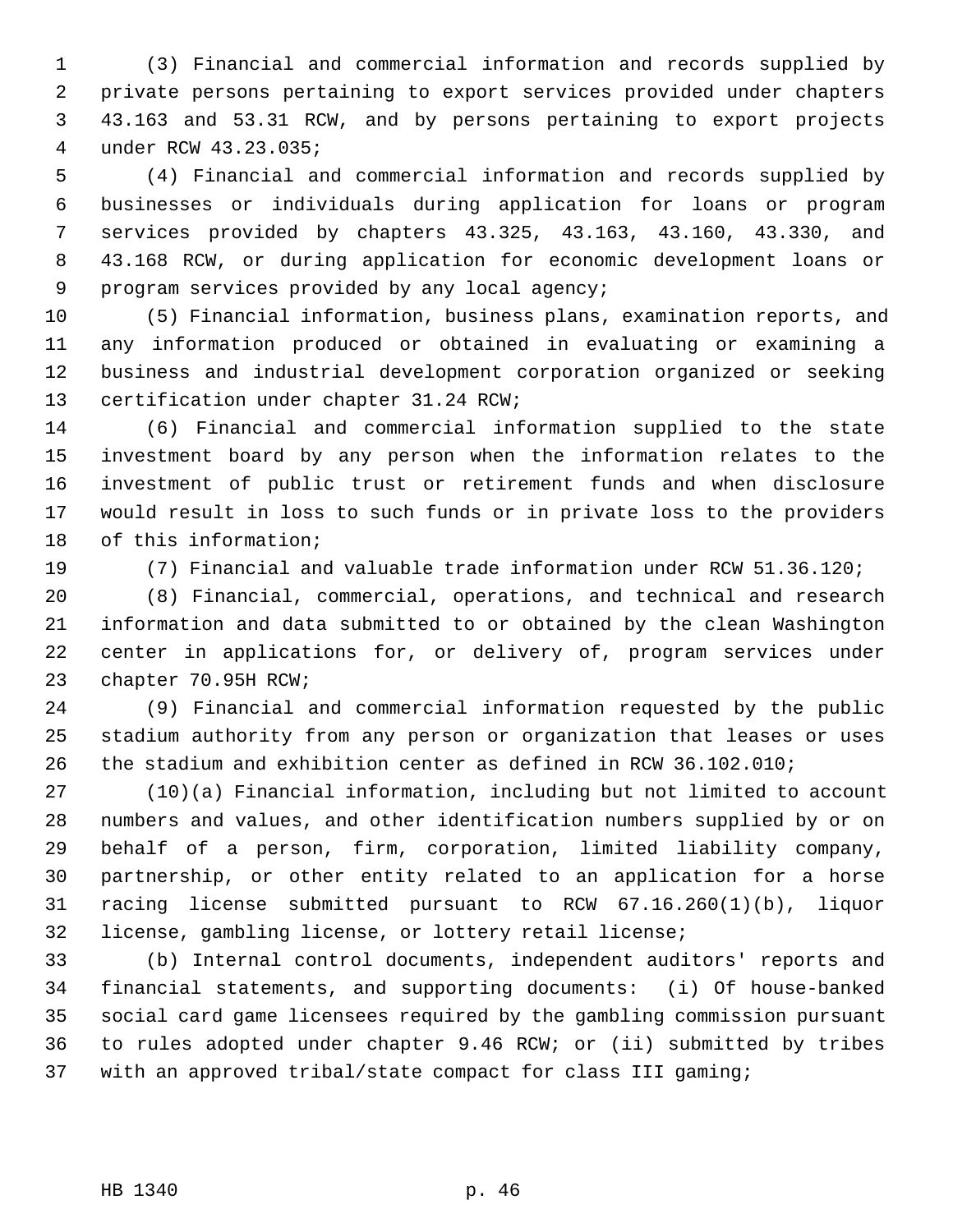1 (3) Financial and commercial information and records supplied by 2 private persons pertaining to export services provided under chapters 3 43.163 and 53.31 RCW, and by persons pertaining to export projects 4 under RCW 43.23.035;

 5 (4) Financial and commercial information and records supplied by 6 businesses or individuals during application for loans or program 7 services provided by chapters 43.325, 43.163, 43.160, 43.330, and 8 43.168 RCW, or during application for economic development loans or 9 program services provided by any local agency;

10 (5) Financial information, business plans, examination reports, and 11 any information produced or obtained in evaluating or examining a 12 business and industrial development corporation organized or seeking 13 certification under chapter 31.24 RCW;

14 (6) Financial and commercial information supplied to the state 15 investment board by any person when the information relates to the 16 investment of public trust or retirement funds and when disclosure 17 would result in loss to such funds or in private loss to the providers 18 of this information;

19 (7) Financial and valuable trade information under RCW 51.36.120;

20 (8) Financial, commercial, operations, and technical and research 21 information and data submitted to or obtained by the clean Washington 22 center in applications for, or delivery of, program services under 23 chapter 70.95H RCW;

24 (9) Financial and commercial information requested by the public 25 stadium authority from any person or organization that leases or uses 26 the stadium and exhibition center as defined in RCW 36.102.010;

27 (10)(a) Financial information, including but not limited to account 28 numbers and values, and other identification numbers supplied by or on 29 behalf of a person, firm, corporation, limited liability company, 30 partnership, or other entity related to an application for a horse 31 racing license submitted pursuant to RCW 67.16.260(1)(b), liquor 32 license, gambling license, or lottery retail license;

33 (b) Internal control documents, independent auditors' reports and 34 financial statements, and supporting documents: (i) Of house-banked 35 social card game licensees required by the gambling commission pursuant 36 to rules adopted under chapter 9.46 RCW; or (ii) submitted by tribes 37 with an approved tribal/state compact for class III gaming;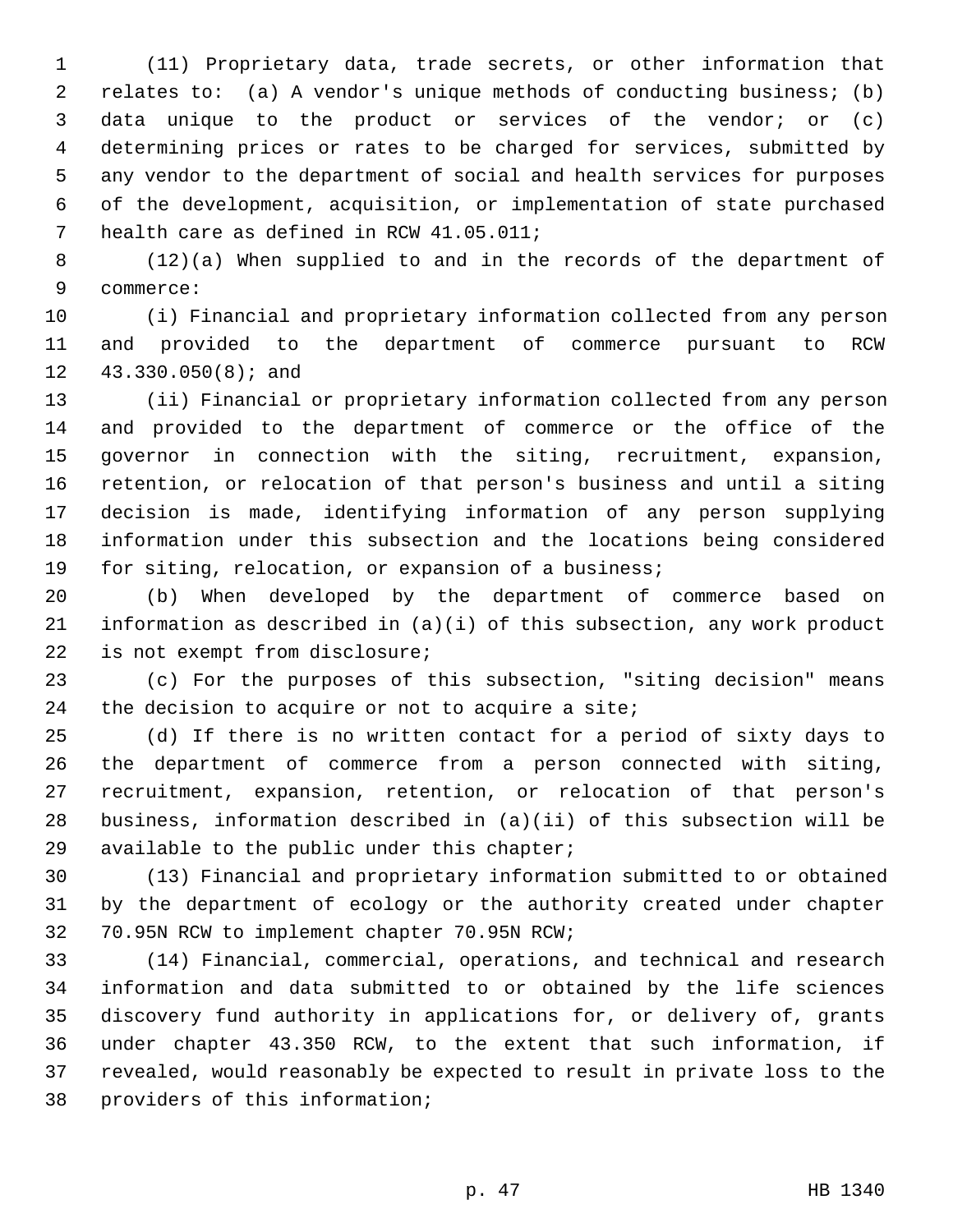1 (11) Proprietary data, trade secrets, or other information that 2 relates to: (a) A vendor's unique methods of conducting business; (b) 3 data unique to the product or services of the vendor; or (c) 4 determining prices or rates to be charged for services, submitted by 5 any vendor to the department of social and health services for purposes 6 of the development, acquisition, or implementation of state purchased 7 health care as defined in RCW 41.05.011;

 8 (12)(a) When supplied to and in the records of the department of 9 commerce:

10 (i) Financial and proprietary information collected from any person 11 and provided to the department of commerce pursuant to RCW 12 43.330.050(8); and

13 (ii) Financial or proprietary information collected from any person 14 and provided to the department of commerce or the office of the 15 governor in connection with the siting, recruitment, expansion, 16 retention, or relocation of that person's business and until a siting 17 decision is made, identifying information of any person supplying 18 information under this subsection and the locations being considered 19 for siting, relocation, or expansion of a business;

20 (b) When developed by the department of commerce based on 21 information as described in (a)(i) of this subsection, any work product 22 is not exempt from disclosure;

23 (c) For the purposes of this subsection, "siting decision" means 24 the decision to acquire or not to acquire a site;

25 (d) If there is no written contact for a period of sixty days to 26 the department of commerce from a person connected with siting, 27 recruitment, expansion, retention, or relocation of that person's 28 business, information described in (a)(ii) of this subsection will be 29 available to the public under this chapter;

30 (13) Financial and proprietary information submitted to or obtained 31 by the department of ecology or the authority created under chapter 32 70.95N RCW to implement chapter 70.95N RCW;

33 (14) Financial, commercial, operations, and technical and research 34 information and data submitted to or obtained by the life sciences 35 discovery fund authority in applications for, or delivery of, grants 36 under chapter 43.350 RCW, to the extent that such information, if 37 revealed, would reasonably be expected to result in private loss to the 38 providers of this information;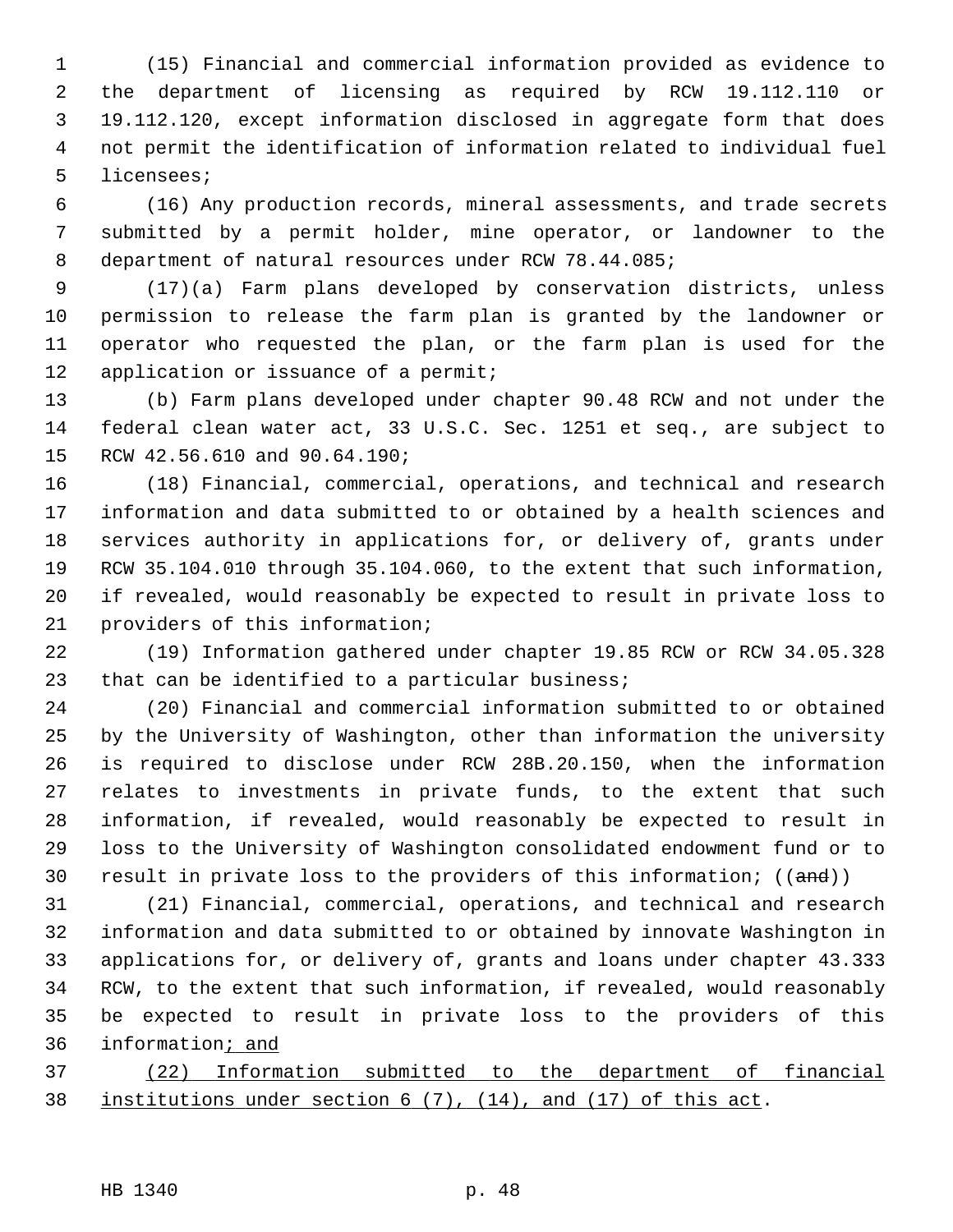1 (15) Financial and commercial information provided as evidence to 2 the department of licensing as required by RCW 19.112.110 or 3 19.112.120, except information disclosed in aggregate form that does 4 not permit the identification of information related to individual fuel 5 licensees;

 6 (16) Any production records, mineral assessments, and trade secrets 7 submitted by a permit holder, mine operator, or landowner to the 8 department of natural resources under RCW 78.44.085;

 9 (17)(a) Farm plans developed by conservation districts, unless 10 permission to release the farm plan is granted by the landowner or 11 operator who requested the plan, or the farm plan is used for the 12 application or issuance of a permit;

13 (b) Farm plans developed under chapter 90.48 RCW and not under the 14 federal clean water act, 33 U.S.C. Sec. 1251 et seq., are subject to 15 RCW 42.56.610 and 90.64.190;

16 (18) Financial, commercial, operations, and technical and research 17 information and data submitted to or obtained by a health sciences and 18 services authority in applications for, or delivery of, grants under 19 RCW 35.104.010 through 35.104.060, to the extent that such information, 20 if revealed, would reasonably be expected to result in private loss to 21 providers of this information;

22 (19) Information gathered under chapter 19.85 RCW or RCW 34.05.328 23 that can be identified to a particular business;

24 (20) Financial and commercial information submitted to or obtained 25 by the University of Washington, other than information the university 26 is required to disclose under RCW 28B.20.150, when the information 27 relates to investments in private funds, to the extent that such 28 information, if revealed, would reasonably be expected to result in 29 loss to the University of Washington consolidated endowment fund or to 30 result in private loss to the providers of this information;  $((and))$ 

31 (21) Financial, commercial, operations, and technical and research 32 information and data submitted to or obtained by innovate Washington in 33 applications for, or delivery of, grants and loans under chapter 43.333 34 RCW, to the extent that such information, if revealed, would reasonably 35 be expected to result in private loss to the providers of this 36 information; and

37 (22) Information submitted to the department of financial 38 institutions under section 6 (7), (14), and (17) of this act.